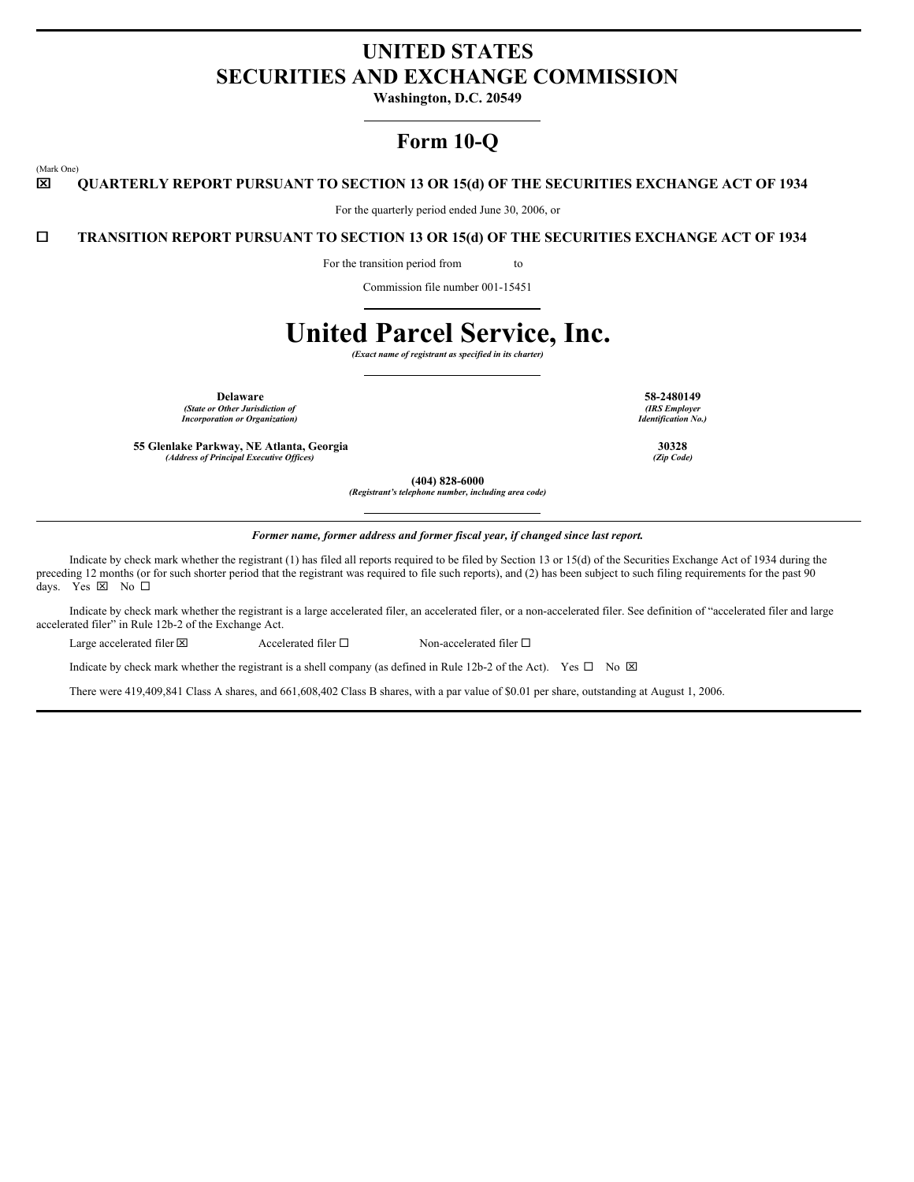# **UNITED STATES SECURITIES AND EXCHANGE COMMISSION**

**Washington, D.C. 20549**

## **Form 10-Q**

(Mark One)

### x **QUARTERLY REPORT PURSUANT TO SECTION 13 OR 15(d) OF THE SECURITIES EXCHANGE ACT OF 1934**

For the quarterly period ended June 30, 2006, or

¨ **TRANSITION REPORT PURSUANT TO SECTION 13 OR 15(d) OF THE SECURITIES EXCHANGE ACT OF 1934**

For the transition period from to

Commission file number 001-15451

# **United Parcel Service, Inc.**

*(Exact name of registrant as specified in its charter)*

**Delaware 58-2480149** *(State or Other Jurisdiction of*

*Incorporation or Organization)*

**55 Glenlake Parkway, NE Atlanta, Georgia 30328**  $(A$ ddress of Principal Executive Offices)

*(IRS Employer Identification No.)*

**(404) 828-6000**

*(Registrant's telephone number, including area code)*

*Former name, former address and former fiscal year, if changed since last report.*

Indicate by check mark whether the registrant (1) has filed all reports required to be filed by Section 13 or 15(d) of the Securities Exchange Act of 1934 during the preceding 12 months (or for such shorter period that the registrant was required to file such reports), and (2) has been subject to such filing requirements for the past 90 days. Yes ⊠ No □

Indicate by check mark whether the registrant is a large accelerated filer, an accelerated filer, or a non-accelerated filer. See definition of "accelerated filer and large accelerated filer" in Rule 12b-2 of the Exchange Act.

Large accelerated filer  $\boxtimes$  Accelerated filer  $\square$  Non-accelerated filer  $\square$ 

Indicate by check mark whether the registrant is a shell company (as defined in Rule 12b-2 of the Act). Yes  $\Box$  No  $\boxtimes$ 

There were 419,409,841 Class A shares, and 661,608,402 Class B shares, with a par value of \$0.01 per share, outstanding at August 1, 2006.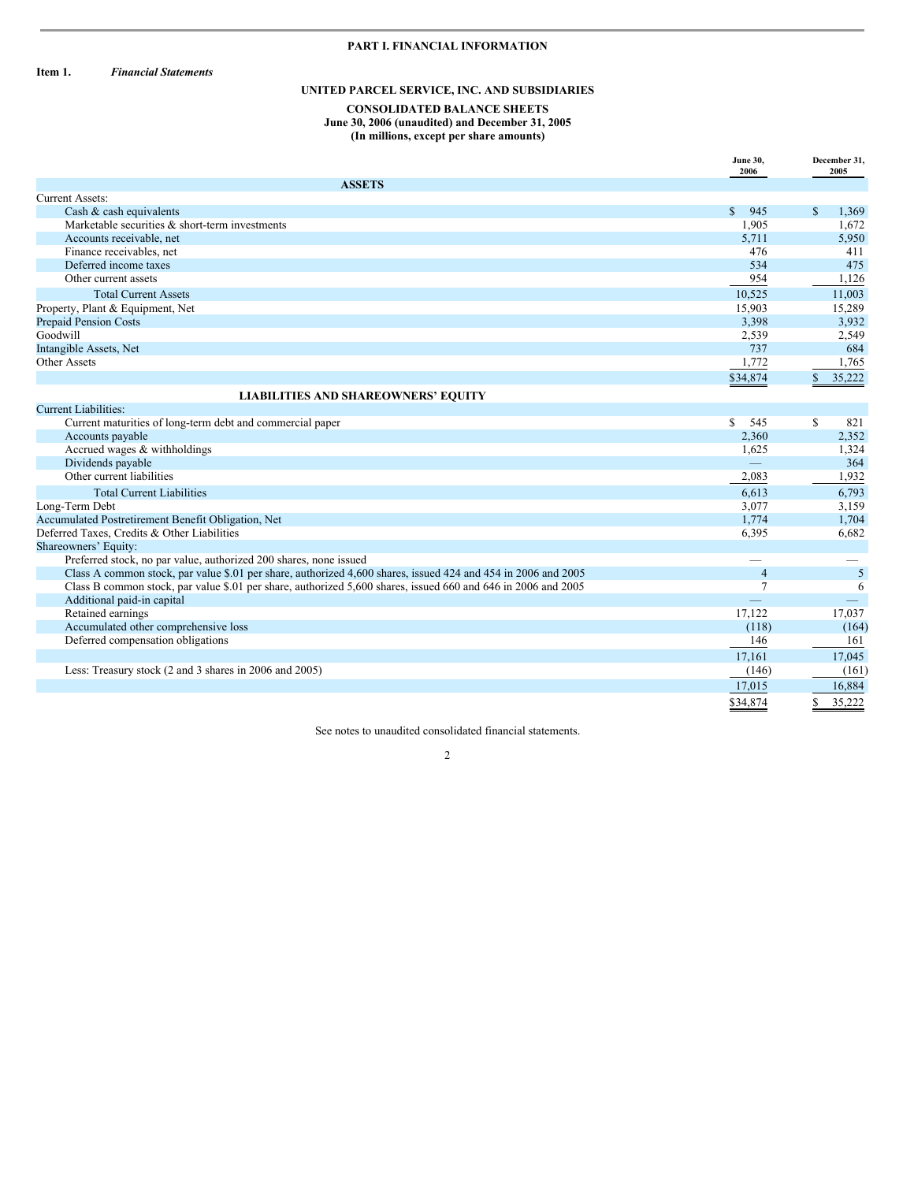### **PART I. FINANCIAL INFORMATION**

**Item 1.** *Financial Statements*

### **UNITED PARCEL SERVICE, INC. AND SUBSIDIARIES**

#### **CONSOLIDATED BALANCE SHEETS June 30, 2006 (unaudited) and December 31, 2005 (In millions, except per share amounts)**

|                                                                                                               | <b>June 30,</b><br>2006 | December 31,<br>2005  |
|---------------------------------------------------------------------------------------------------------------|-------------------------|-----------------------|
| <b>ASSETS</b>                                                                                                 |                         |                       |
| Current Assets:                                                                                               |                         |                       |
| Cash & cash equivalents                                                                                       | \$945                   | S<br>1,369            |
| Marketable securities & short-term investments                                                                | 1.905                   | 1,672                 |
| Accounts receivable, net                                                                                      | 5,711                   | 5,950                 |
| Finance receivables, net                                                                                      | 476                     | 411                   |
| Deferred income taxes                                                                                         | 534                     | 475                   |
| Other current assets                                                                                          | 954                     | 1,126                 |
| <b>Total Current Assets</b>                                                                                   | 10,525                  | 11,003                |
| Property, Plant & Equipment, Net                                                                              | 15,903                  | 15,289                |
| <b>Prepaid Pension Costs</b>                                                                                  | 3,398                   | 3,932                 |
| Goodwill                                                                                                      | 2,539                   | 2,549                 |
| Intangible Assets, Net                                                                                        | 737                     | 684                   |
| Other Assets                                                                                                  | 1,772                   | 1,765                 |
|                                                                                                               | \$34,874                | $\mathbf S$<br>35,222 |
| <b>LIABILITIES AND SHAREOWNERS' EQUITY</b>                                                                    |                         |                       |
| <b>Current Liabilities:</b>                                                                                   |                         |                       |
| Current maturities of long-term debt and commercial paper                                                     | S.<br>545               | S<br>821              |
| Accounts payable                                                                                              | 2,360                   | 2,352                 |
| Accrued wages & withholdings                                                                                  | 1,625                   | 1,324                 |
| Dividends payable                                                                                             |                         | 364                   |
| Other current liabilities                                                                                     | 2,083                   | 1,932                 |
| <b>Total Current Liabilities</b>                                                                              | 6,613                   | 6,793                 |
| Long-Term Debt                                                                                                | 3.077                   | 3,159                 |
| Accumulated Postretirement Benefit Obligation, Net                                                            | 1,774                   | 1,704                 |
| Deferred Taxes, Credits & Other Liabilities                                                                   | 6,395                   | 6,682                 |
| Shareowners' Equity:                                                                                          |                         |                       |
| Preferred stock, no par value, authorized 200 shares, none issued                                             | -                       |                       |
| Class A common stock, par value \$.01 per share, authorized 4,600 shares, issued 424 and 454 in 2006 and 2005 | $\overline{4}$          | 5                     |
| Class B common stock, par value \$.01 per share, authorized 5,600 shares, issued 660 and 646 in 2006 and 2005 | $\overline{7}$          | 6                     |
| Additional paid-in capital                                                                                    |                         |                       |
| Retained earnings                                                                                             | 17,122                  | 17,037                |
| Accumulated other comprehensive loss                                                                          | (118)                   | (164)                 |
| Deferred compensation obligations                                                                             | 146                     | 161                   |
|                                                                                                               | 17,161                  | 17,045                |
| Less: Treasury stock (2 and 3 shares in 2006 and 2005)                                                        | (146)                   | (161)                 |
|                                                                                                               | 17,015                  | 16,884                |
|                                                                                                               | \$34,874                | 35,222                |

See notes to unaudited consolidated financial statements. 2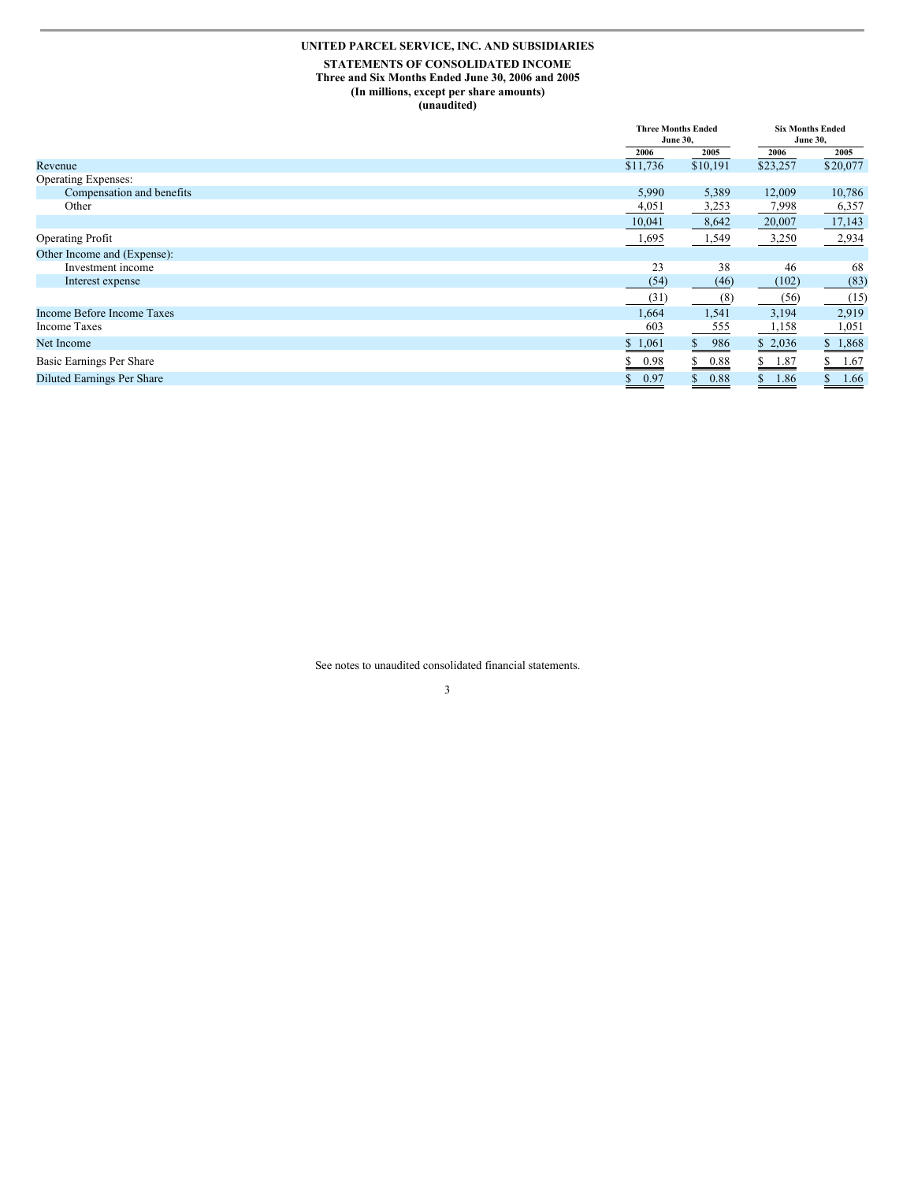### **UNITED PARCEL SERVICE, INC. AND SUBSIDIARIES**

#### **STATEMENTS OF CONSOLIDATED INCOME Three and Six Months Ended June 30, 2006 and 2005 (In millions, except per share amounts) (unaudited)**

|                                   |            | <b>Three Months Ended</b><br><b>June 30,</b> |          | <b>Six Months Ended</b><br><b>June 30,</b> |
|-----------------------------------|------------|----------------------------------------------|----------|--------------------------------------------|
|                                   | 2006       | 2005                                         | 2006     | 2005                                       |
| Revenue                           | \$11,736   | \$10,191                                     | \$23,257 | \$20,077                                   |
| Operating Expenses:               |            |                                              |          |                                            |
| Compensation and benefits         | 5,990      | 5,389                                        | 12,009   | 10,786                                     |
| Other                             | 4,051      | 3,253                                        | 7,998    | 6,357                                      |
|                                   | 10,041     | 8,642                                        | 20,007   | 17,143                                     |
| <b>Operating Profit</b>           | 1,695      | 1,549                                        | 3,250    | 2,934                                      |
| Other Income and (Expense):       |            |                                              |          |                                            |
| Investment income                 | 23         | 38                                           | 46       | 68                                         |
| Interest expense                  | (54)       | (46)                                         | (102)    | (83)                                       |
|                                   | (31)       | (8)                                          | (56)     | (15)                                       |
| Income Before Income Taxes        | 1,664      | 1,541                                        | 3,194    | 2,919                                      |
| Income Taxes                      | 603        | 555                                          | 1,158    | 1,051                                      |
| Net Income                        | \$1,061    | 986<br>S.                                    | \$2,036  | \$1,868                                    |
| Basic Earnings Per Share          | 0.98       | 0.88<br>ъ                                    | 1.87     | 1.67                                       |
| <b>Diluted Earnings Per Share</b> | 0.97<br>\$ | 0.88<br>\$                                   | 1.86     | 1.66<br>\$                                 |

See notes to unaudited consolidated financial statements.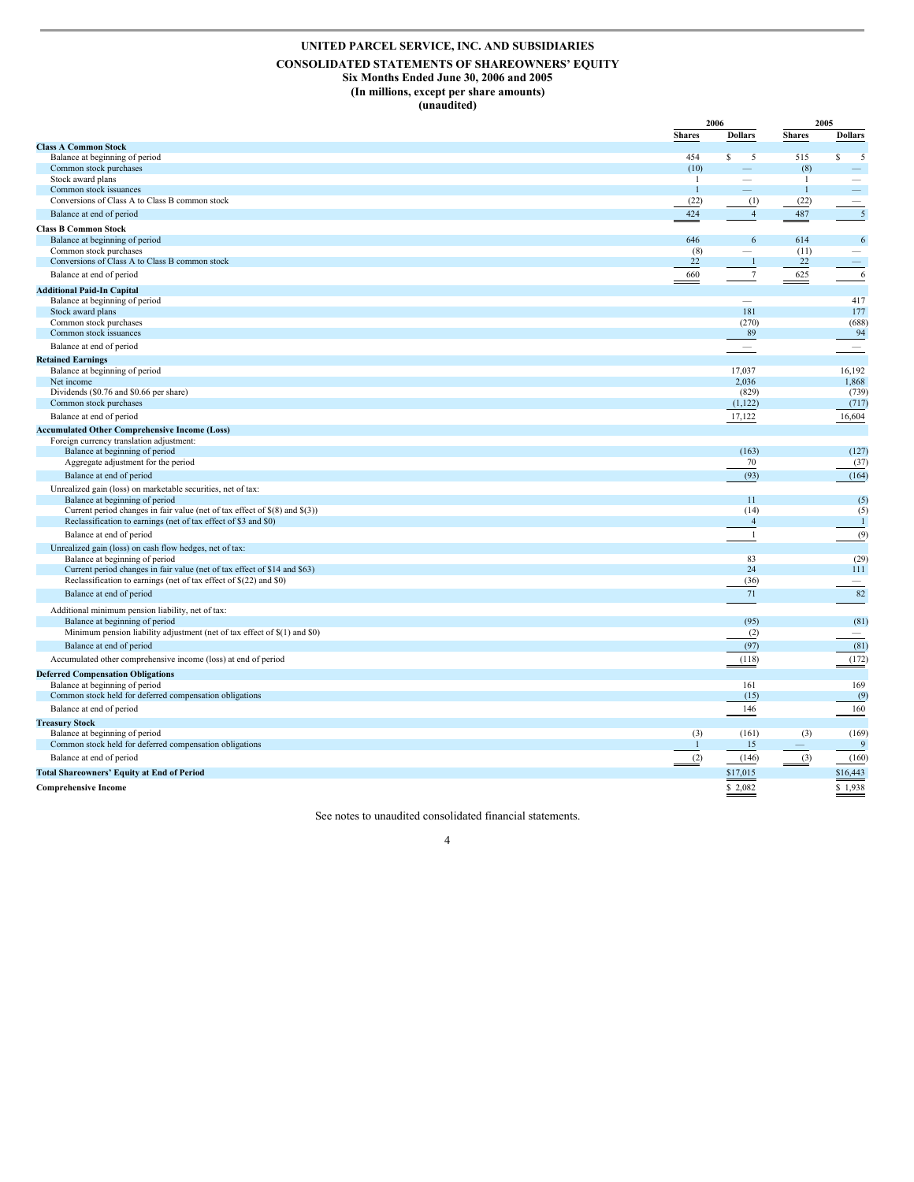### **UNITED PARCEL SERVICE, INC. AND SUBSIDIARIES**

#### **CONSOLIDATED STATEMENTS OF SHAREOWNERS' EQUITY Six Months Ended June 30, 2006 and 2005 (In millions, except per share amounts)**

**(unaudited)**

|                                                                                                |                      | 2006           |                          | 2005                     |
|------------------------------------------------------------------------------------------------|----------------------|----------------|--------------------------|--------------------------|
|                                                                                                | <b>Shares</b>        | <b>Dollars</b> | <b>Shares</b>            | <b>Dollars</b>           |
| <b>Class A Common Stock</b>                                                                    |                      |                |                          |                          |
| Balance at beginning of period                                                                 | 454                  | S<br>5         | 515                      | S<br>5                   |
| Common stock purchases                                                                         | (10)                 |                | (8)                      |                          |
| Stock award plans                                                                              | -1                   |                | 1                        |                          |
| Common stock issuances<br>Conversions of Class A to Class B common stock                       | $\mathbf{1}$<br>(22) | (1)            | $\overline{1}$<br>(22)   |                          |
|                                                                                                | 424                  |                |                          |                          |
| Balance at end of period                                                                       |                      | $\overline{4}$ | 487                      | 5                        |
| <b>Class B Common Stock</b>                                                                    |                      |                |                          |                          |
| Balance at beginning of period                                                                 | 646                  | 6              | 614                      | 6                        |
| Common stock purchases<br>Conversions of Class A to Class B common stock                       | (8)<br>22            | $\mathbf{1}$   | (11)<br>22               |                          |
|                                                                                                |                      |                |                          |                          |
| Balance at end of period                                                                       | 660                  | 7              | 625                      | 6                        |
| <b>Additional Paid-In Capital</b>                                                              |                      |                |                          |                          |
| Balance at beginning of period                                                                 |                      |                |                          | 417                      |
| Stock award plans                                                                              |                      | 181            |                          | 177                      |
| Common stock purchases<br>Common stock issuances                                               |                      | (270)<br>89    |                          | (688)<br>94              |
|                                                                                                |                      |                |                          |                          |
| Balance at end of period                                                                       |                      |                |                          | $\overline{\phantom{m}}$ |
| <b>Retained Earnings</b>                                                                       |                      |                |                          |                          |
| Balance at beginning of period                                                                 |                      | 17,037         |                          | 16,192                   |
| Net income                                                                                     |                      | 2,036<br>(829) |                          | 1,868                    |
| Dividends (\$0.76 and \$0.66 per share)<br>Common stock purchases                              |                      | (1,122)        |                          | (739)<br>(717)           |
|                                                                                                |                      |                |                          |                          |
| Balance at end of period                                                                       |                      | 17,122         |                          | 16,604                   |
| <b>Accumulated Other Comprehensive Income (Loss)</b>                                           |                      |                |                          |                          |
| Foreign currency translation adjustment:<br>Balance at beginning of period                     |                      | (163)          |                          | (127)                    |
| Aggregate adjustment for the period                                                            |                      | 70             |                          | (37)                     |
| Balance at end of period                                                                       |                      | (93)           |                          | (164)                    |
|                                                                                                |                      |                |                          |                          |
| Unrealized gain (loss) on marketable securities, net of tax:<br>Balance at beginning of period |                      | 11             |                          | (5)                      |
| Current period changes in fair value (net of tax effect of $\S(8)$ and $\S(3)$ )               |                      | (14)           |                          | (5)                      |
| Reclassification to earnings (net of tax effect of \$3 and \$0)                                |                      | $\overline{4}$ |                          | $\overline{1}$           |
| Balance at end of period                                                                       |                      | -1             |                          | (9)                      |
|                                                                                                |                      |                |                          |                          |
| Unrealized gain (loss) on cash flow hedges, net of tax:<br>Balance at beginning of period      |                      | 83             |                          | (29)                     |
| Current period changes in fair value (net of tax effect of \$14 and \$63)                      |                      | 24             |                          | 111                      |
| Reclassification to earnings (net of tax effect of \$(22) and \$0)                             |                      | (36)           |                          |                          |
| Balance at end of period                                                                       |                      | 71             |                          | 82                       |
|                                                                                                |                      |                |                          |                          |
| Additional minimum pension liability, net of tax:                                              |                      |                |                          |                          |
| Balance at beginning of period                                                                 |                      | (95)           |                          | (81)                     |
| Minimum pension liability adjustment (net of tax effect of \$(1) and \$0)                      |                      | (2)            |                          | $\overline{\phantom{a}}$ |
| Balance at end of period                                                                       |                      | (97)           |                          | (81)                     |
| Accumulated other comprehensive income (loss) at end of period                                 |                      | (118)          |                          | (172)                    |
| <b>Deferred Compensation Obligations</b>                                                       |                      |                |                          |                          |
| Balance at beginning of period                                                                 |                      | 161            |                          | 169                      |
| Common stock held for deferred compensation obligations                                        |                      | (15)           |                          | (9)                      |
| Balance at end of period                                                                       |                      | 146            |                          | 160                      |
| <b>Treasury Stock</b>                                                                          |                      |                |                          |                          |
| Balance at beginning of period                                                                 | (3)                  | (161)          | (3)                      | (169)                    |
| Common stock held for deferred compensation obligations                                        | $\overline{1}$       | 15             | $\overline{\phantom{m}}$ | 9                        |
| Balance at end of period                                                                       | (2)                  | (146)          | (3)                      | (160)                    |
| <b>Total Shareowners' Equity at End of Period</b>                                              |                      | \$17,015       |                          | \$16,443                 |
|                                                                                                |                      |                |                          |                          |
| <b>Comprehensive Income</b>                                                                    |                      | \$2,082        |                          | \$1.938                  |

See notes to unaudited consolidated financial statements.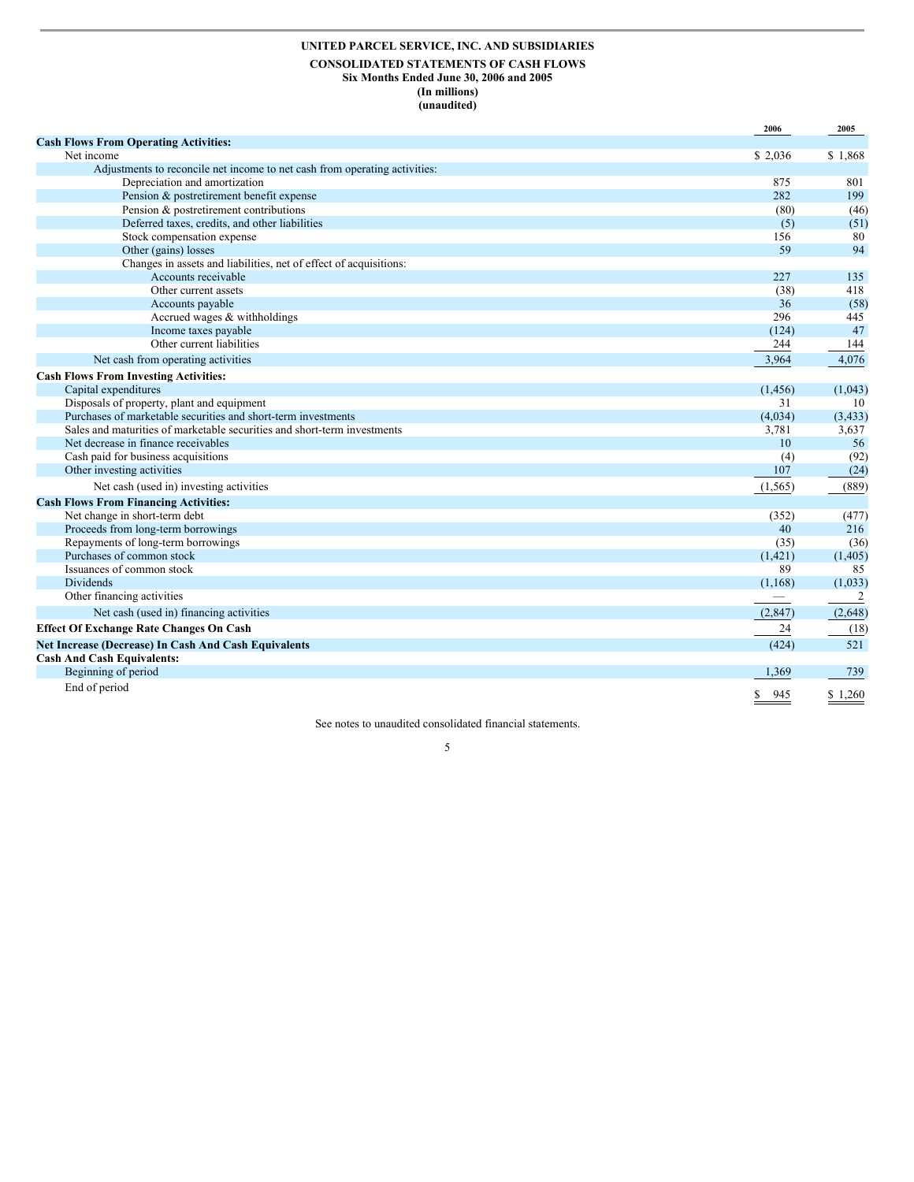### **UNITED PARCEL SERVICE, INC. AND SUBSIDIARIES CONSOLIDATED STATEMENTS OF CASH FLOWS Six Months Ended June 30, 2006 and 2005 (In millions) (unaudited)**

|                                                                            | 2006      | 2005     |
|----------------------------------------------------------------------------|-----------|----------|
| <b>Cash Flows From Operating Activities:</b>                               |           |          |
| Net income                                                                 | \$ 2,036  | \$1,868  |
| Adjustments to reconcile net income to net cash from operating activities: |           |          |
| Depreciation and amortization                                              | 875       | 801      |
| Pension & postretirement benefit expense                                   | 282       | 199      |
| Pension & postretirement contributions                                     | (80)      | (46)     |
| Deferred taxes, credits, and other liabilities                             | (5)       | (51)     |
| Stock compensation expense                                                 | 156       | 80       |
| Other (gains) losses                                                       | 59        | 94       |
| Changes in assets and liabilities, net of effect of acquisitions:          |           |          |
| Accounts receivable                                                        | 227       | 135      |
| Other current assets                                                       | (38)      | 418      |
| Accounts payable                                                           | 36        | (58)     |
| Accrued wages & withholdings                                               | 296       | 445      |
| Income taxes payable                                                       | (124)     | 47       |
| Other current liabilities                                                  | 244       | 144      |
| Net cash from operating activities                                         | 3,964     | 4,076    |
| <b>Cash Flows From Investing Activities:</b>                               |           |          |
| Capital expenditures                                                       | (1, 456)  | (1,043)  |
| Disposals of property, plant and equipment                                 | 31        | 10       |
| Purchases of marketable securities and short-term investments              | (4,034)   | (3, 433) |
| Sales and maturities of marketable securities and short-term investments   | 3,781     | 3,637    |
| Net decrease in finance receivables                                        | 10        | 56       |
| Cash paid for business acquisitions                                        | (4)       | (92)     |
| Other investing activities                                                 | 107       | (24)     |
| Net cash (used in) investing activities                                    | (1, 565)  | (889)    |
| <b>Cash Flows From Financing Activities:</b>                               |           |          |
| Net change in short-term debt                                              | (352)     | (477)    |
| Proceeds from long-term borrowings                                         | 40        | 216      |
| Repayments of long-term borrowings                                         | (35)      | (36)     |
| Purchases of common stock                                                  | (1,421)   | (1, 405) |
| Issuances of common stock                                                  | 89        | 85       |
| <b>Dividends</b>                                                           | (1, 168)  | (1,033)  |
| Other financing activities                                                 |           | 2        |
| Net cash (used in) financing activities                                    | (2,847)   | (2,648)  |
| <b>Effect Of Exchange Rate Changes On Cash</b>                             | 24        | (18)     |
| Net Increase (Decrease) In Cash And Cash Equivalents                       | (424)     | 521      |
| <b>Cash And Cash Equivalents:</b>                                          |           |          |
| Beginning of period                                                        | 1,369     | 739      |
| End of period                                                              | 945<br>S. | \$1,260  |

See notes to unaudited consolidated financial statements.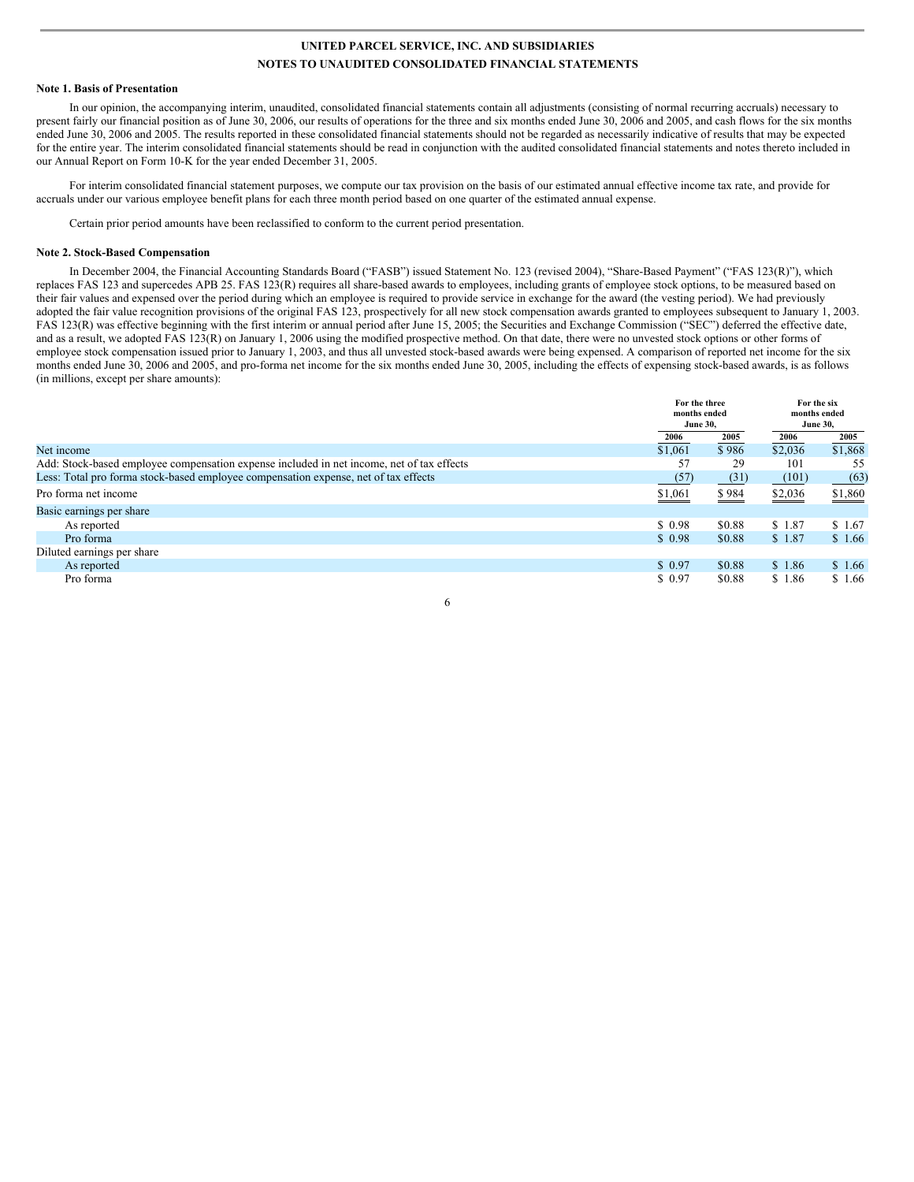#### **Note 1. Basis of Presentation**

In our opinion, the accompanying interim, unaudited, consolidated financial statements contain all adjustments (consisting of normal recurring accruals) necessary to present fairly our financial position as of June 30, 2006, our results of operations for the three and six months ended June 30, 2006 and 2005, and cash flows for the six months ended June 30, 2006 and 2005. The results reported in these consolidated financial statements should not be regarded as necessarily indicative of results that may be expected for the entire year. The interim consolidated financial statements should be read in conjunction with the audited consolidated financial statements and notes thereto included in our Annual Report on Form 10-K for the year ended December 31, 2005.

For interim consolidated financial statement purposes, we compute our tax provision on the basis of our estimated annual effective income tax rate, and provide for accruals under our various employee benefit plans for each three month period based on one quarter of the estimated annual expense.

Certain prior period amounts have been reclassified to conform to the current period presentation.

#### **Note 2. Stock-Based Compensation**

In December 2004, the Financial Accounting Standards Board ("FASB") issued Statement No. 123 (revised 2004), "Share-Based Payment" ("FAS 123(R)"), which replaces FAS 123 and supercedes APB 25. FAS 123(R) requires all share-based awards to employees, including grants of employee stock options, to be measured based on their fair values and expensed over the period during which an employee is required to provide service in exchange for the award (the vesting period). We had previously adopted the fair value recognition provisions of the original FAS 123, prospectively for all new stock compensation awards granted to employees subsequent to January 1, 2003. FAS 123(R) was effective beginning with the first interim or annual period after June 15, 2005; the Securities and Exchange Commission ("SEC") deferred the effective date, and as a result, we adopted FAS 123(R) on January 1, 2006 using the modified prospective method. On that date, there were no unvested stock options or other forms of employee stock compensation issued prior to January 1, 2003, and thus all unvested stock-based awards were being expensed. A comparison of reported net income for the six months ended June 30, 2006 and 2005, and pro-forma net income for the six months ended June 30, 2005, including the effects of expensing stock-based awards, is as follows (in millions, except per share amounts):

|                                                                                           |         | For the three<br>months ended<br><b>June 30,</b> |         | For the six<br>months ended<br><b>June 30,</b> |
|-------------------------------------------------------------------------------------------|---------|--------------------------------------------------|---------|------------------------------------------------|
|                                                                                           | 2006    | 2005                                             | 2006    | 2005                                           |
| Net income                                                                                | \$1,061 | \$986                                            | \$2,036 | \$1,868                                        |
| Add: Stock-based employee compensation expense included in net income, net of tax effects | 57      | 29                                               | 101     | 55                                             |
| Less: Total pro forma stock-based employee compensation expense, net of tax effects       | (57)    | (31)                                             | (101)   | (63)                                           |
| Pro forma net income                                                                      | \$1,061 | \$984                                            | \$2,036 | \$1,860                                        |
| Basic earnings per share                                                                  |         |                                                  |         |                                                |
| As reported                                                                               | \$0.98  | \$0.88                                           | \$1.87  | \$1.67                                         |
| Pro forma                                                                                 | \$0.98  | \$0.88                                           | \$1.87  | \$1.66                                         |
| Diluted earnings per share                                                                |         |                                                  |         |                                                |
| As reported                                                                               | \$0.97  | \$0.88                                           | \$1.86  | \$1.66                                         |
| Pro forma                                                                                 | \$0.97  | \$0.88                                           | \$1.86  | \$1.66                                         |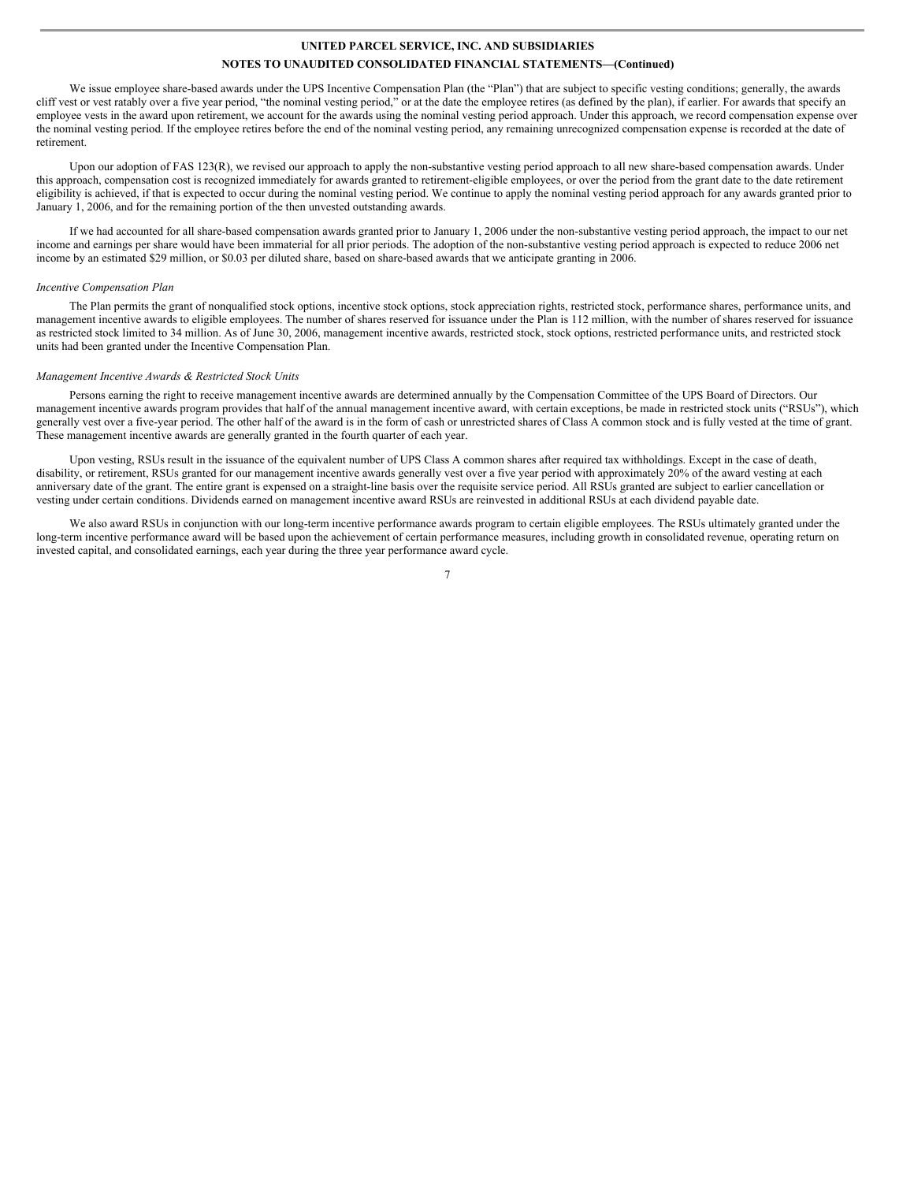We issue employee share-based awards under the UPS Incentive Compensation Plan (the "Plan") that are subject to specific vesting conditions; generally, the awards cliff vest or vest ratably over a five year period, "the nominal vesting period," or at the date the employee retires (as defined by the plan), if earlier. For awards that specify an employee vests in the award upon retirement, we account for the awards using the nominal vesting period approach. Under this approach, we record compensation expense over the nominal vesting period. If the employee retires before the end of the nominal vesting period, any remaining unrecognized compensation expense is recorded at the date of retirement.

Upon our adoption of FAS 123(R), we revised our approach to apply the non-substantive vesting period approach to all new share-based compensation awards. Under this approach, compensation cost is recognized immediately for awards granted to retirement-eligible employees, or over the period from the grant date to the date retirement eligibility is achieved, if that is expected to occur during the nominal vesting period. We continue to apply the nominal vesting period approach for any awards granted prior to January 1, 2006, and for the remaining portion of the then unvested outstanding awards.

If we had accounted for all share-based compensation awards granted prior to January 1, 2006 under the non-substantive vesting period approach, the impact to our net income and earnings per share would have been immaterial for all prior periods. The adoption of the non-substantive vesting period approach is expected to reduce 2006 net income by an estimated \$29 million, or \$0.03 per diluted share, based on share-based awards that we anticipate granting in 2006.

#### *Incentive Compensation Plan*

The Plan permits the grant of nonqualified stock options, incentive stock options, stock appreciation rights, restricted stock, performance shares, performance units, and management incentive awards to eligible employees. The number of shares reserved for issuance under the Plan is 112 million, with the number of shares reserved for issuance as restricted stock limited to 34 million. As of June 30, 2006, management incentive awards, restricted stock, stock options, restricted performance units, and restricted stock units had been granted under the Incentive Compensation Plan.

#### *Management Incentive Awards & Restricted Stock Units*

Persons earning the right to receive management incentive awards are determined annually by the Compensation Committee of the UPS Board of Directors. Our management incentive awards program provides that half of the annual management incentive award, with certain exceptions, be made in restricted stock units ("RSUs"), which generally vest over a five-year period. The other half of the award is in the form of cash or unrestricted shares of Class A common stock and is fully vested at the time of grant. These management incentive awards are generally granted in the fourth quarter of each year.

Upon vesting, RSUs result in the issuance of the equivalent number of UPS Class A common shares after required tax withholdings. Except in the case of death, disability, or retirement, RSUs granted for our management incentive awards generally vest over a five year period with approximately 20% of the award vesting at each anniversary date of the grant. The entire grant is expensed on a straight-line basis over the requisite service period. All RSUs granted are subject to earlier cancellation or vesting under certain conditions. Dividends earned on management incentive award RSUs are reinvested in additional RSUs at each dividend payable date.

We also award RSUs in conjunction with our long-term incentive performance awards program to certain eligible employees. The RSUs ultimately granted under the long-term incentive performance award will be based upon the achievement of certain performance measures, including growth in consolidated revenue, operating return on invested capital, and consolidated earnings, each year during the three year performance award cycle.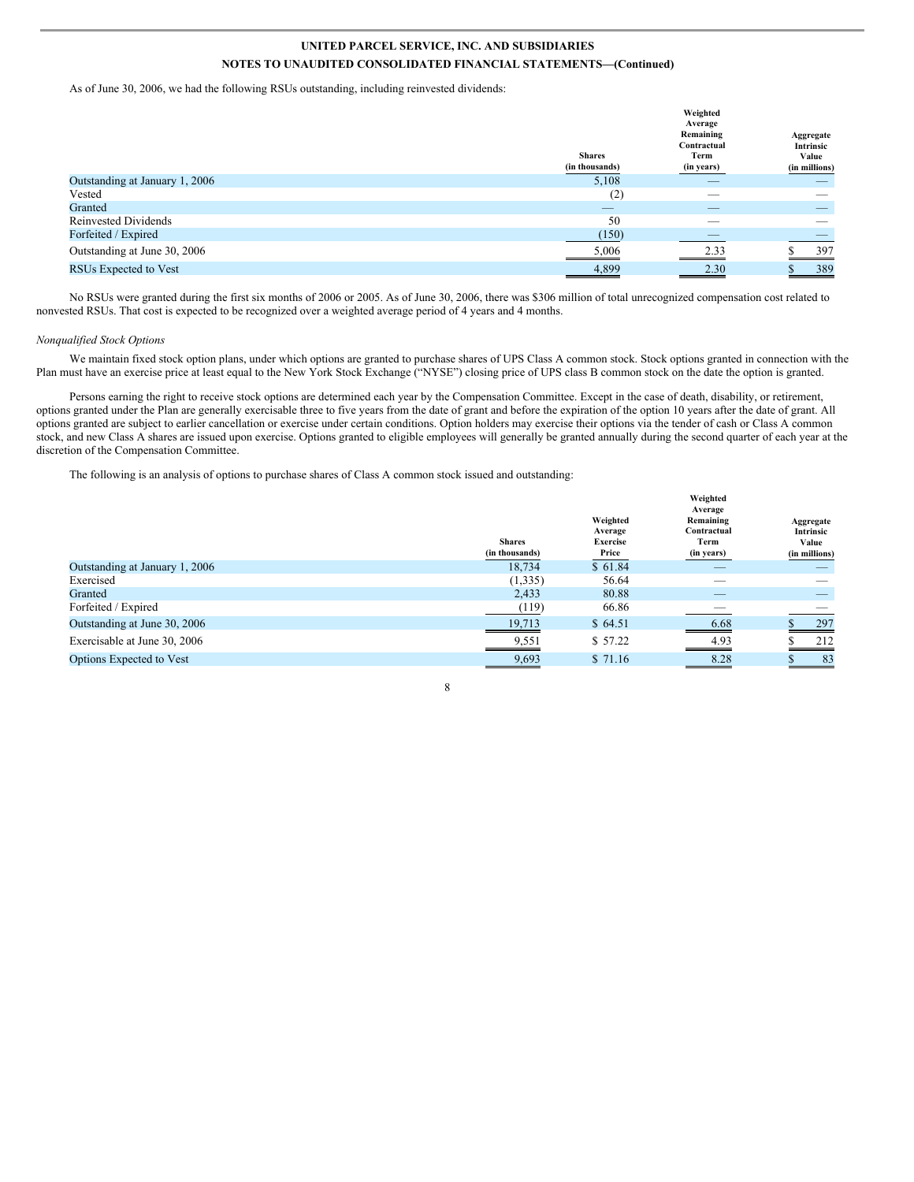As of June 30, 2006, we had the following RSUs outstanding, including reinvested dividends:

|                                | <b>Shares</b><br>(in thousands) | Weighted<br>Average<br>Remaining<br>Contractual<br>Term<br>(in years) | Aggregate<br>Intrinsic<br>Value<br>(in millions) |
|--------------------------------|---------------------------------|-----------------------------------------------------------------------|--------------------------------------------------|
| Outstanding at January 1, 2006 | 5,108                           | $-$                                                                   | _                                                |
| Vested                         | (2)                             | $\sim$                                                                |                                                  |
| Granted                        | $\overline{\phantom{a}}$        |                                                                       |                                                  |
| <b>Reinvested Dividends</b>    | 50                              | _                                                                     | __                                               |
| Forfeited / Expired            | (150)                           | $-$                                                                   | _                                                |
| Outstanding at June 30, 2006   | 5,006                           | 2.33                                                                  | 397                                              |
| RSUs Expected to Vest          | 4,899                           | 2.30                                                                  | 389                                              |
|                                |                                 |                                                                       |                                                  |

No RSUs were granted during the first six months of 2006 or 2005. As of June 30, 2006, there was \$306 million of total unrecognized compensation cost related to nonvested RSUs. That cost is expected to be recognized over a weighted average period of 4 years and 4 months.

#### *Nonqualified Stock Options*

We maintain fixed stock option plans, under which options are granted to purchase shares of UPS Class A common stock. Stock options granted in connection with the Plan must have an exercise price at least equal to the New York Stock Exchange ("NYSE") closing price of UPS class B common stock on the date the option is granted.

Persons earning the right to receive stock options are determined each year by the Compensation Committee. Except in the case of death, disability, or retirement, options granted under the Plan are generally exercisable three to five years from the date of grant and before the expiration of the option 10 years after the date of grant. All options granted are subject to earlier cancellation or exercise under certain conditions. Option holders may exercise their options via the tender of cash or Class A common stock, and new Class A shares are issued upon exercise. Options granted to eligible employees will generally be granted annually during the second quarter of each year at the discretion of the Compensation Committee.

The following is an analysis of options to purchase shares of Class A common stock issued and outstanding:

|                                | <b>Shares</b><br>(in thousands) | Weighted<br>Average<br>Exercise<br>Price | Weighted<br>Average<br>Remaining<br>Contractual<br>Term<br>(in years) | Aggregate<br>Intrinsic<br>Value<br>(in millions) |
|--------------------------------|---------------------------------|------------------------------------------|-----------------------------------------------------------------------|--------------------------------------------------|
| Outstanding at January 1, 2006 | 18.734                          | \$61.84                                  | _                                                                     |                                                  |
| Exercised                      | (1,335)                         | 56.64                                    | __                                                                    |                                                  |
| Granted                        | 2,433                           | 80.88                                    | _                                                                     |                                                  |
| Forfeited / Expired            | (119)                           | 66.86                                    | __                                                                    |                                                  |
| Outstanding at June 30, 2006   | 19,713                          | \$64.51                                  | 6.68                                                                  | 297                                              |
| Exercisable at June 30, 2006   | 9,551                           | \$57.22                                  | 4.93                                                                  | 212                                              |
| Options Expected to Vest       | 9,693                           | \$71.16                                  | 8.28                                                                  | -83                                              |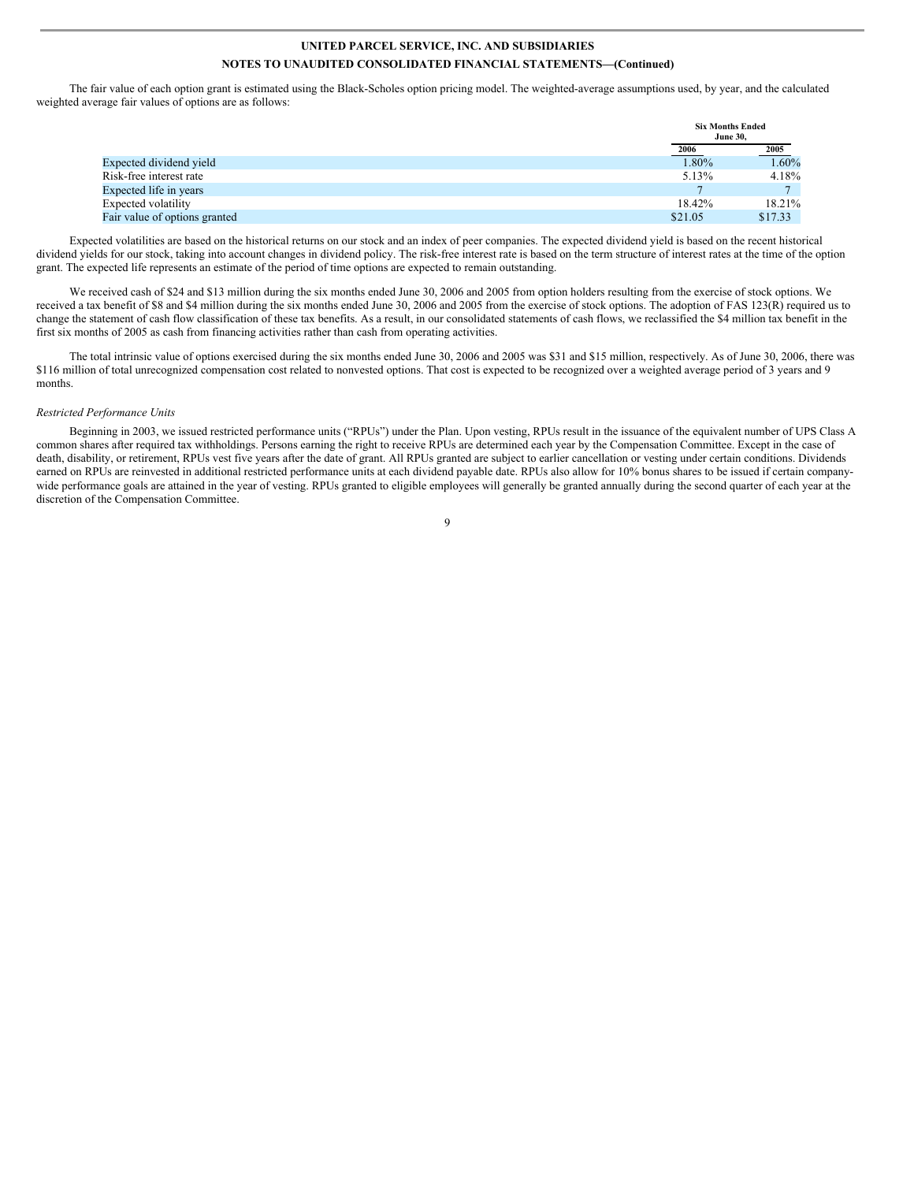The fair value of each option grant is estimated using the Black-Scholes option pricing model. The weighted-average assumptions used, by year, and the calculated weighted average fair values of options are as follows:

| <b>Six Months Ended</b><br><b>June 30.</b> |         |
|--------------------------------------------|---------|
| 2006                                       | 2005    |
| 1.80%                                      | 1.60%   |
| 5.13%                                      | 4.18%   |
|                                            |         |
| 18.42%                                     | 18.21%  |
| \$21.05                                    | \$17.33 |
|                                            |         |

Expected volatilities are based on the historical returns on our stock and an index of peer companies. The expected dividend yield is based on the recent historical dividend yields for our stock, taking into account changes in dividend policy. The risk-free interest rate is based on the term structure of interest rates at the time of the option grant. The expected life represents an estimate of the period of time options are expected to remain outstanding.

We received cash of \$24 and \$13 million during the six months ended June 30, 2006 and 2005 from option holders resulting from the exercise of stock options. We received a tax benefit of \$8 and \$4 million during the six months ended June 30, 2006 and 2005 from the exercise of stock options. The adoption of FAS 123(R) required us to change the statement of cash flow classification of these tax benefits. As a result, in our consolidated statements of cash flows, we reclassified the \$4 million tax benefit in the first six months of 2005 as cash from financing activities rather than cash from operating activities.

The total intrinsic value of options exercised during the six months ended June 30, 2006 and 2005 was \$31 and \$15 million, respectively. As of June 30, 2006, there was \$116 million of total unrecognized compensation cost related to nonvested options. That cost is expected to be recognized over a weighted average period of 3 years and 9 months.

#### *Restricted Performance Units*

Beginning in 2003, we issued restricted performance units ("RPUs") under the Plan. Upon vesting, RPUs result in the issuance of the equivalent number of UPS Class A common shares after required tax withholdings. Persons earning the right to receive RPUs are determined each year by the Compensation Committee. Except in the case of death, disability, or retirement, RPUs vest five years after the date of grant. All RPUs granted are subject to earlier cancellation or vesting under certain conditions. Dividends earned on RPUs are reinvested in additional restricted performance units at each dividend payable date. RPUs also allow for 10% bonus shares to be issued if certain companywide performance goals are attained in the year of vesting. RPUs granted to eligible employees will generally be granted annually during the second quarter of each year at the discretion of the Compensation Committee.

 $\overline{Q}$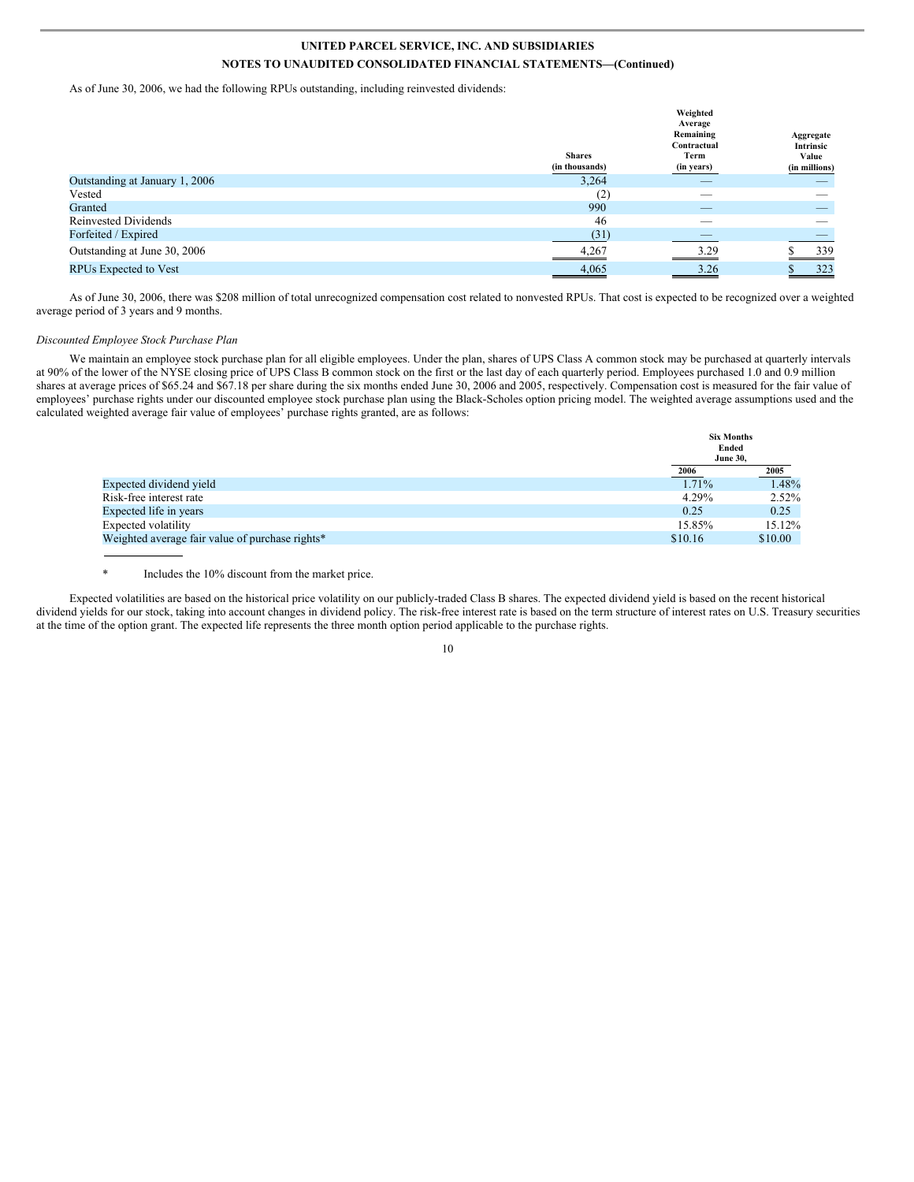As of June 30, 2006, we had the following RPUs outstanding, including reinvested dividends:

|                                | <b>Shares</b><br>(in thousands) | Weighted<br>Average<br>Remaining<br>Contractual<br>Term<br>(in years) | Aggregate<br>Intrinsic<br>Value<br>(in millions) |
|--------------------------------|---------------------------------|-----------------------------------------------------------------------|--------------------------------------------------|
| Outstanding at January 1, 2006 | 3,264                           |                                                                       |                                                  |
| Vested                         | (2)                             | __                                                                    |                                                  |
| Granted                        | 990                             | _                                                                     |                                                  |
| <b>Reinvested Dividends</b>    | 46                              |                                                                       |                                                  |
| Forfeited / Expired            | (31)                            |                                                                       |                                                  |
| Outstanding at June 30, 2006   | 4,267                           | 3.29                                                                  | 339                                              |
| <b>RPUs Expected to Vest</b>   | 4,065<br>_____                  | 3.26                                                                  | 323                                              |

As of June 30, 2006, there was \$208 million of total unrecognized compensation cost related to nonvested RPUs. That cost is expected to be recognized over a weighted average period of 3 years and 9 months.

#### *Discounted Employee Stock Purchase Plan*

We maintain an employee stock purchase plan for all eligible employees. Under the plan, shares of UPS Class A common stock may be purchased at quarterly intervals at 90% of the lower of the NYSE closing price of UPS Class B common stock on the first or the last day of each quarterly period. Employees purchased 1.0 and 0.9 million shares at average prices of \$65.24 and \$67.18 per share during the six months ended June 30, 2006 and 2005, respectively. Compensation cost is measured for the fair value of employees' purchase rights under our discounted employee stock purchase plan using the Black-Scholes option pricing model. The weighted average assumptions used and the calculated weighted average fair value of employees' purchase rights granted, are as follows:

|                                                 | <b>Six Months</b> |         |
|-------------------------------------------------|-------------------|---------|
|                                                 | Ended             |         |
|                                                 | <b>June 30,</b>   |         |
|                                                 | 2006              | 2005    |
| Expected dividend yield                         | 1.71%             | 1.48%   |
| Risk-free interest rate                         | 4.29%             | 2.52%   |
| Expected life in years                          | 0.25              | 0.25    |
| Expected volatility                             | 15.85%            | 15.12%  |
| Weighted average fair value of purchase rights* | \$10.16           | \$10.00 |

**Six Months**

#### \* Includes the 10% discount from the market price.

Expected volatilities are based on the historical price volatility on our publicly-traded Class B shares. The expected dividend yield is based on the recent historical dividend yields for our stock, taking into account changes in dividend policy. The risk-free interest rate is based on the term structure of interest rates on U.S. Treasury securities at the time of the option grant. The expected life represents the three month option period applicable to the purchase rights.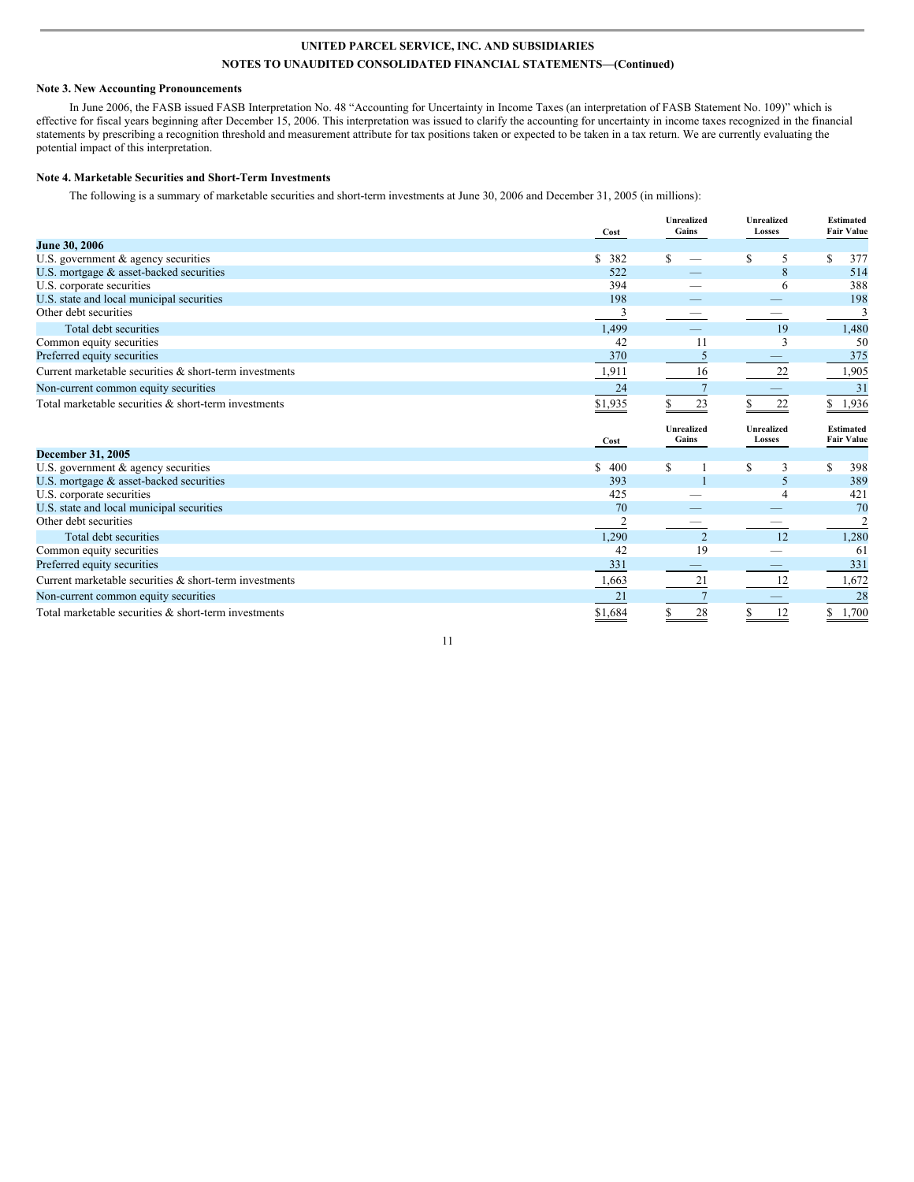#### **Note 3. New Accounting Pronouncements**

In June 2006, the FASB issued FASB Interpretation No. 48 "Accounting for Uncertainty in Income Taxes (an interpretation of FASB Statement No. 109)" which is effective for fiscal years beginning after December 15, 2006. This interpretation was issued to clarify the accounting for uncertainty in income taxes recognized in the financial statements by prescribing a recognition threshold and measurement attribute for tax positions taken or expected to be taken in a tax return. We are currently evaluating the potential impact of this interpretation.

#### **Note 4. Marketable Securities and Short-Term Investments**

The following is a summary of marketable securities and short-term investments at June 30, 2006 and December 31, 2005 (in millions):

|                                                        | Cost      | <b>Unrealized</b><br>Gains | <b>Unrealized</b><br>Losses | <b>Estimated</b><br><b>Fair Value</b> |
|--------------------------------------------------------|-----------|----------------------------|-----------------------------|---------------------------------------|
| June 30, 2006                                          |           |                            |                             |                                       |
| U.S. government & agency securities                    | \$ 382    | S                          | S<br>5                      | \$<br>377                             |
| U.S. mortgage & asset-backed securities                | 522       |                            | 8                           | 514                                   |
| U.S. corporate securities                              | 394       |                            | 6                           | 388                                   |
| U.S. state and local municipal securities              | 198       |                            |                             | 198                                   |
| Other debt securities                                  | 3         |                            |                             | 3                                     |
| Total debt securities                                  | 1,499     |                            | 19                          | 1,480                                 |
| Common equity securities                               | 42        | 11                         | 3                           | 50                                    |
| Preferred equity securities                            | 370       |                            |                             | 375                                   |
| Current marketable securities & short-term investments | 1,911     | 16                         | 22                          | 1,905                                 |
| Non-current common equity securities                   | 24        |                            |                             | 31                                    |
| Total marketable securities & short-term investments   | \$1,935   | 23                         | 22                          | 1,936<br>S.                           |
|                                                        |           | <b>Unrealized</b>          | Unrealized                  | <b>Estimated</b>                      |
|                                                        | Cost      | Gains                      | Losses                      | <b>Fair Value</b>                     |
| <b>December 31, 2005</b>                               |           |                            |                             |                                       |
| U.S. government & agency securities                    | S.<br>400 | S                          | \$.<br>3                    | 398<br>\$                             |
| U.S. mortgage & asset-backed securities                | 393       |                            | 5                           | 389                                   |
| U.S. corporate securities                              | 425       |                            |                             | 421                                   |
| U.S. state and local municipal securities              | 70        |                            |                             | 70                                    |
| Other debt securities                                  | 2         |                            |                             | $\overline{2}$                        |
| Total debt securities                                  | 1,290     | $\overline{2}$             | 12                          | 1,280                                 |
| Common equity securities                               | 42        | 19                         |                             | 61                                    |
| Preferred equity securities                            | 331       |                            |                             | 331                                   |
| Current marketable securities & short-term investments | 1,663     | 21                         | 12                          | 1,672                                 |
| Non-current common equity securities                   | 21        |                            |                             | 28                                    |

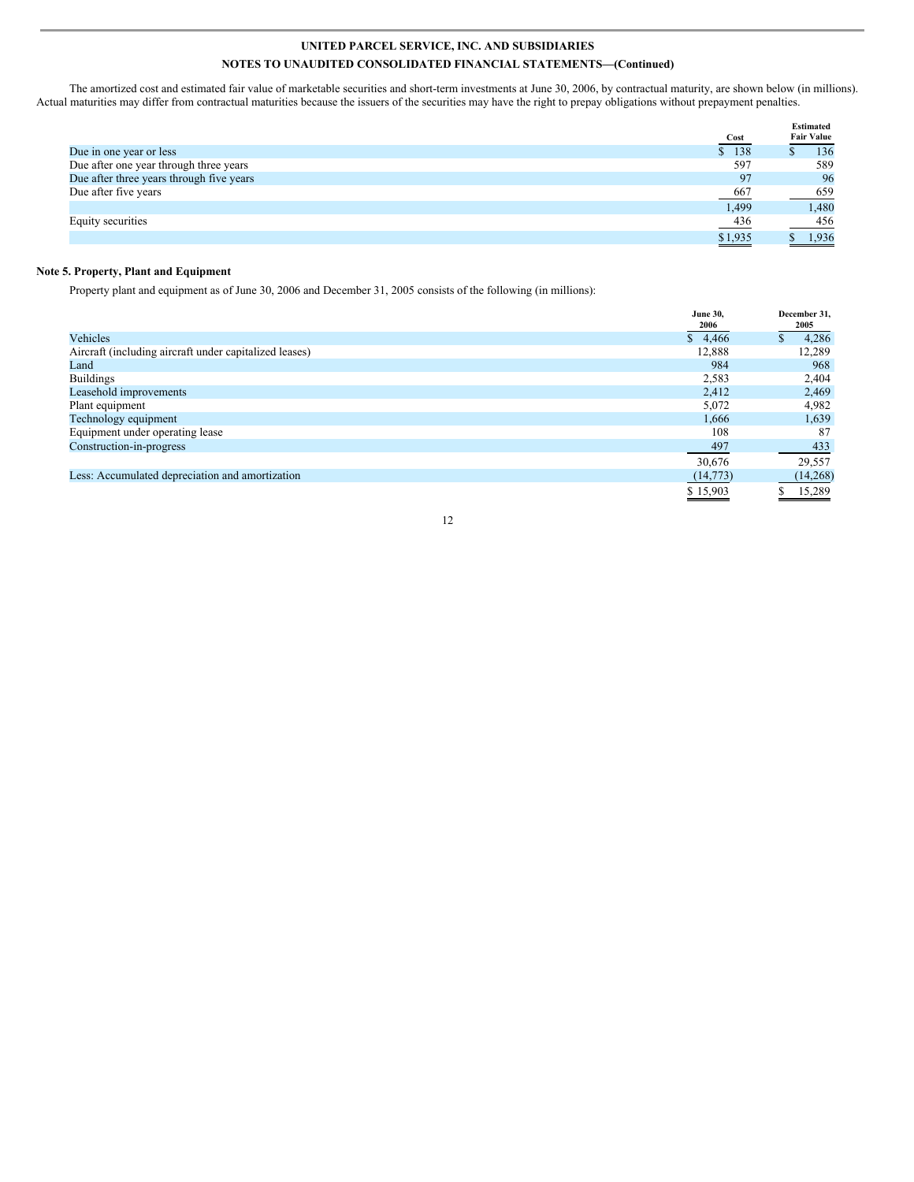The amortized cost and estimated fair value of marketable securities and short-term investments at June 30, 2006, by contractual maturity, are shown below (in millions). Actual maturities may differ from contractual maturities because the issuers of the securities may have the right to prepay obligations without prepayment penalties.

|                                          |          | <b>Estimated</b>  |
|------------------------------------------|----------|-------------------|
|                                          | Cost     | <b>Fair Value</b> |
| Due in one year or less                  | 138<br>S | 136               |
| Due after one year through three years   | 597      | 589               |
| Due after three years through five years | 97       | 96                |
| Due after five years                     | 667      | 659               |
|                                          | 1,499    | 1,480             |
| Equity securities                        | 436      | 456               |
|                                          | \$1,935  | 1.936             |

### **Note 5. Property, Plant and Equipment**

Property plant and equipment as of June 30, 2006 and December 31, 2005 consists of the following (in millions):

|                                                        | <b>June 30,</b><br>2006 | December 31,<br>2005 |
|--------------------------------------------------------|-------------------------|----------------------|
| Vehicles                                               | \$4,466                 | 4,286                |
| Aircraft (including aircraft under capitalized leases) | 12,888                  | 12,289               |
| Land                                                   | 984                     | 968                  |
| <b>Buildings</b>                                       | 2,583                   | 2,404                |
| Leasehold improvements                                 | 2,412                   | 2,469                |
| Plant equipment                                        | 5,072                   | 4,982                |
| Technology equipment                                   | 1.666                   | 1,639                |
| Equipment under operating lease                        | 108                     | 87                   |
| Construction-in-progress                               | 497                     | 433                  |
|                                                        | 30,676                  | 29,557               |
| Less: Accumulated depreciation and amortization        | (14, 773)               | (14, 268)            |
|                                                        | \$15,903                | 15,289               |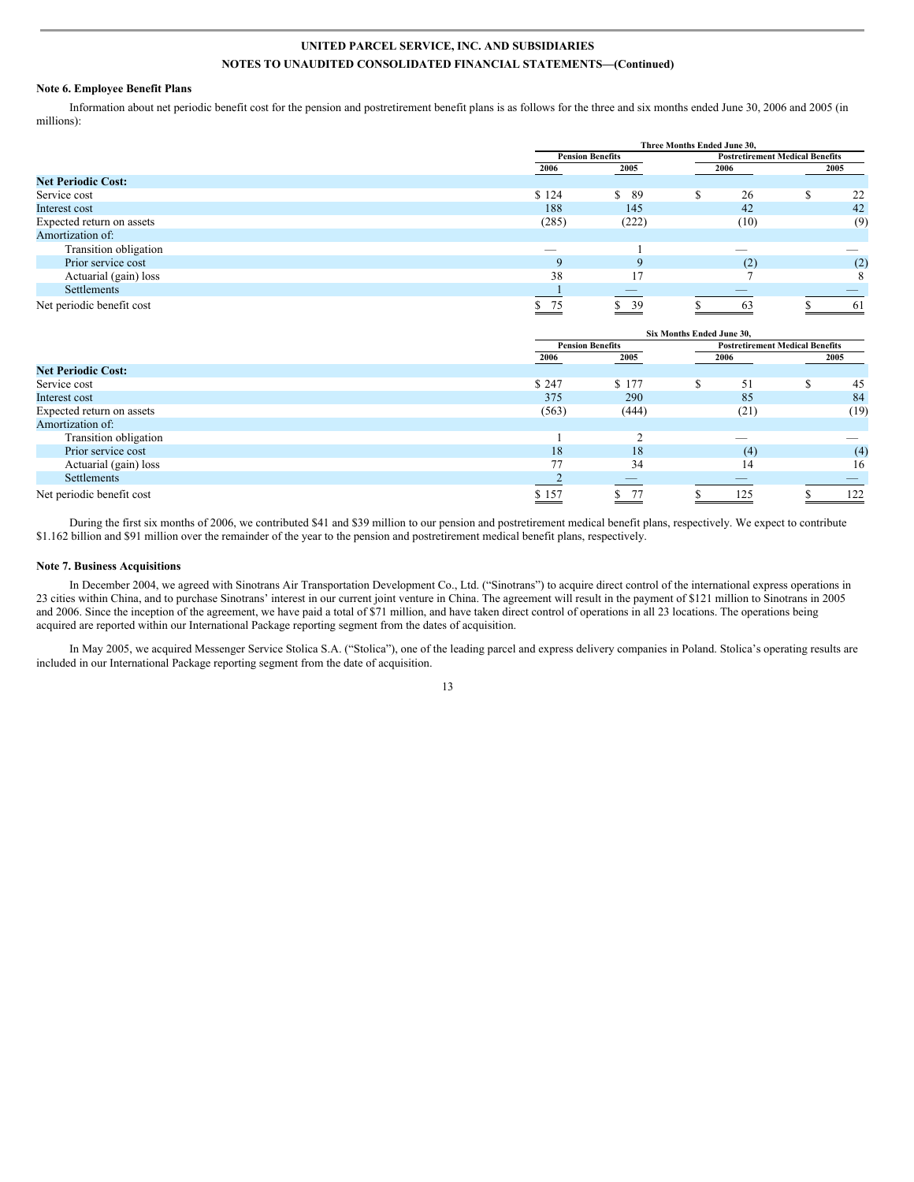#### **Note 6. Employee Benefit Plans**

Information about net periodic benefit cost for the pension and postretirement benefit plans is as follows for the three and six months ended June 30, 2006 and 2005 (in millions):

|                           |                | Three Months Ended June 30. |  |      |                                        |      |  |
|---------------------------|----------------|-----------------------------|--|------|----------------------------------------|------|--|
|                           |                | <b>Pension Benefits</b>     |  |      | <b>Postretirement Medical Benefits</b> |      |  |
|                           | 2006           | 2005                        |  | 2006 |                                        | 2005 |  |
| <b>Net Periodic Cost:</b> |                |                             |  |      |                                        |      |  |
| Service cost              | \$124          | S.<br>-89                   |  | 26   |                                        | 22   |  |
| Interest cost             | 188            | 145                         |  | 42   |                                        | 42   |  |
| Expected return on assets | (285)          | (222)                       |  | (10) |                                        | (9)  |  |
| Amortization of:          |                |                             |  |      |                                        |      |  |
| Transition obligation     |                |                             |  |      |                                        |      |  |
| Prior service cost        | $\Omega$       | 9                           |  | (2)  |                                        | (2)  |  |
| Actuarial (gain) loss     | 38             | 17                          |  |      |                                        | 8    |  |
| Settlements               |                |                             |  |      |                                        |      |  |
| Net periodic benefit cost | $\frac{\$}$ 75 | 39                          |  | 63   |                                        | -61  |  |

|                           |       | Six Months Ended June 30. |  |                                        |  |      |  |
|---------------------------|-------|---------------------------|--|----------------------------------------|--|------|--|
|                           |       | <b>Pension Benefits</b>   |  | <b>Postretirement Medical Benefits</b> |  |      |  |
|                           | 2006  | 2005                      |  | 2006                                   |  | 2005 |  |
| <b>Net Periodic Cost:</b> |       |                           |  |                                        |  |      |  |
| Service cost              | \$247 | \$177                     |  | 51                                     |  | 45   |  |
| Interest cost             | 375   | 290                       |  | 85                                     |  | 84   |  |
| Expected return on assets | (563) | (444)                     |  | (21)                                   |  | (19) |  |
| Amortization of:          |       |                           |  |                                        |  |      |  |
| Transition obligation     |       |                           |  | _                                      |  |      |  |
| Prior service cost        | 18    | 18                        |  | (4)                                    |  | (4)  |  |
| Actuarial (gain) loss     | 77    | 34                        |  | 14                                     |  | 16   |  |
| Settlements               |       |                           |  |                                        |  |      |  |
| Net periodic benefit cost | \$157 |                           |  | 125                                    |  | 122  |  |

During the first six months of 2006, we contributed \$41 and \$39 million to our pension and postretirement medical benefit plans, respectively. We expect to contribute \$1.162 billion and \$91 million over the remainder of the year to the pension and postretirement medical benefit plans, respectively.

#### **Note 7. Business Acquisitions**

In December 2004, we agreed with Sinotrans Air Transportation Development Co., Ltd. ("Sinotrans") to acquire direct control of the international express operations in 23 cities within China, and to purchase Sinotrans' interest in our current joint venture in China. The agreement will result in the payment of \$121 million to Sinotrans in 2005 and 2006. Since the inception of the agreement, we have paid a total of \$71 million, and have taken direct control of operations in all 23 locations. The operations being acquired are reported within our International Package reporting segment from the dates of acquisition.

In May 2005, we acquired Messenger Service Stolica S.A. ("Stolica"), one of the leading parcel and express delivery companies in Poland. Stolica's operating results are included in our International Package reporting segment from the date of acquisition.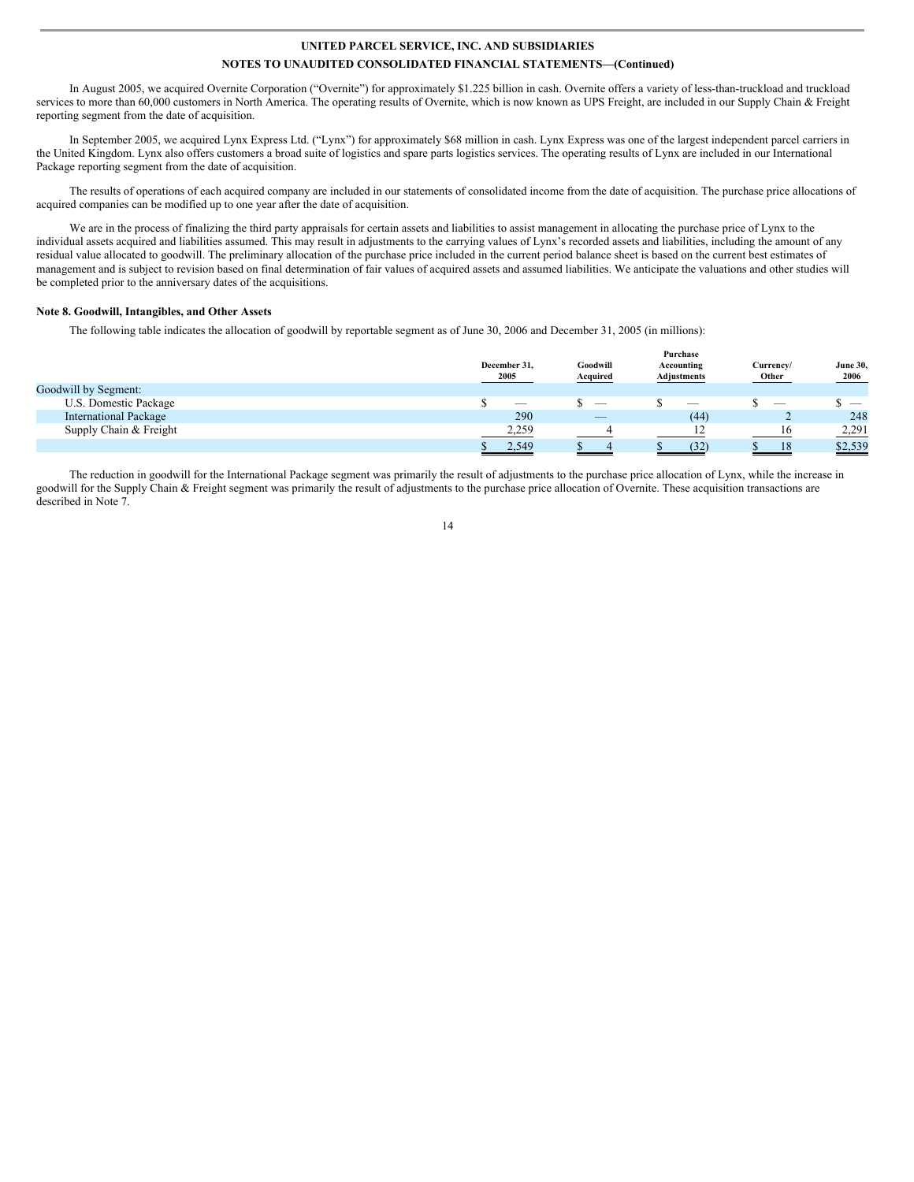In August 2005, we acquired Overnite Corporation ("Overnite") for approximately \$1.225 billion in cash. Overnite offers a variety of less-than-truckload and truckload services to more than 60,000 customers in North America. The operating results of Overnite, which is now known as UPS Freight, are included in our Supply Chain & Freight reporting segment from the date of acquisition.

In September 2005, we acquired Lynx Express Ltd. ("Lynx") for approximately \$68 million in cash. Lynx Express was one of the largest independent parcel carriers in the United Kingdom. Lynx also offers customers a broad suite of logistics and spare parts logistics services. The operating results of Lynx are included in our International Package reporting segment from the date of acquisition.

The results of operations of each acquired company are included in our statements of consolidated income from the date of acquisition. The purchase price allocations of acquired companies can be modified up to one year after the date of acquisition.

We are in the process of finalizing the third party appraisals for certain assets and liabilities to assist management in allocating the purchase price of Lynx to the individual assets acquired and liabilities assumed. This may result in adjustments to the carrying values of Lynx's recorded assets and liabilities, including the amount of any residual value allocated to goodwill. The preliminary allocation of the purchase price included in the current period balance sheet is based on the current best estimates of management and is subject to revision based on final determination of fair values of acquired assets and assumed liabilities. We anticipate the valuations and other studies will be completed prior to the anniversary dates of the acquisitions.

#### **Note 8. Goodwill, Intangibles, and Other Assets**

The following table indicates the allocation of goodwill by reportable segment as of June 30, 2006 and December 31, 2005 (in millions):

|                              | December 31,<br>2005     | Goodwill<br>Acquired     | Purchase<br>Accounting<br>Adjustments | Currencv/<br>Other       | <b>June 30,</b><br>2006 |
|------------------------------|--------------------------|--------------------------|---------------------------------------|--------------------------|-------------------------|
| Goodwill by Segment:         |                          |                          |                                       |                          |                         |
| U.S. Domestic Package        | $\overline{\phantom{0}}$ |                          | $\overline{\phantom{a}}$              | $\overline{\phantom{a}}$ | $\sim$                  |
| <b>International Package</b> | 290                      | $\overline{\phantom{a}}$ | (44)                                  | ∠                        | 248                     |
| Supply Chain & Freight       | 2,259                    |                          |                                       | 16                       | 2,291                   |
|                              | 2.549                    |                          | (32)                                  | 18                       | \$2,539                 |

The reduction in goodwill for the International Package segment was primarily the result of adjustments to the purchase price allocation of Lynx, while the increase in goodwill for the Supply Chain & Freight segment was primarily the result of adjustments to the purchase price allocation of Overnite. These acquisition transactions are described in Note 7.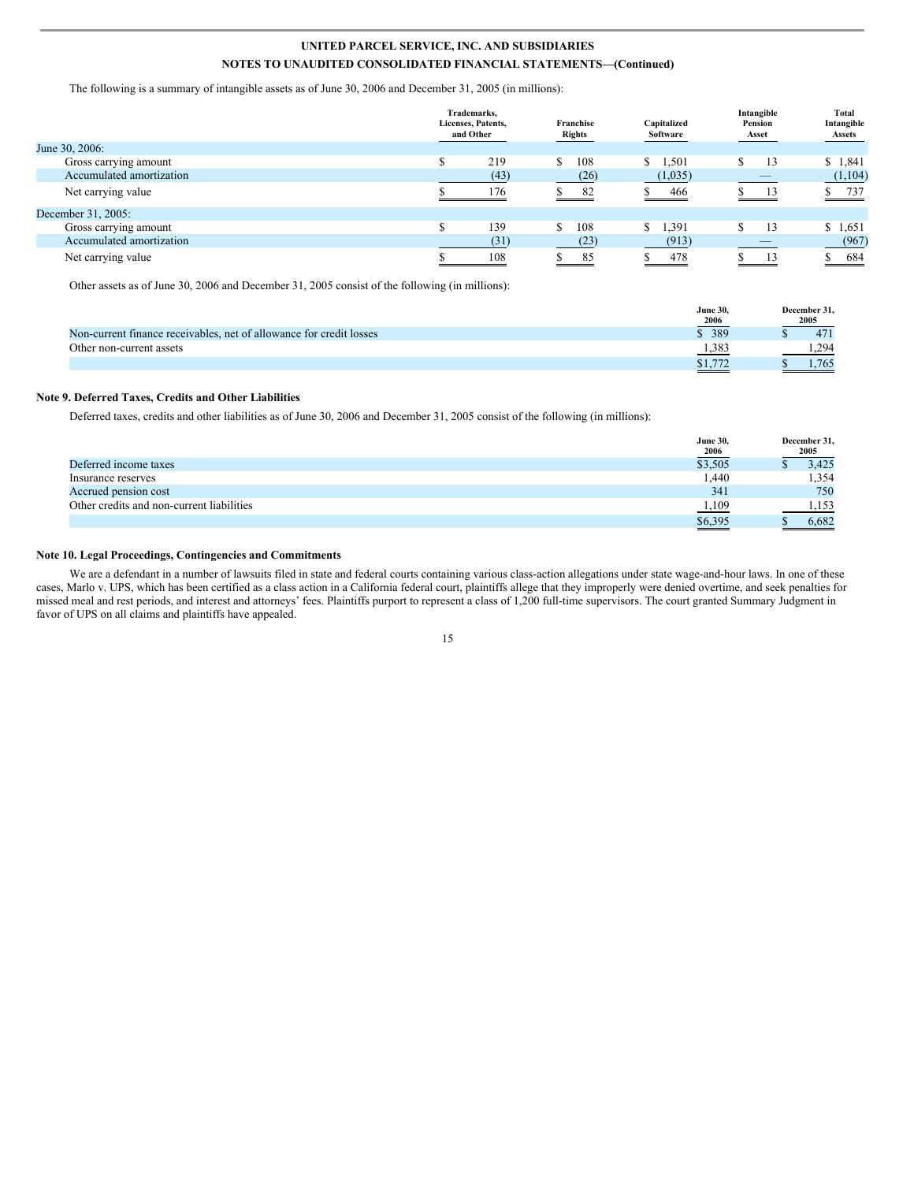The following is a summary of intangible assets as of June 30, 2006 and December 31, 2005 (in millions):

|                          | Trademarks.<br>Licenses, Patents,<br>and Other | Franchise<br><b>Rights</b> | Capitalized<br>Software | Intangible<br>Pension<br>Asset | <b>Total</b><br>Intangible<br><b>Assets</b> |
|--------------------------|------------------------------------------------|----------------------------|-------------------------|--------------------------------|---------------------------------------------|
| June 30, 2006:           |                                                |                            |                         |                                |                                             |
| Gross carrying amount    | 219                                            | 108<br>S.                  | 1,501<br>S.             | 13                             | \$1,841                                     |
| Accumulated amortization | (43)                                           | (26)                       | (1,035)                 |                                | (1,104)                                     |
| Net carrying value       | 176                                            | -82                        | 466                     |                                | \$737                                       |
| December 31, 2005:       |                                                |                            |                         |                                |                                             |
| Gross carrying amount    | 139                                            | 108<br>\$.                 | 1,391<br>S.             | 13                             | \$1,651                                     |
| Accumulated amortization | (31)                                           | (23)                       | (913)                   |                                | (967)                                       |
| Net carrying value       | 108                                            | 85                         | 478                     | 13                             | 684<br>and the control of the control of    |

Other assets as of June 30, 2006 and December 31, 2005 consist of the following (in millions):

|                                                                     | <b>June 30.</b>                                    | December 31. |
|---------------------------------------------------------------------|----------------------------------------------------|--------------|
|                                                                     | 2006<br><b>Contract Contract Contract Contract</b> | 2005         |
| Non-current finance receivables, net of allowance for credit losses | \$ 389                                             | 471          |
| Other non-current assets                                            | 1,383                                              | 294          |
|                                                                     | \$1,772                                            | .765         |

#### **Note 9. Deferred Taxes, Credits and Other Liabilities**

Deferred taxes, credits and other liabilities as of June 30, 2006 and December 31, 2005 consist of the following (in millions):

|                                           | <b>June 30,</b><br><b>2006</b> | December 31,<br>2005 |
|-------------------------------------------|--------------------------------|----------------------|
| Deferred income taxes                     | \$3,505                        | 3.425                |
| Insurance reserves                        | 1.440                          | 1,354                |
| Accrued pension cost                      | 341                            | 750                  |
| Other credits and non-current liabilities | 1,109                          | 1.153                |
|                                           | \$6,395                        | 6.682                |

### **Note 10. Legal Proceedings, Contingencies and Commitments**

We are a defendant in a number of lawsuits filed in state and federal courts containing various class-action allegations under state wage-and-hour laws. In one of these cases, Marlo v. UPS, which has been certified as a class action in a California federal court, plaintiffs allege that they improperly were denied overtime, and seek penalties for missed meal and rest periods, and interest and attorneys' fees. Plaintiffs purport to represent a class of 1,200 full-time supervisors. The court granted Summary Judgment in favor of UPS on all claims and plaintiffs have appealed.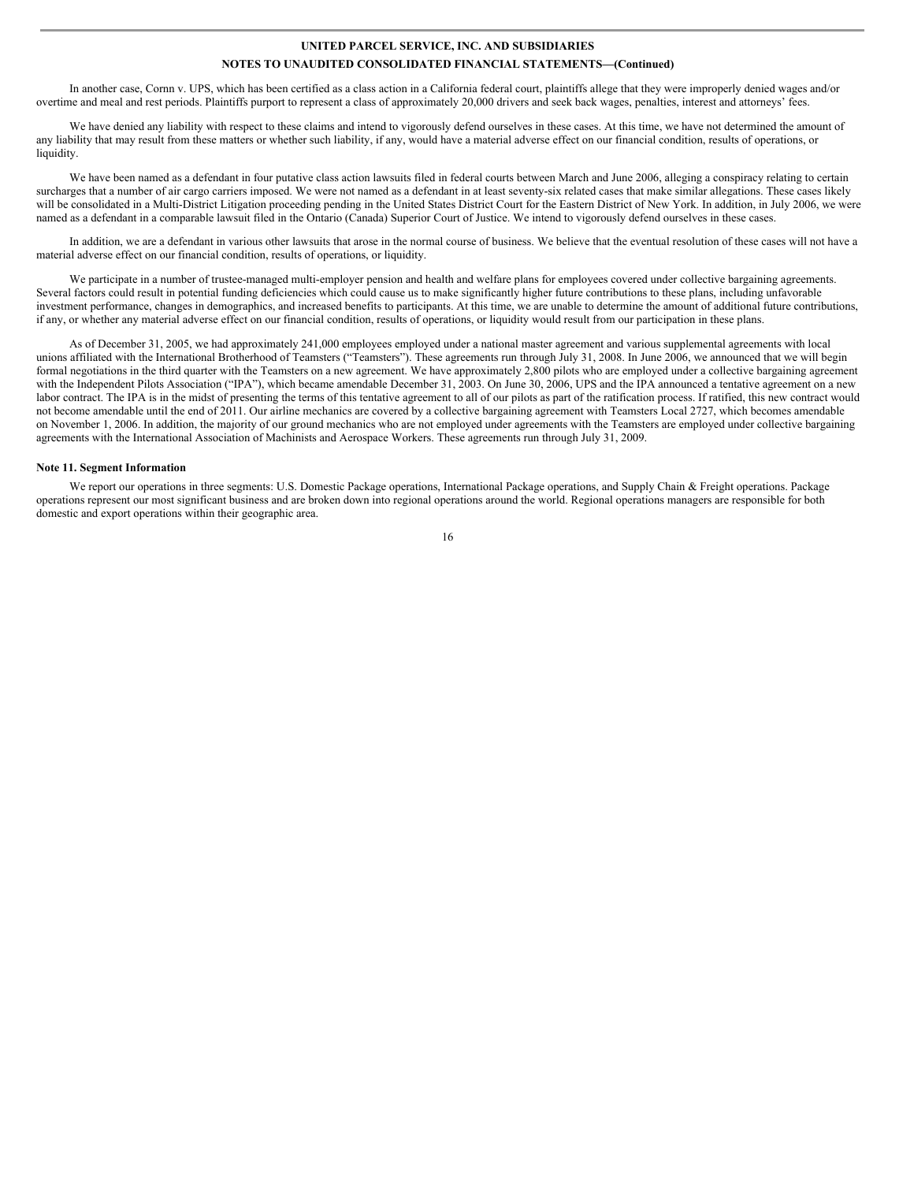In another case, Cornn v. UPS, which has been certified as a class action in a California federal court, plaintiffs allege that they were improperly denied wages and/or overtime and meal and rest periods. Plaintiffs purport to represent a class of approximately 20,000 drivers and seek back wages, penalties, interest and attorneys' fees.

We have denied any liability with respect to these claims and intend to vigorously defend ourselves in these cases. At this time, we have not determined the amount of any liability that may result from these matters or whether such liability, if any, would have a material adverse effect on our financial condition, results of operations, or liquidity.

We have been named as a defendant in four putative class action lawsuits filed in federal courts between March and June 2006, alleging a conspiracy relating to certain surcharges that a number of air cargo carriers imposed. We were not named as a defendant in at least seventy-six related cases that make similar allegations. These cases likely will be consolidated in a Multi-District Litigation proceeding pending in the United States District Court for the Eastern District of New York. In addition, in July 2006, we were named as a defendant in a comparable lawsuit filed in the Ontario (Canada) Superior Court of Justice. We intend to vigorously defend ourselves in these cases.

In addition, we are a defendant in various other lawsuits that arose in the normal course of business. We believe that the eventual resolution of these cases will not have a material adverse effect on our financial condition, results of operations, or liquidity.

We participate in a number of trustee-managed multi-employer pension and health and welfare plans for employees covered under collective bargaining agreements. Several factors could result in potential funding deficiencies which could cause us to make significantly higher future contributions to these plans, including unfavorable investment performance, changes in demographics, and increased benefits to participants. At this time, we are unable to determine the amount of additional future contributions, if any, or whether any material adverse effect on our financial condition, results of operations, or liquidity would result from our participation in these plans.

As of December 31, 2005, we had approximately 241,000 employees employed under a national master agreement and various supplemental agreements with local unions affiliated with the International Brotherhood of Teamsters ("Teamsters"). These agreements run through July 31, 2008. In June 2006, we announced that we will begin formal negotiations in the third quarter with the Teamsters on a new agreement. We have approximately 2,800 pilots who are employed under a collective bargaining agreement with the Independent Pilots Association ("IPA"), which became amendable December 31, 2003. On June 30, 2006, UPS and the IPA announced a tentative agreement on a new labor contract. The IPA is in the midst of presenting the terms of this tentative agreement to all of our pilots as part of the ratification process. If ratified, this new contract would not become amendable until the end of 2011. Our airline mechanics are covered by a collective bargaining agreement with Teamsters Local 2727, which becomes amendable on November 1, 2006. In addition, the majority of our ground mechanics who are not employed under agreements with the Teamsters are employed under collective bargaining agreements with the International Association of Machinists and Aerospace Workers. These agreements run through July 31, 2009.

#### **Note 11. Segment Information**

We report our operations in three segments: U.S. Domestic Package operations, International Package operations, and Supply Chain & Freight operations. Package operations represent our most significant business and are broken down into regional operations around the world. Regional operations managers are responsible for both domestic and export operations within their geographic area.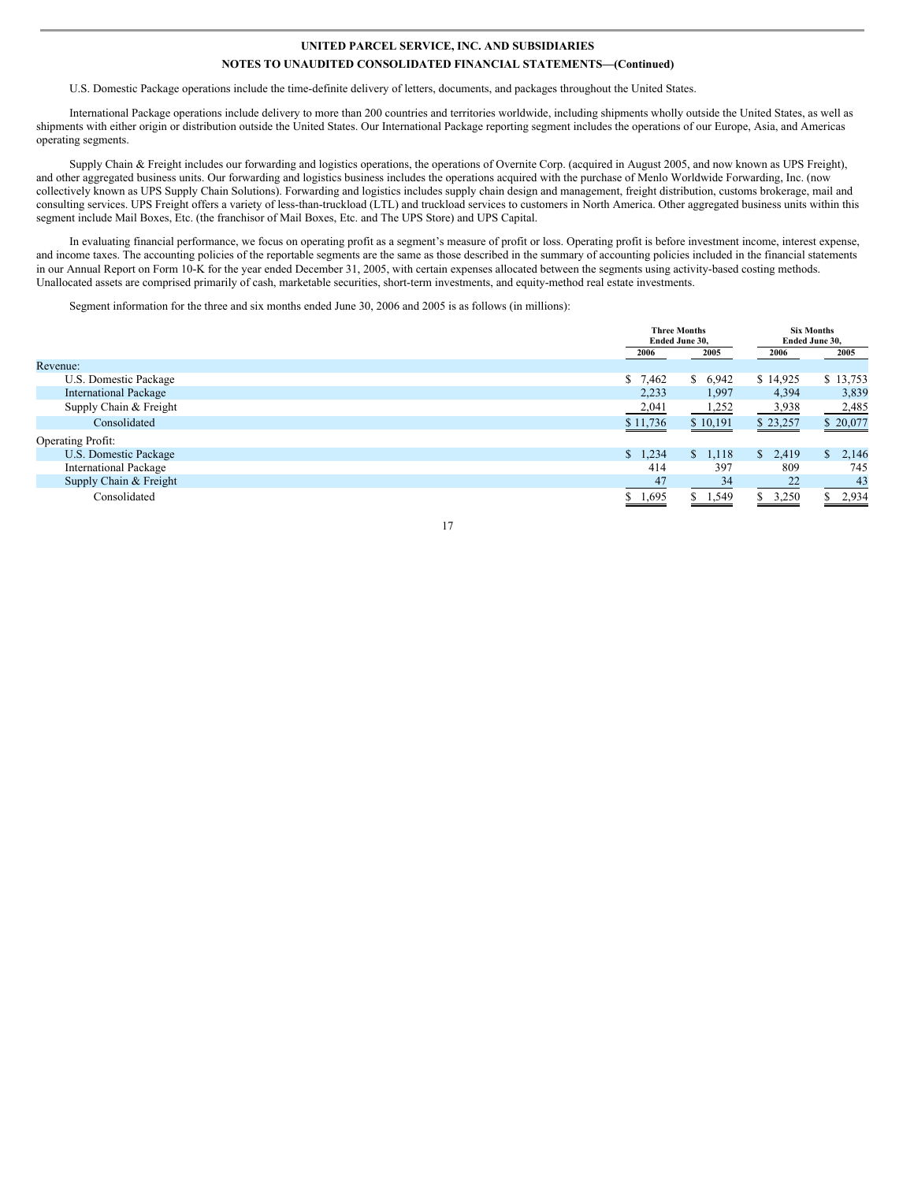U.S. Domestic Package operations include the time-definite delivery of letters, documents, and packages throughout the United States.

International Package operations include delivery to more than 200 countries and territories worldwide, including shipments wholly outside the United States, as well as shipments with either origin or distribution outside the United States. Our International Package reporting segment includes the operations of our Europe, Asia, and Americas operating segments.

Supply Chain & Freight includes our forwarding and logistics operations, the operations of Overnite Corp. (acquired in August 2005, and now known as UPS Freight), and other aggregated business units. Our forwarding and logistics business includes the operations acquired with the purchase of Menlo Worldwide Forwarding, Inc. (now collectively known as UPS Supply Chain Solutions). Forwarding and logistics includes supply chain design and management, freight distribution, customs brokerage, mail and consulting services. UPS Freight offers a variety of less-than-truckload (LTL) and truckload services to customers in North America. Other aggregated business units within this segment include Mail Boxes, Etc. (the franchisor of Mail Boxes, Etc. and The UPS Store) and UPS Capital.

In evaluating financial performance, we focus on operating profit as a segment's measure of profit or loss. Operating profit is before investment income, interest expense, and income taxes. The accounting policies of the reportable segments are the same as those described in the summary of accounting policies included in the financial statements in our Annual Report on Form 10-K for the year ended December 31, 2005, with certain expenses allocated between the segments using activity-based costing methods. Unallocated assets are comprised primarily of cash, marketable securities, short-term investments, and equity-method real estate investments.

Segment information for the three and six months ended June 30, 2006 and 2005 is as follows (in millions):

|                              |                       | <b>Three Months</b><br>Ended June 30, |             | <b>Six Months</b><br>Ended June 30, |
|------------------------------|-----------------------|---------------------------------------|-------------|-------------------------------------|
|                              | 2006                  | 2005                                  | 2006        | 2005                                |
| Revenue:                     |                       |                                       |             |                                     |
| U.S. Domestic Package        | 7,462<br>\$           | \$6,942                               | \$14,925    | \$13,753                            |
| <b>International Package</b> | 2,233                 | 1,997                                 | 4,394       | 3,839                               |
| Supply Chain & Freight       | 2,041                 | 1,252                                 | 3,938       | 2,485                               |
| Consolidated                 | \$11,736              | \$10,191                              | \$23,257    | \$20,077                            |
| <b>Operating Profit:</b>     |                       |                                       |             |                                     |
| U.S. Domestic Package        | 1,234<br>$\mathbb{S}$ | 1,118<br><sup>S</sup>                 | \$2,419     | \$2,146                             |
| <b>International Package</b> | 414                   | 397                                   | 809         | 745                                 |
| Supply Chain & Freight       | 47                    | 34                                    | 22          | 43                                  |
| Consolidated                 | \$1,695               | \$1,549                               | 3,250<br>S. | \$2,934                             |

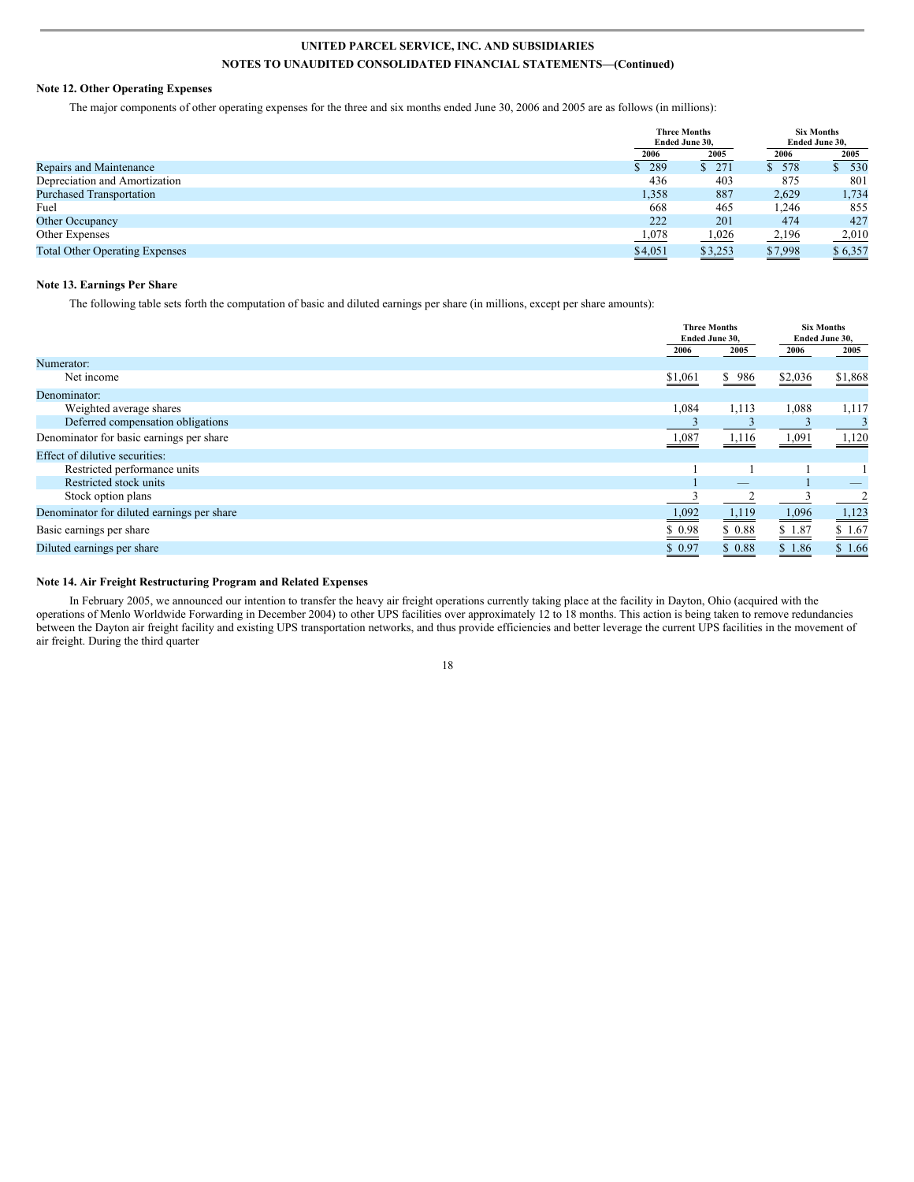### **Note 12. Other Operating Expenses**

The major components of other operating expenses for the three and six months ended June 30, 2006 and 2005 are as follows (in millions):

|                                       |                          | <b>Three Months</b><br>Ended June 30, |         | <b>Six Months</b><br>Ended June 30, |
|---------------------------------------|--------------------------|---------------------------------------|---------|-------------------------------------|
|                                       | 2006                     | 2005                                  | 2006    | 2005                                |
| Repairs and Maintenance               | \$289                    | \$271                                 | 578     | 530                                 |
| Depreciation and Amortization         | 436                      | 403                                   | 875     | 801                                 |
| <b>Purchased Transportation</b>       | 1,358                    | 887                                   | 2,629   | 1,734                               |
| Fuel                                  | 668                      | 465                                   | 1,246   | 855                                 |
| Other Occupancy                       | 222                      | 201                                   | 474     | 427                                 |
| Other Expenses                        | 1,078                    | 1,026                                 | 2,196   | 2,010                               |
| <b>Total Other Operating Expenses</b> | \$4,051<br>$\sim$ $\sim$ | \$3,253                               | \$7,998 | \$6,357                             |

#### **Note 13. Earnings Per Share**

The following table sets forth the computation of basic and diluted earnings per share (in millions, except per share amounts):

|                                            |         | <b>Three Months</b><br>Ended June 30, |         |         |  | <b>Six Months</b><br>Ended June 30, |
|--------------------------------------------|---------|---------------------------------------|---------|---------|--|-------------------------------------|
|                                            | 2006    | 2005                                  | 2006    | 2005    |  |                                     |
| Numerator:                                 |         |                                       |         |         |  |                                     |
| Net income                                 | \$1,061 | \$986                                 | \$2,036 | \$1,868 |  |                                     |
| Denominator:                               |         |                                       |         |         |  |                                     |
| Weighted average shares                    | 1,084   | 1,113                                 | 1,088   | 1,117   |  |                                     |
| Deferred compensation obligations          |         |                                       |         |         |  |                                     |
| Denominator for basic earnings per share   | 1,087   | 1,116                                 | 1,091   | 1,120   |  |                                     |
| Effect of dilutive securities:             |         |                                       |         |         |  |                                     |
| Restricted performance units               |         |                                       |         |         |  |                                     |
| Restricted stock units                     |         |                                       |         |         |  |                                     |
| Stock option plans                         |         |                                       |         |         |  |                                     |
| Denominator for diluted earnings per share | 1,092   | 1,119                                 | 1,096   | 1,123   |  |                                     |
| Basic earnings per share                   | \$0.98  | \$0.88                                | \$1.87  | \$1.67  |  |                                     |
| Diluted earnings per share                 | \$0.97  | \$0.88                                | \$1.86  | \$1.66  |  |                                     |

#### **Note 14. Air Freight Restructuring Program and Related Expenses**

In February 2005, we announced our intention to transfer the heavy air freight operations currently taking place at the facility in Dayton, Ohio (acquired with the operations of Menlo Worldwide Forwarding in December 2004) to other UPS facilities over approximately 12 to 18 months. This action is being taken to remove redundancies between the Dayton air freight facility and existing UPS transportation networks, and thus provide efficiencies and better leverage the current UPS facilities in the movement of air freight. During the third quarter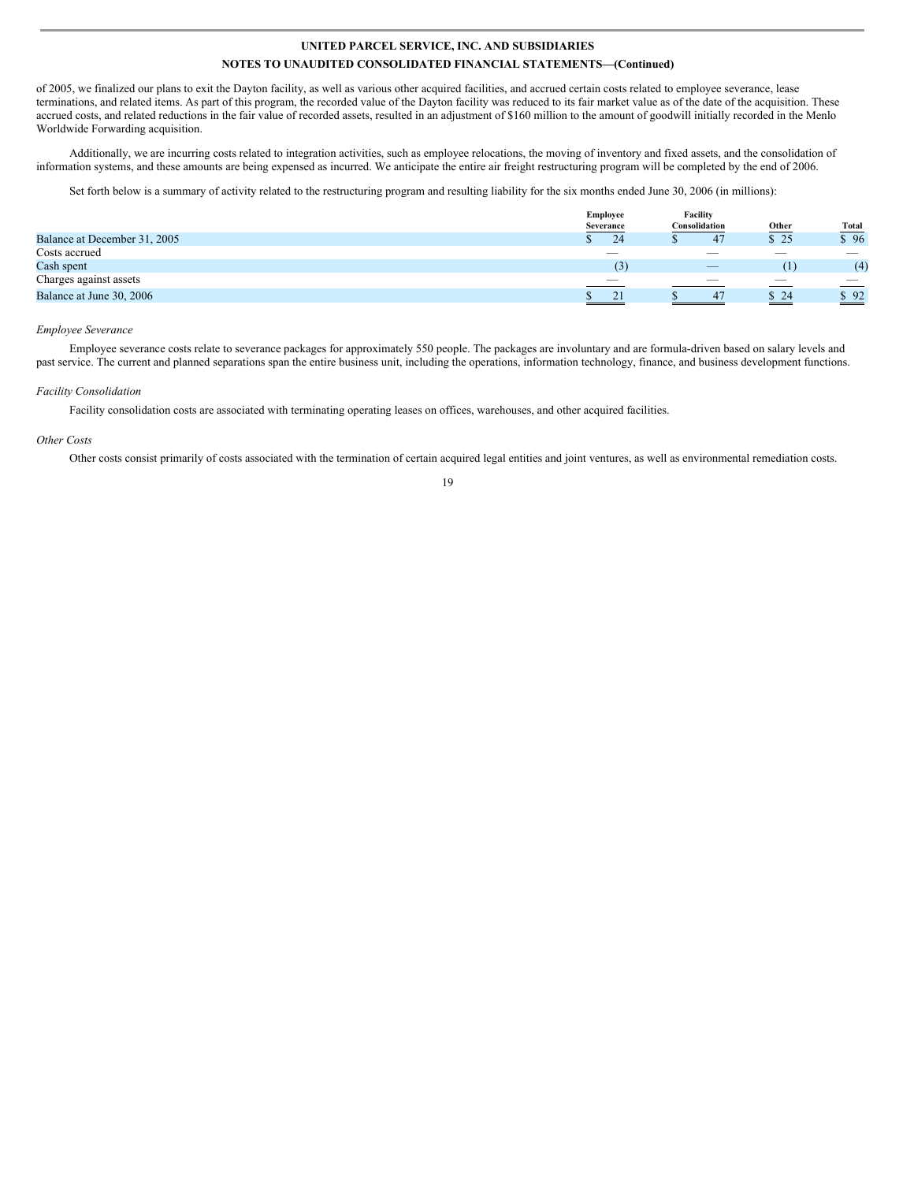of 2005, we finalized our plans to exit the Dayton facility, as well as various other acquired facilities, and accrued certain costs related to employee severance, lease terminations, and related items. As part of this program, the recorded value of the Dayton facility was reduced to its fair market value as of the date of the acquisition. These accrued costs, and related reductions in the fair value of recorded assets, resulted in an adjustment of \$160 million to the amount of goodwill initially recorded in the Menlo Worldwide Forwarding acquisition.

Additionally, we are incurring costs related to integration activities, such as employee relocations, the moving of inventory and fixed assets, and the consolidation of information systems, and these amounts are being expensed as incurred. We anticipate the entire air freight restructuring program will be completed by the end of 2006.

Set forth below is a summary of activity related to the restructuring program and resulting liability for the six months ended June 30, 2006 (in millions):

|                              | <b>Employee</b>  | Facility                        |        |                          |
|------------------------------|------------------|---------------------------------|--------|--------------------------|
|                              | Severance        | Consolidation                   | Other  | <b>Total</b>             |
| Balance at December 31, 2005 | 24               | 47                              | \$25   | \$96                     |
| Costs accrued                | $\hspace{0.5cm}$ | $\overline{\phantom{a}}$        | $\sim$ | $\overline{\phantom{a}}$ |
| Cash spent                   | (3)              | $\hspace{0.1mm}-\hspace{0.1mm}$ | (1)    | (4)                      |
| Charges against assets       |                  | _                               |        | $\sim$                   |
| Balance at June 30, 2006     | 21               | 47                              | \$24   | \$92                     |
|                              |                  |                                 |        | $\sim$                   |

#### *Employee Severance*

Employee severance costs relate to severance packages for approximately 550 people. The packages are involuntary and are formula-driven based on salary levels and past service. The current and planned separations span the entire business unit, including the operations, information technology, finance, and business development functions.

#### *Facility Consolidation*

Facility consolidation costs are associated with terminating operating leases on offices, warehouses, and other acquired facilities.

#### *Other Costs*

Other costs consist primarily of costs associated with the termination of certain acquired legal entities and joint ventures, as well as environmental remediation costs. 19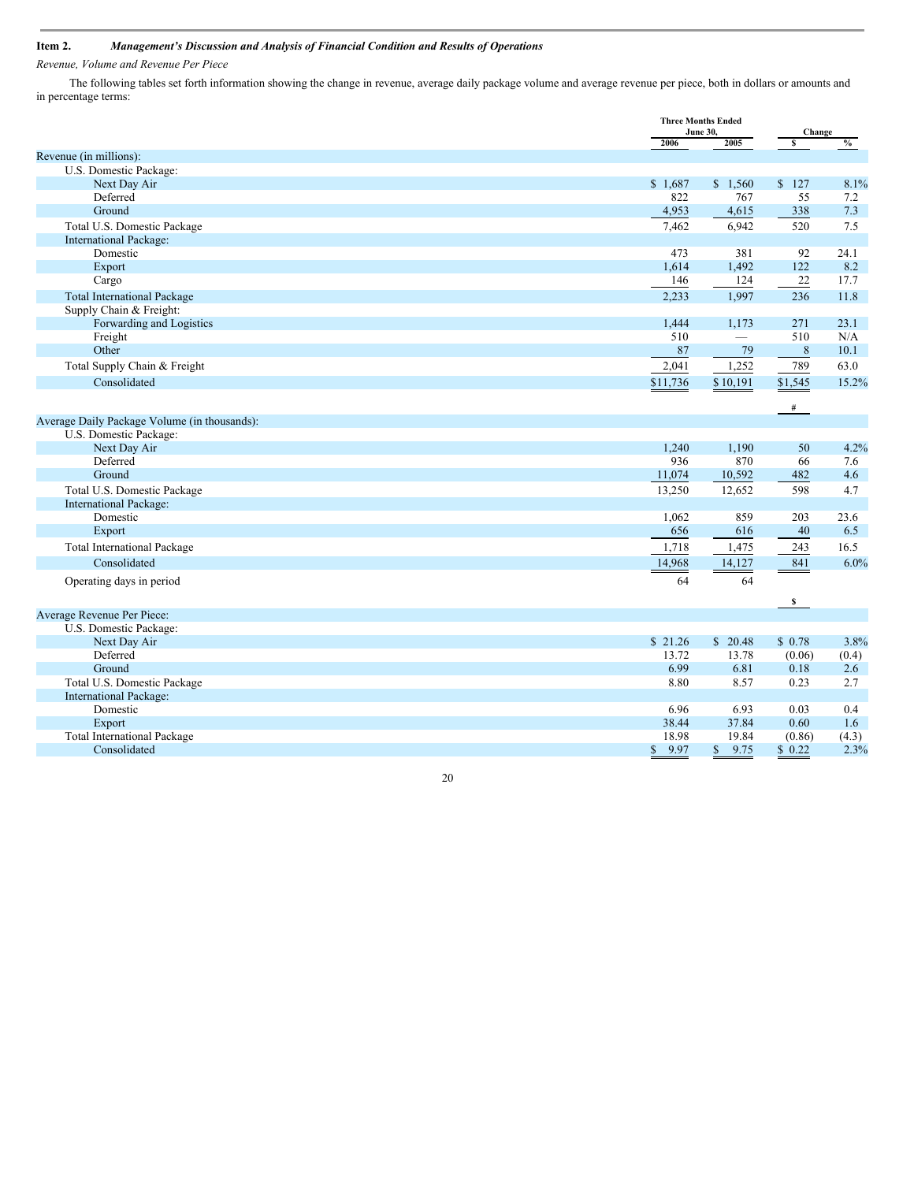### **Item 2.** *Management's Discussion and Analysis of Financial Condition and Results of Operations*

*Revenue, Volume and Revenue Per Piece*

The following tables set forth information showing the change in revenue, average daily package volume and average revenue per piece, both in dollars or amounts and in percentage terms:

|                                              |                      | <b>Three Months Ended</b><br><b>June 30,</b> |              |                |  | Change |  |
|----------------------------------------------|----------------------|----------------------------------------------|--------------|----------------|--|--------|--|
|                                              | 2006                 | 2005                                         | s            | $\frac{6}{10}$ |  |        |  |
| Revenue (in millions):                       |                      |                                              |              |                |  |        |  |
| U.S. Domestic Package:                       |                      |                                              |              |                |  |        |  |
| Next Day Air                                 | \$1,687              | \$1,560                                      | \$127        | 8.1%           |  |        |  |
| Deferred                                     | 822                  | 767                                          | 55           | 7.2            |  |        |  |
| Ground                                       | 4,953                | 4,615                                        | 338          | 7.3            |  |        |  |
| Total U.S. Domestic Package                  | 7,462                | 6,942                                        | 520          | 7.5            |  |        |  |
| International Package:                       |                      |                                              |              |                |  |        |  |
| Domestic                                     | 473                  | 381                                          | 92           | 24.1           |  |        |  |
| Export                                       | 1,614                | 1,492                                        | 122          | 8.2            |  |        |  |
| Cargo                                        | 146                  | 124                                          | $22\,$       | 17.7           |  |        |  |
| <b>Total International Package</b>           | 2,233                | 1,997                                        | 236          | 11.8           |  |        |  |
| Supply Chain & Freight:                      |                      |                                              |              |                |  |        |  |
| Forwarding and Logistics                     | 1,444                | 1,173                                        | 271          | 23.1           |  |        |  |
| Freight                                      | 510                  | $\overline{\phantom{0}}$                     | 510          | N/A            |  |        |  |
| Other                                        | 87                   | 79                                           | 8            | 10.1           |  |        |  |
| Total Supply Chain & Freight                 | 2,041                | 1,252                                        | 789          | 63.0           |  |        |  |
| Consolidated                                 | \$11,736             | \$10,191                                     | \$1,545      | 15.2%          |  |        |  |
|                                              |                      |                                              |              |                |  |        |  |
|                                              |                      |                                              | #            |                |  |        |  |
| Average Daily Package Volume (in thousands): |                      |                                              |              |                |  |        |  |
| U.S. Domestic Package:                       |                      |                                              |              |                |  |        |  |
| Next Day Air                                 | 1,240                | 1,190                                        | 50           | 4.2%           |  |        |  |
| Deferred                                     | 936                  | 870                                          | 66           | 7.6            |  |        |  |
| Ground                                       | 11,074               | 10,592                                       | 482          | 4.6            |  |        |  |
| Total U.S. Domestic Package                  | 13,250               | 12,652                                       | 598          | 4.7            |  |        |  |
| International Package:                       |                      |                                              |              |                |  |        |  |
| Domestic                                     | 1,062                | 859                                          | 203          | 23.6           |  |        |  |
| Export                                       | 656                  | 616                                          | 40           | 6.5            |  |        |  |
| <b>Total International Package</b>           | 1,718                | 1,475                                        | 243          | 16.5           |  |        |  |
| Consolidated                                 | 14,968               | 14,127                                       | 841          | 6.0%           |  |        |  |
| Operating days in period                     | 64                   | 64                                           |              |                |  |        |  |
|                                              |                      |                                              |              |                |  |        |  |
|                                              |                      |                                              | $\mathbf{s}$ |                |  |        |  |
| Average Revenue Per Piece:                   |                      |                                              |              |                |  |        |  |
| U.S. Domestic Package:                       |                      |                                              |              |                |  |        |  |
| Next Day Air                                 | \$21.26              | \$20.48                                      | \$0.78       | 3.8%           |  |        |  |
| Deferred                                     | 13.72                | 13.78                                        | (0.06)       | (0.4)          |  |        |  |
| Ground                                       | 6.99                 | 6.81                                         | 0.18         | 2.6            |  |        |  |
| Total U.S. Domestic Package                  | 8.80                 | 8.57                                         | 0.23         | 2.7            |  |        |  |
| International Package:                       |                      |                                              |              |                |  |        |  |
| Domestic                                     | 6.96                 | 6.93                                         | 0.03         | 0.4            |  |        |  |
| Export                                       | 38.44                | 37.84                                        | 0.60         | 1.6            |  |        |  |
| <b>Total International Package</b>           | 18.98                | 19.84                                        | (0.86)       | (4.3)          |  |        |  |
| Consolidated                                 | 9.97<br>$\mathbb{S}$ | 9.75<br>$\mathbb{S}$                         | \$0.22       | 2.3%           |  |        |  |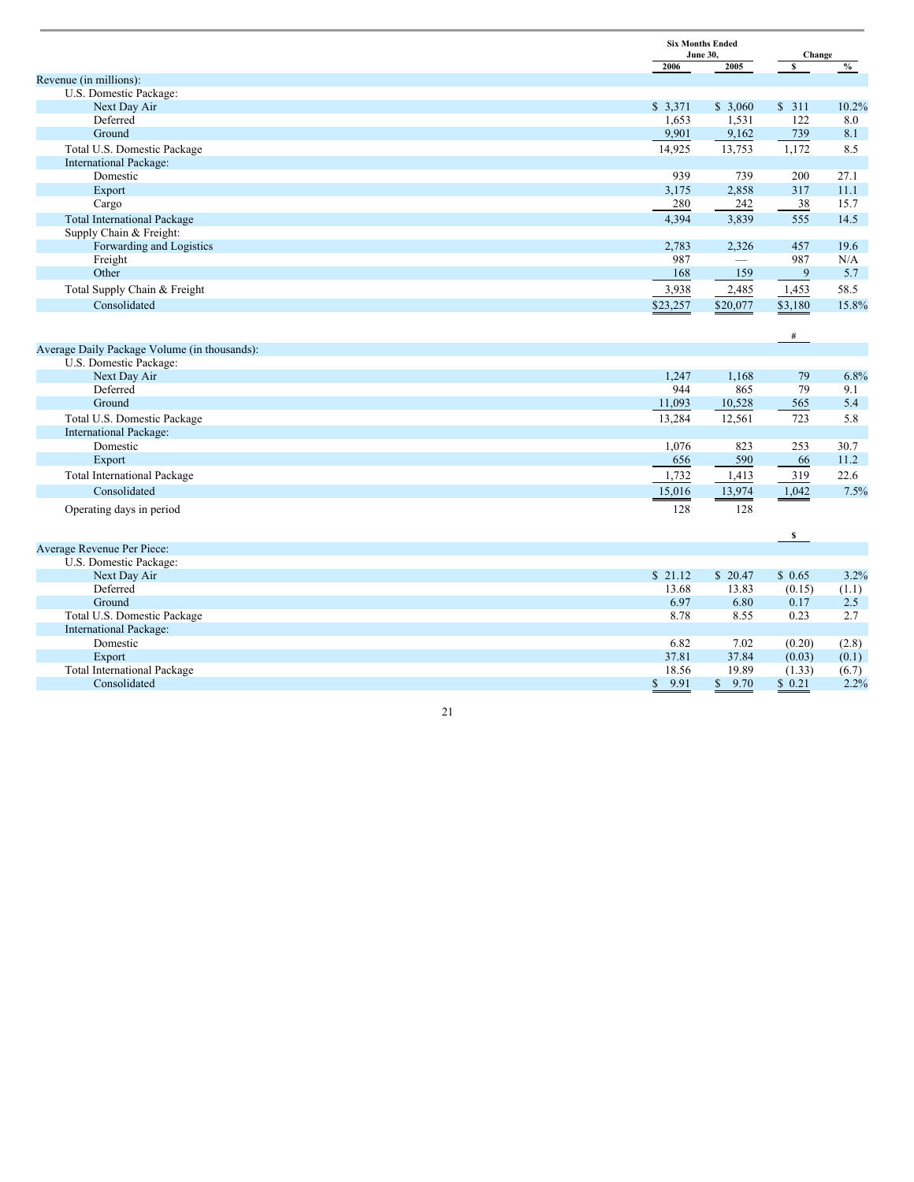|                                              |                      | <b>Six Months Ended</b><br><b>June 30,</b> |                         | Change        |
|----------------------------------------------|----------------------|--------------------------------------------|-------------------------|---------------|
|                                              | 2006                 | 2005                                       | $\overline{\mathbf{s}}$ | $\frac{0}{0}$ |
| Revenue (in millions):                       |                      |                                            |                         |               |
| U.S. Domestic Package:                       |                      |                                            |                         |               |
| Next Day Air                                 | \$3,371              | \$3,060                                    | \$311                   | 10.2%         |
| Deferred                                     | 1,653                | 1,531                                      | 122                     | 8.0           |
| Ground                                       | 9,901                | 9,162                                      | 739                     | 8.1           |
| Total U.S. Domestic Package                  | 14,925               | 13,753                                     | 1,172                   | 8.5           |
| International Package:                       |                      |                                            |                         |               |
| Domestic                                     | 939                  | 739                                        | 200                     | 27.1          |
| Export                                       | 3,175                | 2,858                                      | 317                     | 11.1          |
| Cargo                                        | 280                  | 242                                        | 38                      | 15.7          |
| <b>Total International Package</b>           | 4,394                | 3,839                                      | 555                     | 14.5          |
| Supply Chain & Freight:                      |                      |                                            |                         |               |
| Forwarding and Logistics                     | 2,783                | 2,326                                      | 457                     | 19.6          |
| Freight                                      | 987                  | $\overline{\phantom{0}}$                   | 987                     | N/A           |
| Other                                        | 168                  | 159                                        | 9                       | 5.7           |
| Total Supply Chain & Freight                 | 3,938                | 2,485                                      | 1,453                   | 58.5          |
| Consolidated                                 | \$23,257             | \$20,077                                   | \$3,180                 | 15.8%         |
|                                              |                      |                                            |                         |               |
|                                              |                      |                                            | #                       |               |
| Average Daily Package Volume (in thousands): |                      |                                            |                         |               |
| U.S. Domestic Package:                       |                      |                                            |                         |               |
| Next Day Air                                 | 1,247                | 1,168                                      | 79                      | 6.8%          |
| Deferred                                     | 944                  | 865                                        | 79                      | 9.1           |
| Ground                                       | 11,093               | 10,528                                     | 565                     | 5.4           |
| Total U.S. Domestic Package                  | 13,284               | 12,561                                     | 723                     | 5.8           |
| <b>International Package:</b>                |                      |                                            |                         |               |
| Domestic                                     | 1,076                | 823                                        | 253                     | 30.7          |
| Export                                       | 656                  | 590                                        | 66                      | 11.2          |
| <b>Total International Package</b>           | 1,732                | 1,413                                      | 319                     | 22.6          |
| Consolidated                                 | 15,016               | 13,974                                     | 1,042                   | 7.5%          |
|                                              |                      |                                            |                         |               |
| Operating days in period                     | 128                  | 128                                        |                         |               |
|                                              |                      |                                            |                         |               |
| Average Revenue Per Piece:                   |                      |                                            | $\mathbf{s}$            |               |
| U.S. Domestic Package:                       |                      |                                            |                         |               |
| Next Day Air                                 | \$21.12              | \$20.47                                    | \$0.65                  | 3.2%          |
| Deferred                                     | 13.68                | 13.83                                      | (0.15)                  | (1.1)         |
| Ground                                       | 6.97                 | 6.80                                       | 0.17                    | 2.5           |
| Total U.S. Domestic Package                  | 8.78                 | 8.55                                       | 0.23                    | 2.7           |
| <b>International Package:</b>                |                      |                                            |                         |               |
| Domestic                                     | 6.82                 | 7.02                                       | (0.20)                  | (2.8)         |
| Export                                       | 37.81                | 37.84                                      | (0.03)                  | (0.1)         |
| <b>Total International Package</b>           | 18.56                | 19.89                                      | (1.33)                  | (6.7)         |
| Consolidated                                 | 9.91<br>$\mathbb{S}$ | 9.70<br>$\mathbb{S}$                       | \$0.21                  | 2.2%          |
|                                              |                      |                                            |                         |               |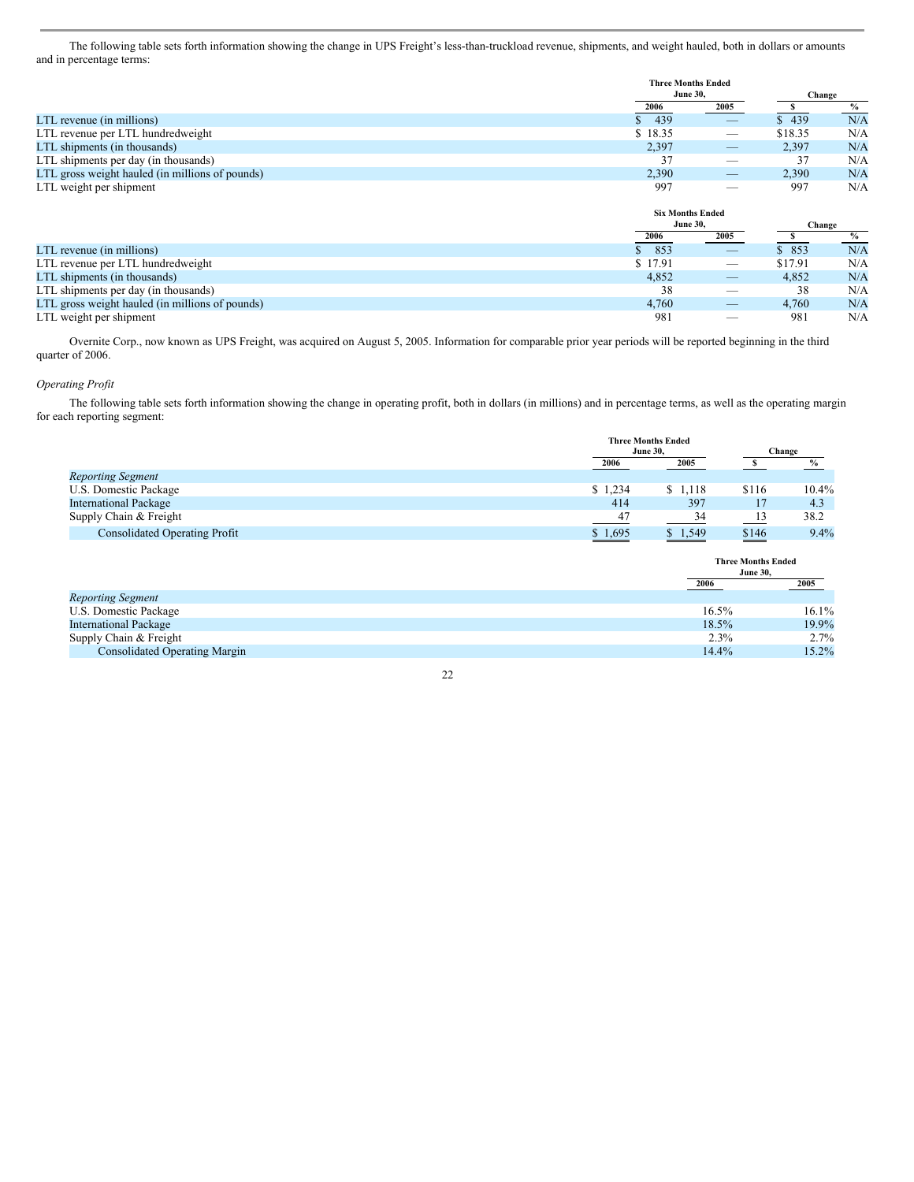The following table sets forth information showing the change in UPS Freight's less-than-truckload revenue, shipments, and weight hauled, both in dollars or amounts and in percentage terms:

|                                                 | <b>Three Months Ended</b> |                                       |         |        |  |
|-------------------------------------------------|---------------------------|---------------------------------------|---------|--------|--|
|                                                 |                           | <b>June 30,</b>                       |         | Change |  |
|                                                 | 2006                      | 2005                                  | s       | $\%$   |  |
| LTL revenue (in millions)                       | 439                       |                                       | \$439   | N/A    |  |
| LTL revenue per LTL hundredweight               | \$18.35                   |                                       | \$18.35 | N/A    |  |
| LTL shipments (in thousands)                    | 2,397                     |                                       | 2,397   | N/A    |  |
| LTL shipments per day (in thousands)            | 37                        | _                                     | 37      | N/A    |  |
| LTL gross weight hauled (in millions of pounds) | 2,390                     |                                       | 2,390   | N/A    |  |
| LTL weight per shipment                         | 997                       | _                                     | 997     | N/A    |  |
|                                                 | <b>Six Months Ended</b>   |                                       |         |        |  |
|                                                 | <b>June 30,</b>           |                                       | Change  |        |  |
|                                                 | 2006                      | 2005                                  | s       | $\%$   |  |
| LTL revenue (in millions)                       | 853                       | $\hspace{1.0cm} \rule{1.5cm}{0.15cm}$ | \$853   | N/A    |  |
| LTL revenue per LTL hundredweight               | \$17.91                   |                                       | \$17.91 | N/A    |  |
| LTL shipments (in thousands)                    | 4,852                     |                                       | 4,852   | N/A    |  |
| LTL shipments per day (in thousands)            | 38                        | _                                     | 38      | N/A    |  |
|                                                 |                           |                                       |         | N/A    |  |
| LTL gross weight hauled (in millions of pounds) | 4,760                     |                                       | 4,760   |        |  |

Overnite Corp., now known as UPS Freight, was acquired on August 5, 2005. Information for comparable prior year periods will be reported beginning in the third quarter of 2006.

### *Operating Profit*

The following table sets forth information showing the change in operating profit, both in dollars (in millions) and in percentage terms, as well as the operating margin for each reporting segment:

|                                      |         | <b>Three Months Ended</b> |       |          |  |
|--------------------------------------|---------|---------------------------|-------|----------|--|
|                                      |         | <b>June 30.</b>           |       | Change   |  |
|                                      | 2006    | 2005                      |       | $\%$     |  |
| <b>Reporting Segment</b>             |         |                           |       |          |  |
| U.S. Domestic Package                | \$1,234 | \$1,118                   | \$116 | $10.4\%$ |  |
| <b>International Package</b>         | 414     | 397                       |       | 4.3      |  |
| Supply Chain & Freight               | 47      | 34                        |       | 38.2     |  |
| <b>Consolidated Operating Profit</b> | \$1,695 | \$1,549                   | \$146 | 9.4%     |  |

|                                      |       | <b>Three Months Ended</b><br><b>June 30.</b> |
|--------------------------------------|-------|----------------------------------------------|
|                                      | 2006  | 2005                                         |
| <b>Reporting Segment</b>             |       |                                              |
| U.S. Domestic Package                | 16.5% | $16.1\%$                                     |
| <b>International Package</b>         | 18.5% | 19.9%                                        |
| Supply Chain & Freight               | 2.3%  | $2.7\%$                                      |
| <b>Consolidated Operating Margin</b> | 14.4% | 15.2%                                        |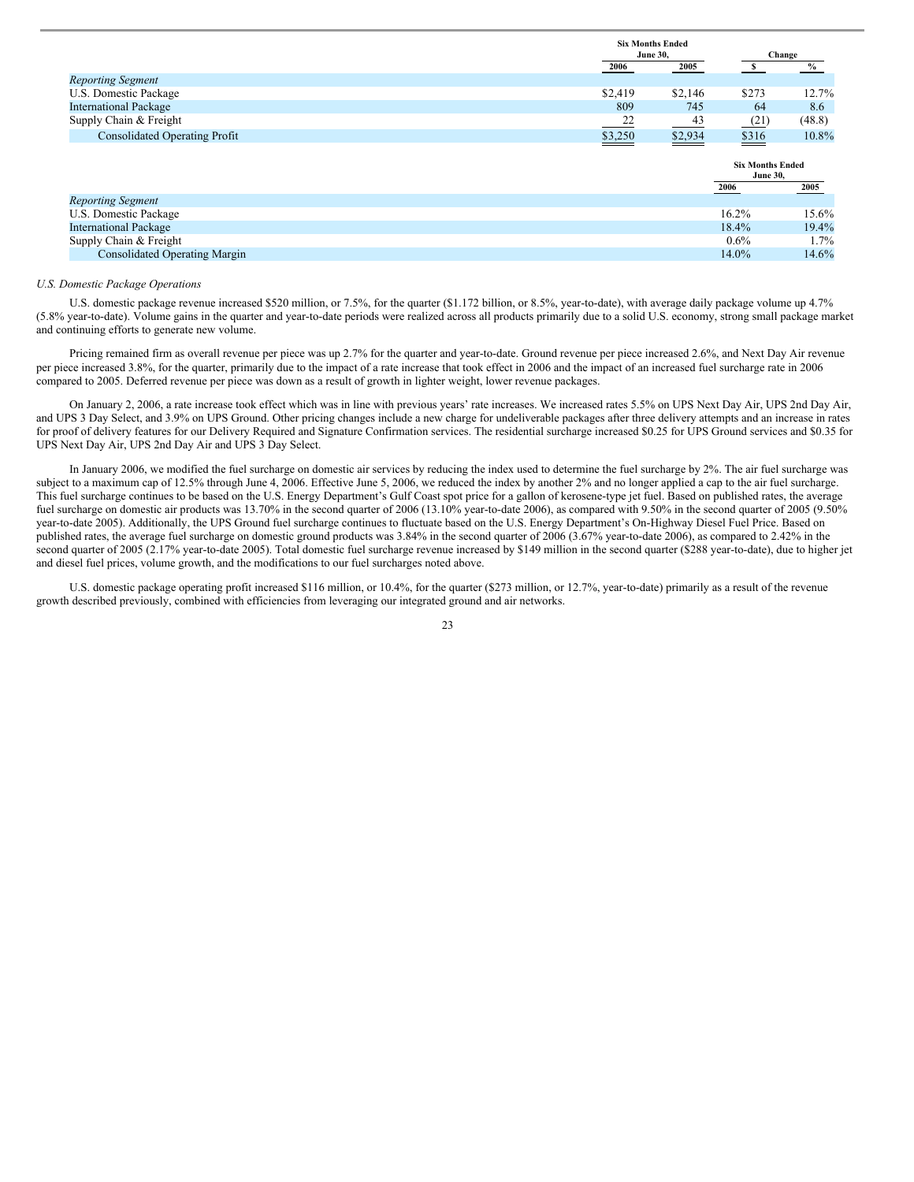|                                      |                | <b>Six Months Ended</b> |       |          |  |
|--------------------------------------|----------------|-------------------------|-------|----------|--|
|                                      |                | <b>June 30.</b>         |       | Change   |  |
|                                      | 2006           | 2005                    |       |          |  |
| <b>Reporting Segment</b>             |                |                         |       |          |  |
| U.S. Domestic Package                | \$2,419        | \$2,146                 | \$273 | $12.7\%$ |  |
| <b>International Package</b>         | 809            | 745                     | 64    | 8.6      |  |
| Supply Chain & Freight               | $\frac{22}{2}$ | 43                      | (21)  | (48.8)   |  |
| <b>Consolidated Operating Profit</b> | \$3,250        | \$2,934                 | \$316 | 10.8%    |  |

|                                      |          | <b>Six Months Ended</b><br><b>June 30.</b> |  |
|--------------------------------------|----------|--------------------------------------------|--|
|                                      | 2006     | <u>2005</u>                                |  |
| <b>Reporting Segment</b>             |          |                                            |  |
| U.S. Domestic Package                | $16.2\%$ | 15.6%                                      |  |
| <b>International Package</b>         | 18.4%    | 19.4%                                      |  |
| Supply Chain & Freight               | $0.6\%$  | $1.7\%$                                    |  |
| <b>Consolidated Operating Margin</b> | 14.0%    | 14.6%                                      |  |

#### *U.S. Domestic Package Operations*

U.S. domestic package revenue increased \$520 million, or 7.5%, for the quarter (\$1.172 billion, or 8.5%, year-to-date), with average daily package volume up 4.7% (5.8% year-to-date). Volume gains in the quarter and year-to-date periods were realized across all products primarily due to a solid U.S. economy, strong small package market and continuing efforts to generate new volume.

Pricing remained firm as overall revenue per piece was up 2.7% for the quarter and year-to-date. Ground revenue per piece increased 2.6%, and Next Day Air revenue per piece increased 3.8%, for the quarter, primarily due to the impact of a rate increase that took effect in 2006 and the impact of an increased fuel surcharge rate in 2006 compared to 2005. Deferred revenue per piece was down as a result of growth in lighter weight, lower revenue packages.

On January 2, 2006, a rate increase took effect which was in line with previous years' rate increases. We increased rates 5.5% on UPS Next Day Air, UPS 2nd Day Air, and UPS 3 Day Select, and 3.9% on UPS Ground. Other pricing changes include a new charge for undeliverable packages after three delivery attempts and an increase in rates for proof of delivery features for our Delivery Required and Signature Confirmation services. The residential surcharge increased \$0.25 for UPS Ground services and \$0.35 for UPS Next Day Air, UPS 2nd Day Air and UPS 3 Day Select.

In January 2006, we modified the fuel surcharge on domestic air services by reducing the index used to determine the fuel surcharge by 2%. The air fuel surcharge was subject to a maximum cap of 12.5% through June 4, 2006. Effective June 5, 2006, we reduced the index by another 2% and no longer applied a cap to the air fuel surcharge. This fuel surcharge continues to be based on the U.S. Energy Department's Gulf Coast spot price for a gallon of kerosene-type jet fuel. Based on published rates, the average fuel surcharge on domestic air products was 13.70% in the second quarter of 2006 (13.10% year-to-date 2006), as compared with 9.50% in the second quarter of 2005 (9.50%) year-to-date 2005). Additionally, the UPS Ground fuel surcharge continues to fluctuate based on the U.S. Energy Department's On-Highway Diesel Fuel Price. Based on published rates, the average fuel surcharge on domestic ground products was 3.84% in the second quarter of 2006 (3.67% year-to-date 2006), as compared to 2.42% in the second quarter of 2005 (2.17% year-to-date 2005). Total domestic fuel surcharge revenue increased by \$149 million in the second quarter (\$288 year-to-date), due to higher jet and diesel fuel prices, volume growth, and the modifications to our fuel surcharges noted above.

U.S. domestic package operating profit increased \$116 million, or 10.4%, for the quarter (\$273 million, or 12.7%, year-to-date) primarily as a result of the revenue growth described previously, combined with efficiencies from leveraging our integrated ground and air networks.

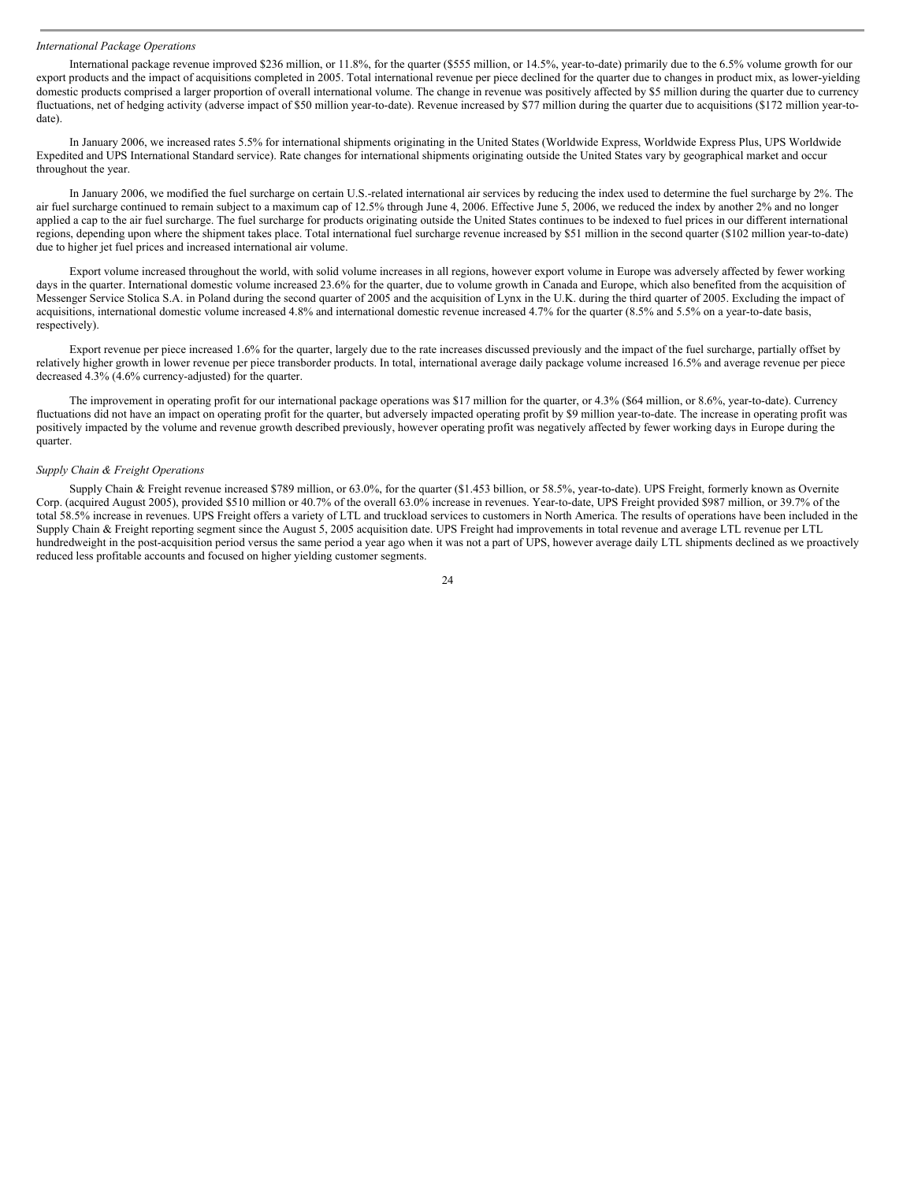#### *International Package Operations*

International package revenue improved \$236 million, or 11.8%, for the quarter (\$555 million, or 14.5%, year-to-date) primarily due to the 6.5% volume growth for our export products and the impact of acquisitions completed in 2005. Total international revenue per piece declined for the quarter due to changes in product mix, as lower-yielding domestic products comprised a larger proportion of overall international volume. The change in revenue was positively affected by \$5 million during the quarter due to currency fluctuations, net of hedging activity (adverse impact of \$50 million year-to-date). Revenue increased by \$77 million during the quarter due to acquisitions (\$172 million year-todate).

In January 2006, we increased rates 5.5% for international shipments originating in the United States (Worldwide Express, Worldwide Express Plus, UPS Worldwide Expedited and UPS International Standard service). Rate changes for international shipments originating outside the United States vary by geographical market and occur throughout the year.

In January 2006, we modified the fuel surcharge on certain U.S.-related international air services by reducing the index used to determine the fuel surcharge by 2%. The air fuel surcharge continued to remain subject to a maximum cap of 12.5% through June 4, 2006. Effective June 5, 2006, we reduced the index by another 2% and no longer applied a cap to the air fuel surcharge. The fuel surcharge for products originating outside the United States continues to be indexed to fuel prices in our different international regions, depending upon where the shipment takes place. Total international fuel surcharge revenue increased by \$51 million in the second quarter (\$102 million year-to-date) due to higher jet fuel prices and increased international air volume.

Export volume increased throughout the world, with solid volume increases in all regions, however export volume in Europe was adversely affected by fewer working days in the quarter. International domestic volume increased 23.6% for the quarter, due to volume growth in Canada and Europe, which also benefited from the acquisition of Messenger Service Stolica S.A. in Poland during the second quarter of 2005 and the acquisition of Lynx in the U.K. during the third quarter of 2005. Excluding the impact of acquisitions, international domestic volume increased 4.8% and international domestic revenue increased 4.7% for the quarter (8.5% and 5.5% on a year-to-date basis, respectively).

Export revenue per piece increased 1.6% for the quarter, largely due to the rate increases discussed previously and the impact of the fuel surcharge, partially offset by relatively higher growth in lower revenue per piece transborder products. In total, international average daily package volume increased 16.5% and average revenue per piece decreased 4.3% (4.6% currency-adjusted) for the quarter.

The improvement in operating profit for our international package operations was \$17 million for the quarter, or 4.3% (\$64 million, or 8.6%, year-to-date). Currency fluctuations did not have an impact on operating profit for the quarter, but adversely impacted operating profit by \$9 million year-to-date. The increase in operating profit was positively impacted by the volume and revenue growth described previously, however operating profit was negatively affected by fewer working days in Europe during the quarter.

#### *Supply Chain & Freight Operations*

Supply Chain & Freight revenue increased \$789 million, or 63.0%, for the quarter (\$1.453 billion, or 58.5%, year-to-date). UPS Freight, formerly known as Overnite Corp. (acquired August 2005), provided \$510 million or 40.7% of the overall 63.0% increase in revenues. Year-to-date, UPS Freight provided \$987 million, or 39.7% of the total 58.5% increase in revenues. UPS Freight offers a variety of LTL and truckload services to customers in North America. The results of operations have been included in the Supply Chain & Freight reporting segment since the August 5, 2005 acquisition date. UPS Freight had improvements in total revenue and average LTL revenue per LTL hundredweight in the post-acquisition period versus the same period a year ago when it was not a part of UPS, however average daily LTL shipments declined as we proactively reduced less profitable accounts and focused on higher yielding customer segments.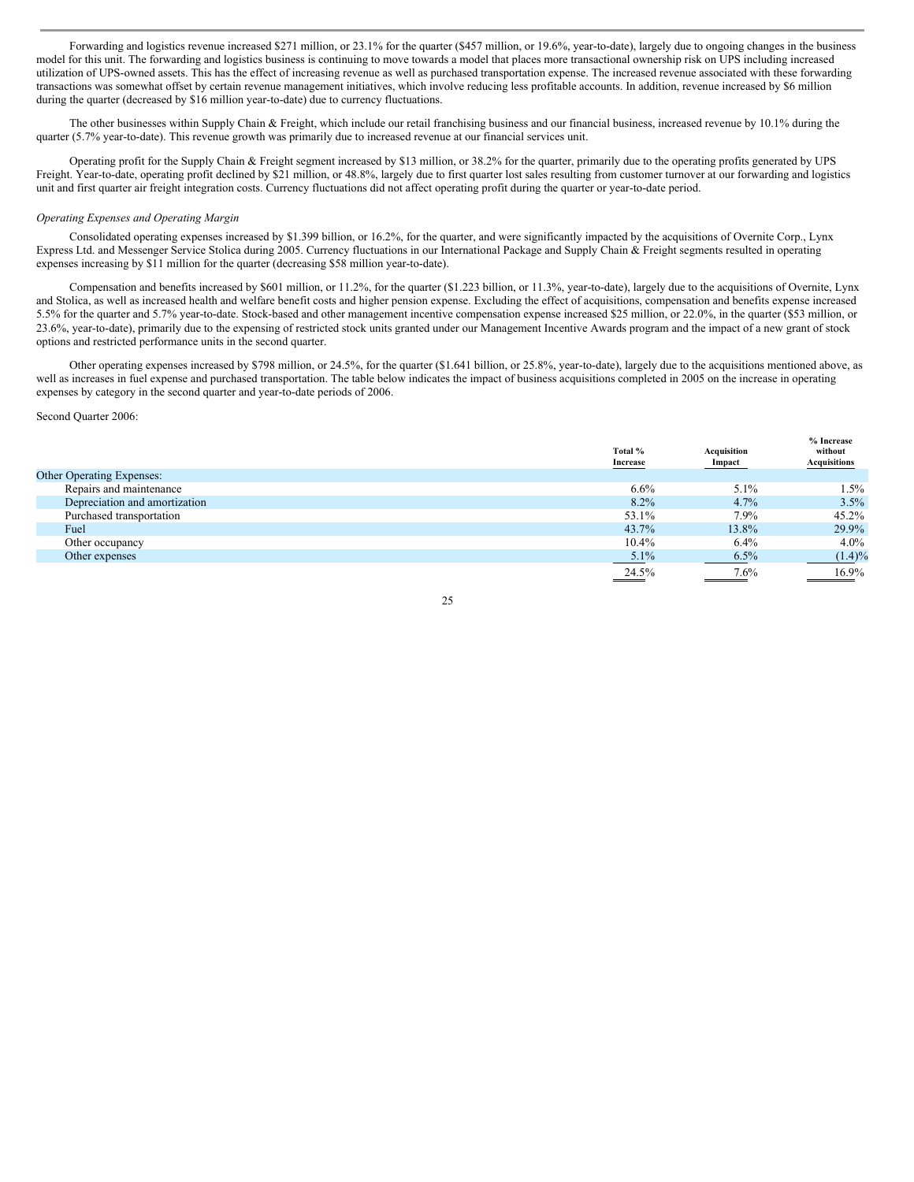Forwarding and logistics revenue increased \$271 million, or 23.1% for the quarter (\$457 million, or 19.6%, year-to-date), largely due to ongoing changes in the business model for this unit. The forwarding and logistics business is continuing to move towards a model that places more transactional ownership risk on UPS including increased utilization of UPS-owned assets. This has the effect of increasing revenue as well as purchased transportation expense. The increased revenue associated with these forwarding transactions was somewhat offset by certain revenue management initiatives, which involve reducing less profitable accounts. In addition, revenue increased by \$6 million during the quarter (decreased by \$16 million year-to-date) due to currency fluctuations.

The other businesses within Supply Chain & Freight, which include our retail franchising business and our financial business, increased revenue by 10.1% during the quarter (5.7% year-to-date). This revenue growth was primarily due to increased revenue at our financial services unit.

Operating profit for the Supply Chain & Freight segment increased by \$13 million, or 38.2% for the quarter, primarily due to the operating profits generated by UPS Freight. Year-to-date, operating profit declined by \$21 million, or 48.8%, largely due to first quarter lost sales resulting from customer turnover at our forwarding and logistics unit and first quarter air freight integration costs. Currency fluctuations did not affect operating profit during the quarter or year-to-date period.

#### *Operating Expenses and Operating Margin*

Consolidated operating expenses increased by \$1.399 billion, or 16.2%, for the quarter, and were significantly impacted by the acquisitions of Overnite Corp., Lynx Express Ltd. and Messenger Service Stolica during 2005. Currency fluctuations in our International Package and Supply Chain & Freight segments resulted in operating expenses increasing by \$11 million for the quarter (decreasing \$58 million year-to-date).

Compensation and benefits increased by \$601 million, or 11.2%, for the quarter (\$1.223 billion, or 11.3%, year-to-date), largely due to the acquisitions of Overnite, Lynx and Stolica, as well as increased health and welfare benefit costs and higher pension expense. Excluding the effect of acquisitions, compensation and benefits expense increased 5.5% for the quarter and 5.7% year-to-date. Stock-based and other management incentive compensation expense increased \$25 million, or 22.0%, in the quarter (\$53 million, or 23.6%, year-to-date), primarily due to the expensing of restricted stock units granted under our Management Incentive Awards program and the impact of a new grant of stock options and restricted performance units in the second quarter.

Other operating expenses increased by \$798 million, or 24.5%, for the quarter (\$1.641 billion, or 25.8%, year-to-date), largely due to the acquisitions mentioned above, as well as increases in fuel expense and purchased transportation. The table below indicates the impact of business acquisitions completed in 2005 on the increase in operating expenses by category in the second quarter and year-to-date periods of 2006.

#### Second Quarter 2006:

|                                  | Total %<br>Increase | Acquisition<br>Impact | % Increase<br>without<br>Acquisitions |
|----------------------------------|---------------------|-----------------------|---------------------------------------|
| <b>Other Operating Expenses:</b> |                     |                       |                                       |
| Repairs and maintenance          | 6.6%                | 5.1%                  | 1.5%                                  |
| Depreciation and amortization    | $8.2\%$             | 4.7%                  | 3.5%                                  |
| Purchased transportation         | 53.1%               | 7.9%                  | 45.2%                                 |
| Fuel                             | 43.7%               | 13.8%                 | 29.9%                                 |
| Other occupancy                  | 10.4%               | 6.4%                  | 4.0%                                  |
| Other expenses                   | 5.1%                | 6.5%                  | $(1.4)\%$                             |
|                                  | 24.5%               | 7.6%                  | 16.9%                                 |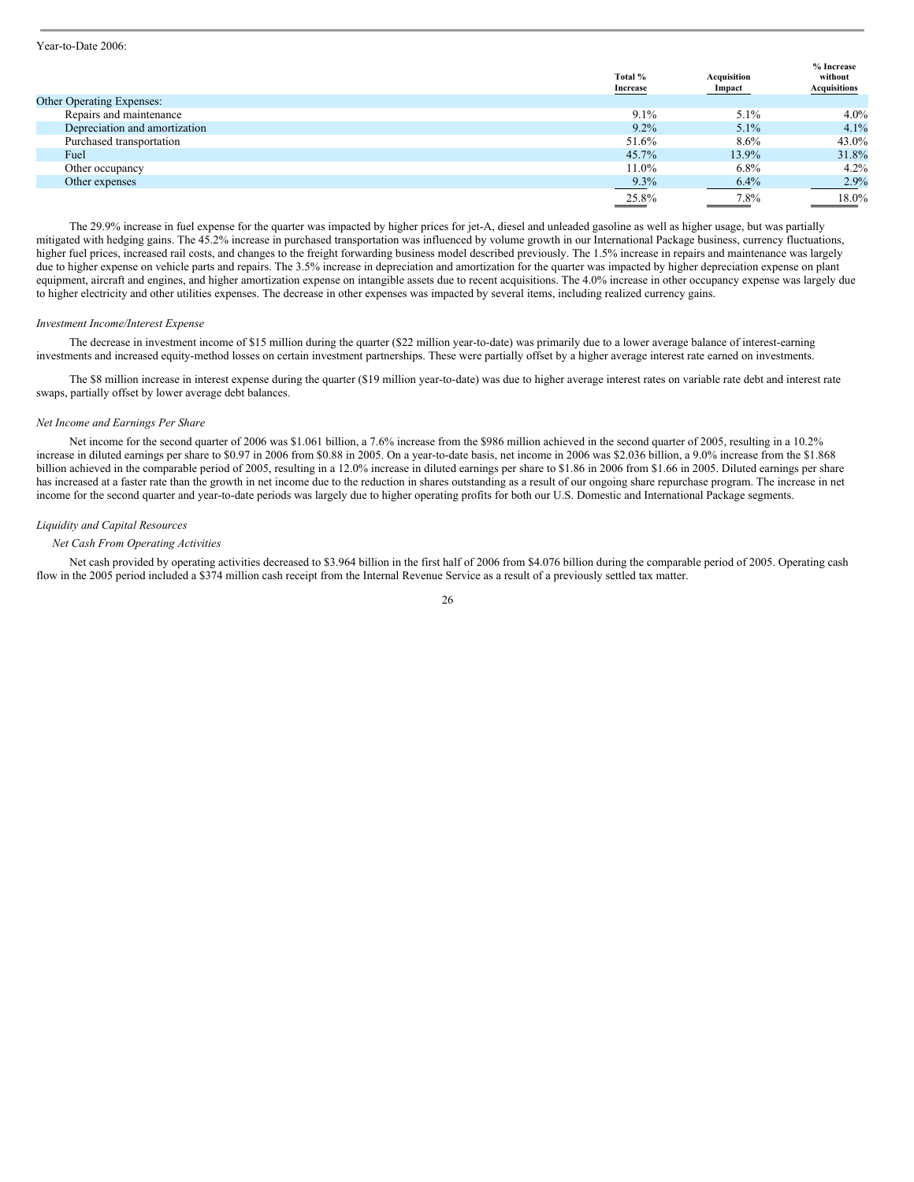#### Year-to-Date 2006:

|                               | Total %<br>Increase | Acquisition<br>Impact | % Increase<br>without<br>Acquisitions |
|-------------------------------|---------------------|-----------------------|---------------------------------------|
| Other Operating Expenses:     |                     |                       |                                       |
| Repairs and maintenance       | 9.1%                | 5.1%                  | $4.0\%$                               |
| Depreciation and amortization | $9.2\%$             | $5.1\%$               | 4.1%                                  |
| Purchased transportation      | 51.6%               | 8.6%                  | 43.0%                                 |
| Fuel                          | 45.7%               | 13.9%                 | 31.8%                                 |
| Other occupancy               | $11.0\%$            | $6.8\%$               | $4.2\%$                               |
| Other expenses                | 9.3%                | 6.4%                  | 2.9%                                  |
|                               | 25.8%               | $7.8\%$               | 18.0%                                 |

The 29.9% increase in fuel expense for the quarter was impacted by higher prices for jet-A, diesel and unleaded gasoline as well as higher usage, but was partially mitigated with hedging gains. The 45.2% increase in purchased transportation was influenced by volume growth in our International Package business, currency fluctuations, higher fuel prices, increased rail costs, and changes to the freight forwarding business model described previously. The 1.5% increase in repairs and maintenance was largely due to higher expense on vehicle parts and repairs. The 3.5% increase in depreciation and amortization for the quarter was impacted by higher depreciation expense on plant equipment, aircraft and engines, and higher amortization expense on intangible assets due to recent acquisitions. The 4.0% increase in other occupancy expense was largely due to higher electricity and other utilities expenses. The decrease in other expenses was impacted by several items, including realized currency gains.

#### *Investment Income/Interest Expense*

The decrease in investment income of \$15 million during the quarter (\$22 million year-to-date) was primarily due to a lower average balance of interest-earning investments and increased equity-method losses on certain investment partnerships. These were partially offset by a higher average interest rate earned on investments.

The \$8 million increase in interest expense during the quarter (\$19 million year-to-date) was due to higher average interest rates on variable rate debt and interest rate swaps, partially offset by lower average debt balances.

#### *Net Income and Earnings Per Share*

Net income for the second quarter of 2006 was \$1.061 billion, a 7.6% increase from the \$986 million achieved in the second quarter of 2005, resulting in a 10.2% increase in diluted earnings per share to \$0.97 in 2006 from \$0.88 in 2005. On a year-to-date basis, net income in 2006 was \$2.036 billion, a 9.0% increase from the \$1.868 billion achieved in the comparable period of 2005, resulting in a 12.0% increase in diluted earnings per share to \$1.86 in 2006 from \$1.66 in 2005. Diluted earnings per share has increased at a faster rate than the growth in net income due to the reduction in shares outstanding as a result of our ongoing share repurchase program. The increase in net income for the second quarter and year-to-date periods was largely due to higher operating profits for both our U.S. Domestic and International Package segments.

#### *Liquidity and Capital Resources*

#### *Net Cash From Operating Activities*

Net cash provided by operating activities decreased to \$3.964 billion in the first half of 2006 from \$4.076 billion during the comparable period of 2005. Operating cash flow in the 2005 period included a \$374 million cash receipt from the Internal Revenue Service as a result of a previously settled tax matter.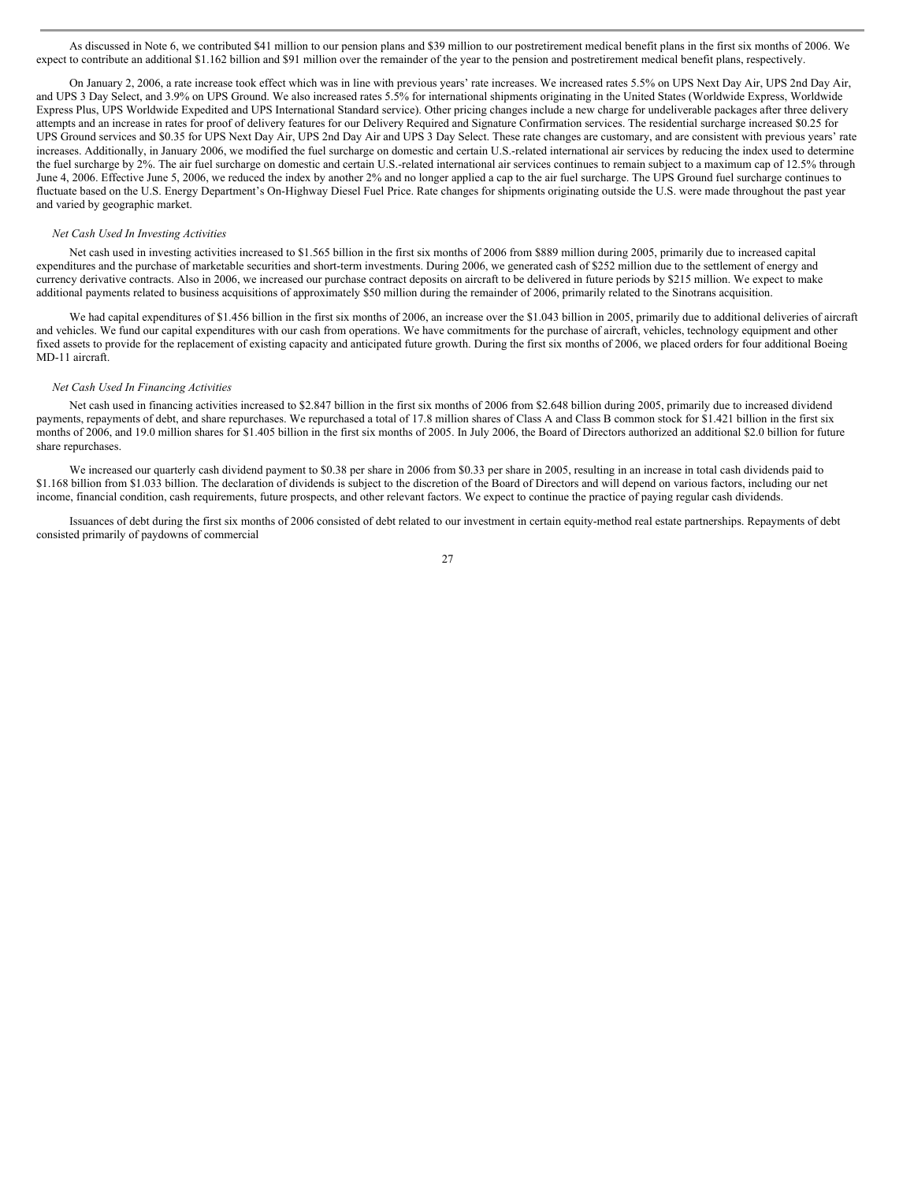As discussed in Note 6, we contributed \$41 million to our pension plans and \$39 million to our postretirement medical benefit plans in the first six months of 2006. We expect to contribute an additional \$1.162 billion and \$91 million over the remainder of the year to the pension and postretirement medical benefit plans, respectively.

On January 2, 2006, a rate increase took effect which was in line with previous years' rate increases. We increased rates 5.5% on UPS Next Day Air, UPS 2nd Day Air, and UPS 3 Day Select, and 3.9% on UPS Ground. We also increased rates 5.5% for international shipments originating in the United States (Worldwide Express, Worldwide Express Plus, UPS Worldwide Expedited and UPS International Standard service). Other pricing changes include a new charge for undeliverable packages after three delivery attempts and an increase in rates for proof of delivery features for our Delivery Required and Signature Confirmation services. The residential surcharge increased \$0.25 for UPS Ground services and \$0.35 for UPS Next Day Air, UPS 2nd Day Air and UPS 3 Day Select. These rate changes are customary, and are consistent with previous years' rate increases. Additionally, in January 2006, we modified the fuel surcharge on domestic and certain U.S.-related international air services by reducing the index used to determine the fuel surcharge by 2%. The air fuel surcharge on domestic and certain U.S.-related international air services continues to remain subject to a maximum cap of 12.5% through June 4, 2006. Effective June 5, 2006, we reduced the index by another 2% and no longer applied a cap to the air fuel surcharge. The UPS Ground fuel surcharge continues to fluctuate based on the U.S. Energy Department's On-Highway Diesel Fuel Price. Rate changes for shipments originating outside the U.S. were made throughout the past year and varied by geographic market.

#### *Net Cash Used In Investing Activities*

Net cash used in investing activities increased to \$1.565 billion in the first six months of 2006 from \$889 million during 2005, primarily due to increased capital expenditures and the purchase of marketable securities and short-term investments. During 2006, we generated cash of \$252 million due to the settlement of energy and currency derivative contracts. Also in 2006, we increased our purchase contract deposits on aircraft to be delivered in future periods by \$215 million. We expect to make additional payments related to business acquisitions of approximately \$50 million during the remainder of 2006, primarily related to the Sinotrans acquisition.

We had capital expenditures of \$1.456 billion in the first six months of 2006, an increase over the \$1.043 billion in 2005, primarily due to additional deliveries of aircraft and vehicles. We fund our capital expenditures with our cash from operations. We have commitments for the purchase of aircraft, vehicles, technology equipment and other fixed assets to provide for the replacement of existing capacity and anticipated future growth. During the first six months of 2006, we placed orders for four additional Boeing MD-11 aircraft.

#### *Net Cash Used In Financing Activities*

Net cash used in financing activities increased to \$2.847 billion in the first six months of 2006 from \$2.648 billion during 2005, primarily due to increased dividend payments, repayments of debt, and share repurchases. We repurchased a total of 17.8 million shares of Class A and Class B common stock for \$1.421 billion in the first six months of 2006, and 19.0 million shares for \$1.405 billion in the first six months of 2005. In July 2006, the Board of Directors authorized an additional \$2.0 billion for future share repurchases.

We increased our quarterly cash dividend payment to \$0.38 per share in 2006 from \$0.33 per share in 2005, resulting in an increase in total cash dividends paid to \$1.168 billion from \$1.033 billion. The declaration of dividends is subject to the discretion of the Board of Directors and will depend on various factors, including our net income, financial condition, cash requirements, future prospects, and other relevant factors. We expect to continue the practice of paying regular cash dividends.

Issuances of debt during the first six months of 2006 consisted of debt related to our investment in certain equity-method real estate partnerships. Repayments of debt consisted primarily of paydowns of commercial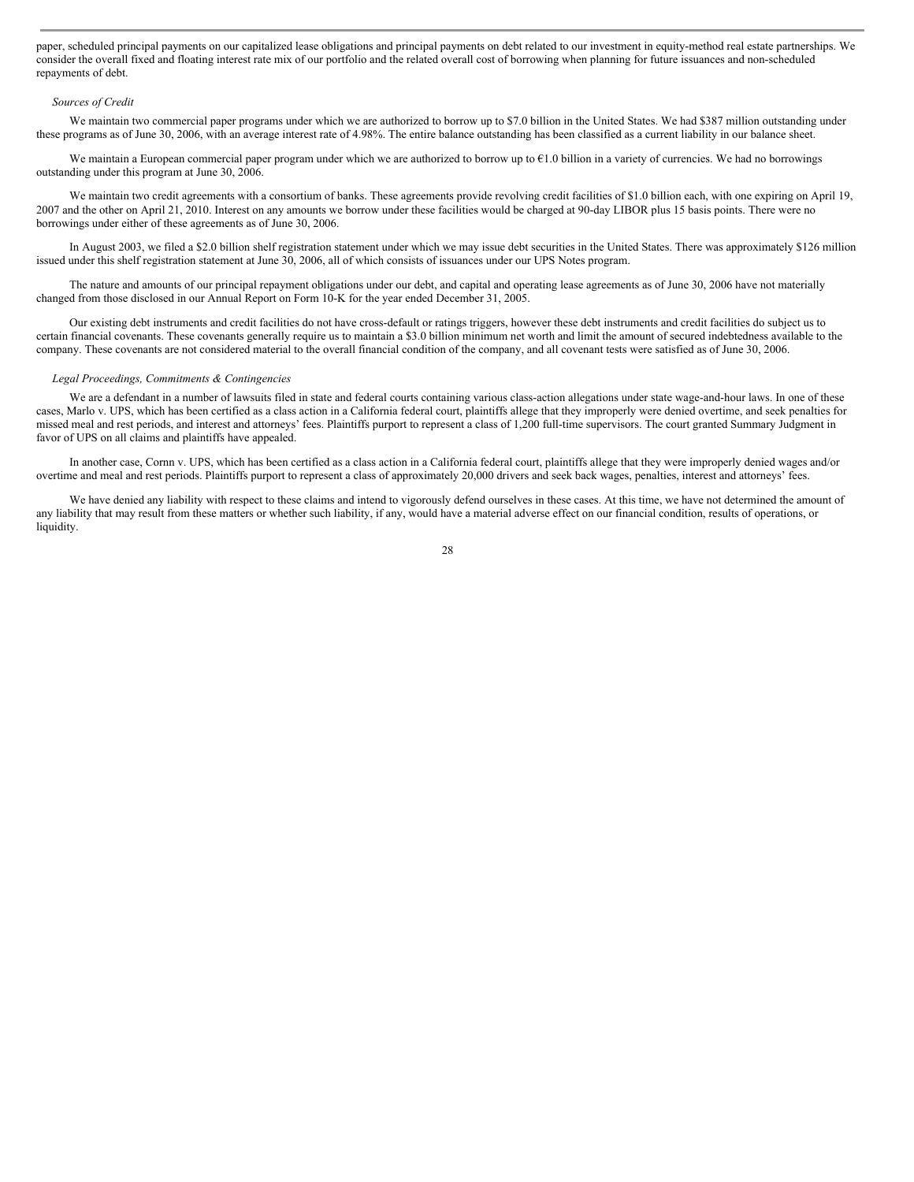paper, scheduled principal payments on our capitalized lease obligations and principal payments on debt related to our investment in equity-method real estate partnerships. We consider the overall fixed and floating interest rate mix of our portfolio and the related overall cost of borrowing when planning for future issuances and non-scheduled repayments of debt.

#### *Sources of Credit*

We maintain two commercial paper programs under which we are authorized to borrow up to \$7.0 billion in the United States. We had \$387 million outstanding under these programs as of June 30, 2006, with an average interest rate of 4.98%. The entire balance outstanding has been classified as a current liability in our balance sheet.

We maintain a European commercial paper program under which we are authorized to borrow up to  $E1.0$  billion in a variety of currencies. We had no borrowings outstanding under this program at June 30, 2006.

We maintain two credit agreements with a consortium of banks. These agreements provide revolving credit facilities of \$1.0 billion each, with one expiring on April 19, 2007 and the other on April 21, 2010. Interest on any amounts we borrow under these facilities would be charged at 90-day LIBOR plus 15 basis points. There were no borrowings under either of these agreements as of June 30, 2006.

In August 2003, we filed a \$2.0 billion shelf registration statement under which we may issue debt securities in the United States. There was approximately \$126 million issued under this shelf registration statement at June 30, 2006, all of which consists of issuances under our UPS Notes program.

The nature and amounts of our principal repayment obligations under our debt, and capital and operating lease agreements as of June 30, 2006 have not materially changed from those disclosed in our Annual Report on Form 10-K for the year ended December 31, 2005.

Our existing debt instruments and credit facilities do not have cross-default or ratings triggers, however these debt instruments and credit facilities do subject us to certain financial covenants. These covenants generally require us to maintain a \$3.0 billion minimum net worth and limit the amount of secured indebtedness available to the company. These covenants are not considered material to the overall financial condition of the company, and all covenant tests were satisfied as of June 30, 2006.

#### *Legal Proceedings, Commitments & Contingencies*

We are a defendant in a number of lawsuits filed in state and federal courts containing various class-action allegations under state wage-and-hour laws. In one of these cases, Marlo v. UPS, which has been certified as a class action in a California federal court, plaintiffs allege that they improperly were denied overtime, and seek penalties for missed meal and rest periods, and interest and attorneys' fees. Plaintiffs purport to represent a class of 1,200 full-time supervisors. The court granted Summary Judgment in favor of UPS on all claims and plaintiffs have appealed.

In another case, Cornn v. UPS, which has been certified as a class action in a California federal court, plaintiffs allege that they were improperly denied wages and/or overtime and meal and rest periods. Plaintiffs purport to represent a class of approximately 20,000 drivers and seek back wages, penalties, interest and attorneys' fees.

We have denied any liability with respect to these claims and intend to vigorously defend ourselves in these cases. At this time, we have not determined the amount of any liability that may result from these matters or whether such liability, if any, would have a material adverse effect on our financial condition, results of operations, or liquidity.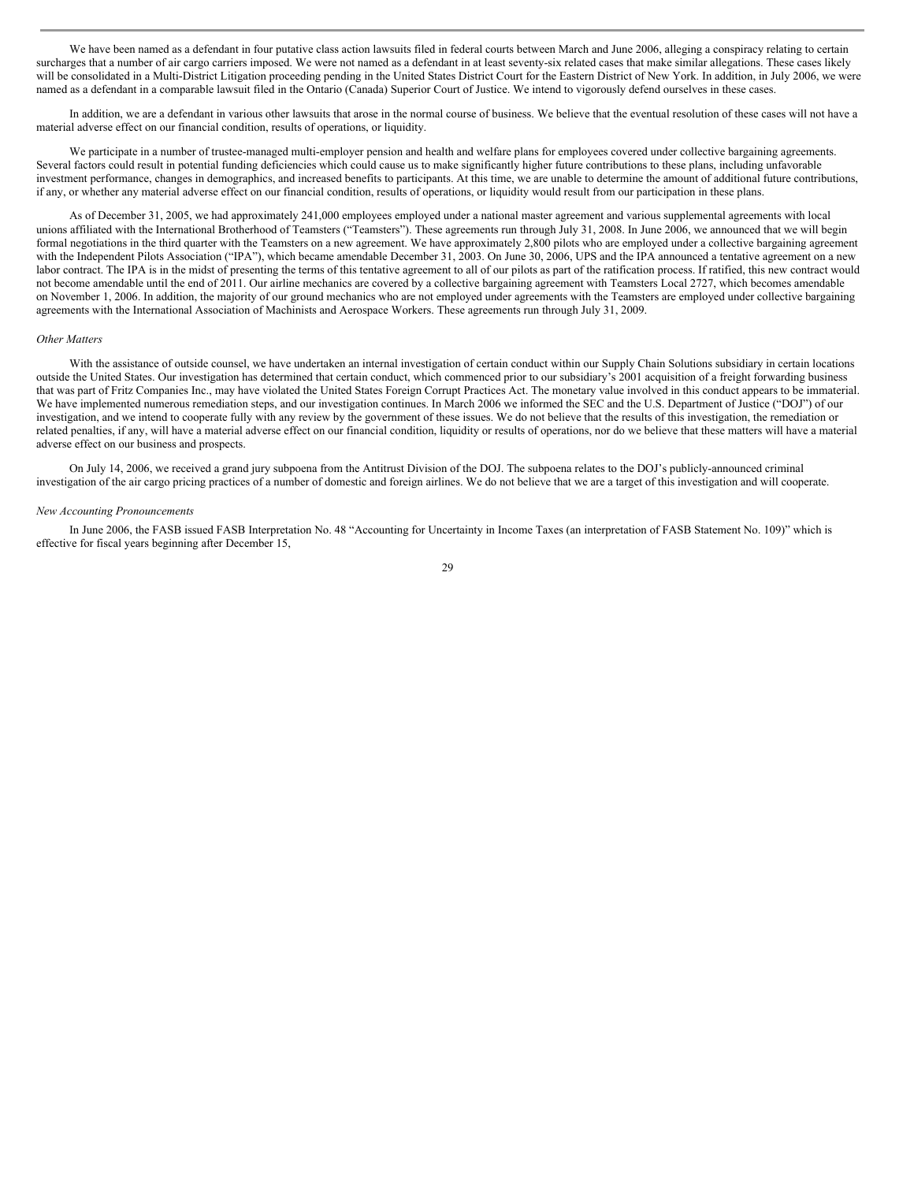We have been named as a defendant in four putative class action lawsuits filed in federal courts between March and June 2006, alleging a conspiracy relating to certain surcharges that a number of air cargo carriers imposed. We were not named as a defendant in at least seventy-six related cases that make similar allegations. These cases likely will be consolidated in a Multi-District Litigation proceeding pending in the United States District Court for the Eastern District of New York. In addition, in July 2006, we were named as a defendant in a comparable lawsuit filed in the Ontario (Canada) Superior Court of Justice. We intend to vigorously defend ourselves in these cases.

In addition, we are a defendant in various other lawsuits that arose in the normal course of business. We believe that the eventual resolution of these cases will not have a material adverse effect on our financial condition, results of operations, or liquidity.

We participate in a number of trustee-managed multi-employer pension and health and welfare plans for employees covered under collective bargaining agreements. Several factors could result in potential funding deficiencies which could cause us to make significantly higher future contributions to these plans, including unfavorable investment performance, changes in demographics, and increased benefits to participants. At this time, we are unable to determine the amount of additional future contributions, if any, or whether any material adverse effect on our financial condition, results of operations, or liquidity would result from our participation in these plans.

As of December 31, 2005, we had approximately 241,000 employees employed under a national master agreement and various supplemental agreements with local unions affiliated with the International Brotherhood of Teamsters ("Teamsters"). These agreements run through July 31, 2008. In June 2006, we announced that we will begin formal negotiations in the third quarter with the Teamsters on a new agreement. We have approximately 2,800 pilots who are employed under a collective bargaining agreement with the Independent Pilots Association ("IPA"), which became amendable December 31, 2003. On June 30, 2006, UPS and the IPA announced a tentative agreement on a new labor contract. The IPA is in the midst of presenting the terms of this tentative agreement to all of our pilots as part of the ratification process. If ratified, this new contract would not become amendable until the end of 2011. Our airline mechanics are covered by a collective bargaining agreement with Teamsters Local 2727, which becomes amendable on November 1, 2006. In addition, the majority of our ground mechanics who are not employed under agreements with the Teamsters are employed under collective bargaining agreements with the International Association of Machinists and Aerospace Workers. These agreements run through July 31, 2009.

#### *Other Matters*

With the assistance of outside counsel, we have undertaken an internal investigation of certain conduct within our Supply Chain Solutions subsidiary in certain locations outside the United States. Our investigation has determined that certain conduct, which commenced prior to our subsidiary's 2001 acquisition of a freight forwarding business that was part of Fritz Companies Inc., may have violated the United States Foreign Corrupt Practices Act. The monetary value involved in this conduct appears to be immaterial. We have implemented numerous remediation steps, and our investigation continues. In March 2006 we informed the SEC and the U.S. Department of Justice ("DOJ") of our investigation, and we intend to cooperate fully with any review by the government of these issues. We do not believe that the results of this investigation, the remediation or related penalties, if any, will have a material adverse effect on our financial condition, liquidity or results of operations, nor do we believe that these matters will have a material adverse effect on our business and prospects.

On July 14, 2006, we received a grand jury subpoena from the Antitrust Division of the DOJ. The subpoena relates to the DOJ's publicly-announced criminal investigation of the air cargo pricing practices of a number of domestic and foreign airlines. We do not believe that we are a target of this investigation and will cooperate.

#### *New Accounting Pronouncements*

In June 2006, the FASB issued FASB Interpretation No. 48 "Accounting for Uncertainty in Income Taxes (an interpretation of FASB Statement No. 109)" which is effective for fiscal years beginning after December 15,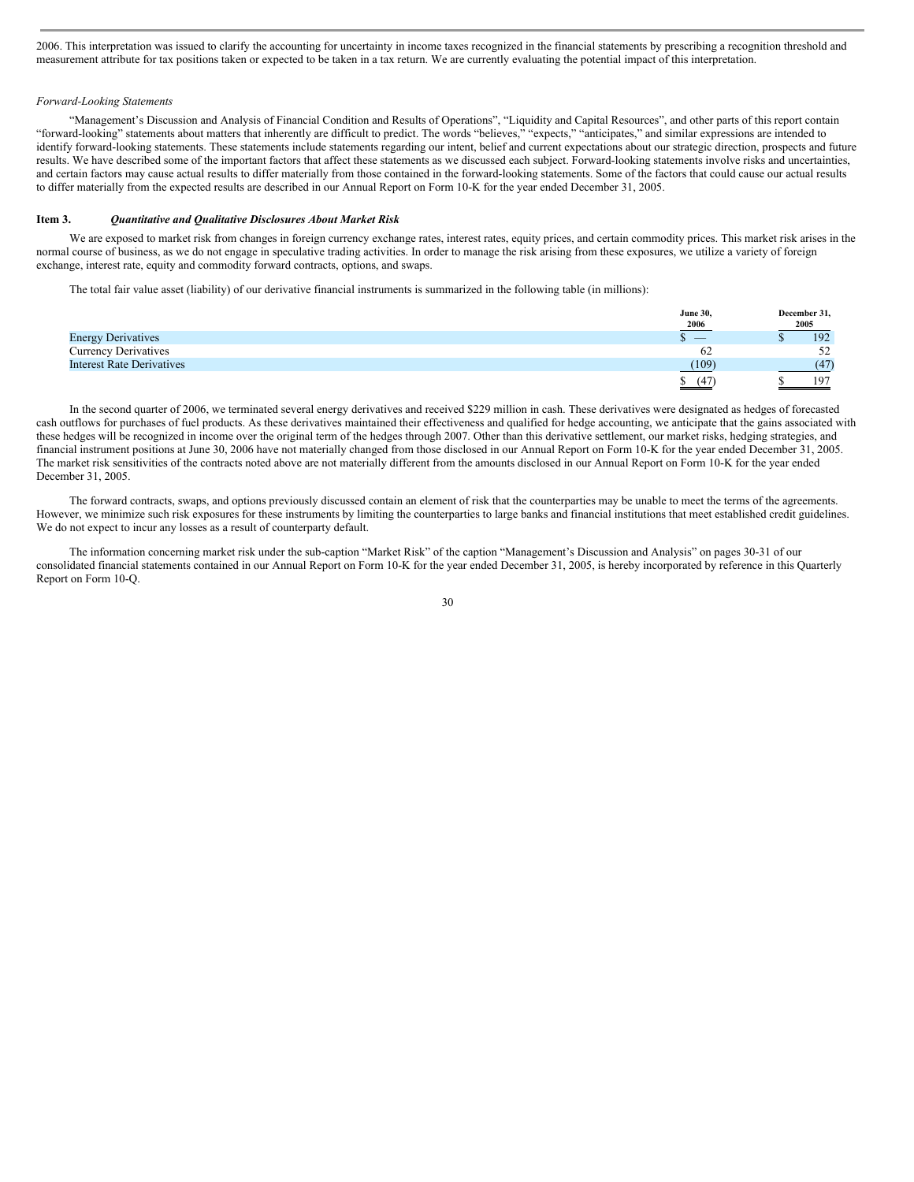2006. This interpretation was issued to clarify the accounting for uncertainty in income taxes recognized in the financial statements by prescribing a recognition threshold and measurement attribute for tax positions taken or expected to be taken in a tax return. We are currently evaluating the potential impact of this interpretation.

#### *Forward-Looking Statements*

"Management's Discussion and Analysis of Financial Condition and Results of Operations", "Liquidity and Capital Resources", and other parts of this report contain "forward-looking" statements about matters that inherently are difficult to predict. The words "believes," "expects," "anticipates," and similar expressions are intended to identify forward-looking statements. These statements include statements regarding our intent, belief and current expectations about our strategic direction, prospects and future results. We have described some of the important factors that affect these statements as we discussed each subject. Forward-looking statements involve risks and uncertainties, and certain factors may cause actual results to differ materially from those contained in the forward-looking statements. Some of the factors that could cause our actual results to differ materially from the expected results are described in our Annual Report on Form 10-K for the year ended December 31, 2005.

#### **Item 3.** *Quantitative and Qualitative Disclosures About Market Risk*

We are exposed to market risk from changes in foreign currency exchange rates, interest rates, equity prices, and certain commodity prices. This market risk arises in the normal course of business, as we do not engage in speculative trading activities. In order to manage the risk arising from these exposures, we utilize a variety of foreign exchange, interest rate, equity and commodity forward contracts, options, and swaps.

The total fair value asset (liability) of our derivative financial instruments is summarized in the following table (in millions):

|                                  | <b>June 30,</b> | December 31, |
|----------------------------------|-----------------|--------------|
|                                  | 2006            | 2005         |
| <b>Energy Derivatives</b>        |                 | 192          |
| <b>Currency Derivatives</b>      | 62              | 52           |
| <b>Interest Rate Derivatives</b> | (109)           | 47           |
|                                  | (47)            | 197          |

In the second quarter of 2006, we terminated several energy derivatives and received \$229 million in cash. These derivatives were designated as hedges of forecasted cash outflows for purchases of fuel products. As these derivatives maintained their effectiveness and qualified for hedge accounting, we anticipate that the gains associated with these hedges will be recognized in income over the original term of the hedges through 2007. Other than this derivative settlement, our market risks, hedging strategies, and financial instrument positions at June 30, 2006 have not materially changed from those disclosed in our Annual Report on Form 10-K for the year ended December 31, 2005. The market risk sensitivities of the contracts noted above are not materially different from the amounts disclosed in our Annual Report on Form 10-K for the year ended December 31, 2005.

The forward contracts, swaps, and options previously discussed contain an element of risk that the counterparties may be unable to meet the terms of the agreements. However, we minimize such risk exposures for these instruments by limiting the counterparties to large banks and financial institutions that meet established credit guidelines. We do not expect to incur any losses as a result of counterparty default.

The information concerning market risk under the sub-caption "Market Risk" of the caption "Management's Discussion and Analysis" on pages 30-31 of our consolidated financial statements contained in our Annual Report on Form 10-K for the year ended December 31, 2005, is hereby incorporated by reference in this Quarterly Report on Form 10-Q.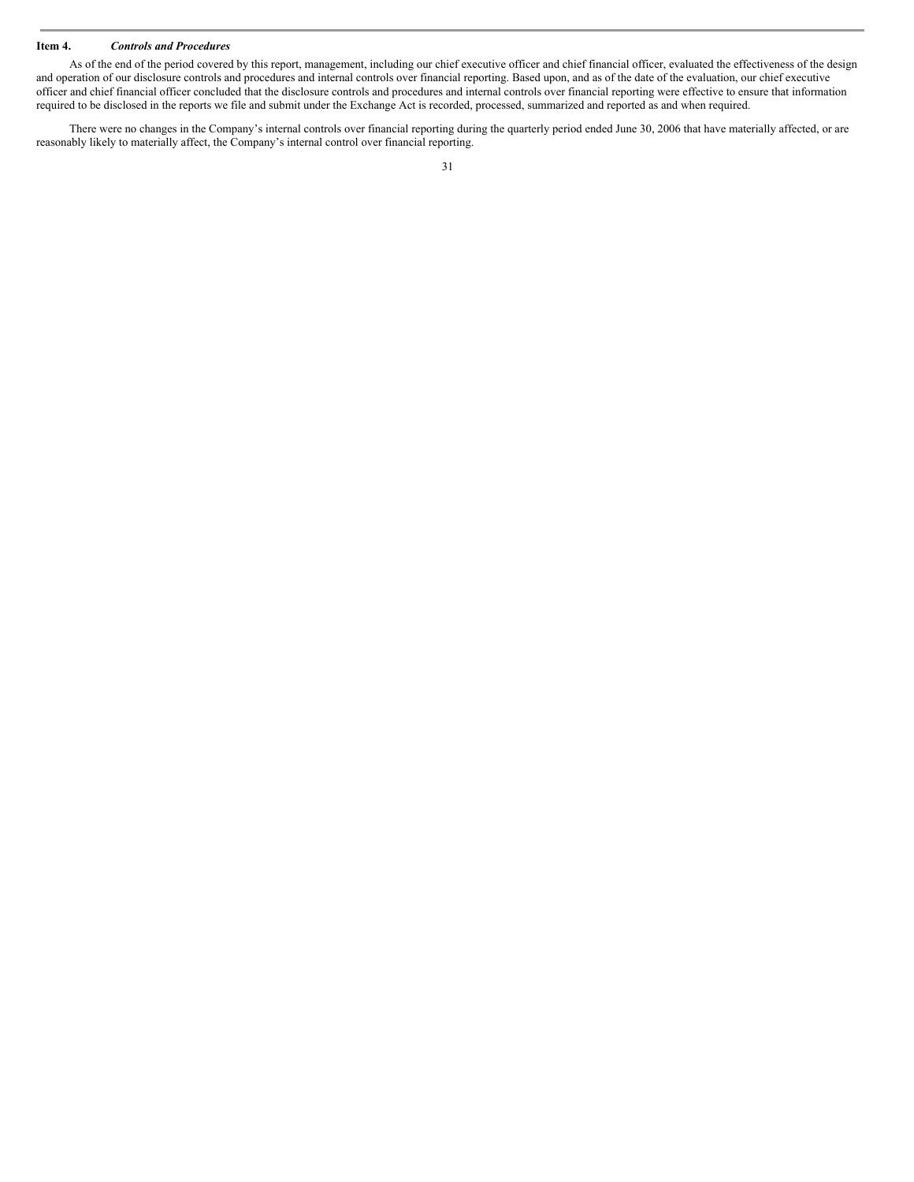### **Item 4.** *Controls and Procedures*

As of the end of the period covered by this report, management, including our chief executive officer and chief financial officer, evaluated the effectiveness of the design and operation of our disclosure controls and procedures and internal controls over financial reporting. Based upon, and as of the date of the evaluation, our chief executive officer and chief financial officer concluded that the disclosure controls and procedures and internal controls over financial reporting were effective to ensure that information required to be disclosed in the reports we file and submit under the Exchange Act is recorded, processed, summarized and reported as and when required.

There were no changes in the Company's internal controls over financial reporting during the quarterly period ended June 30, 2006 that have materially affected, or are reasonably likely to materially affect, the Company's internal control over financial reporting.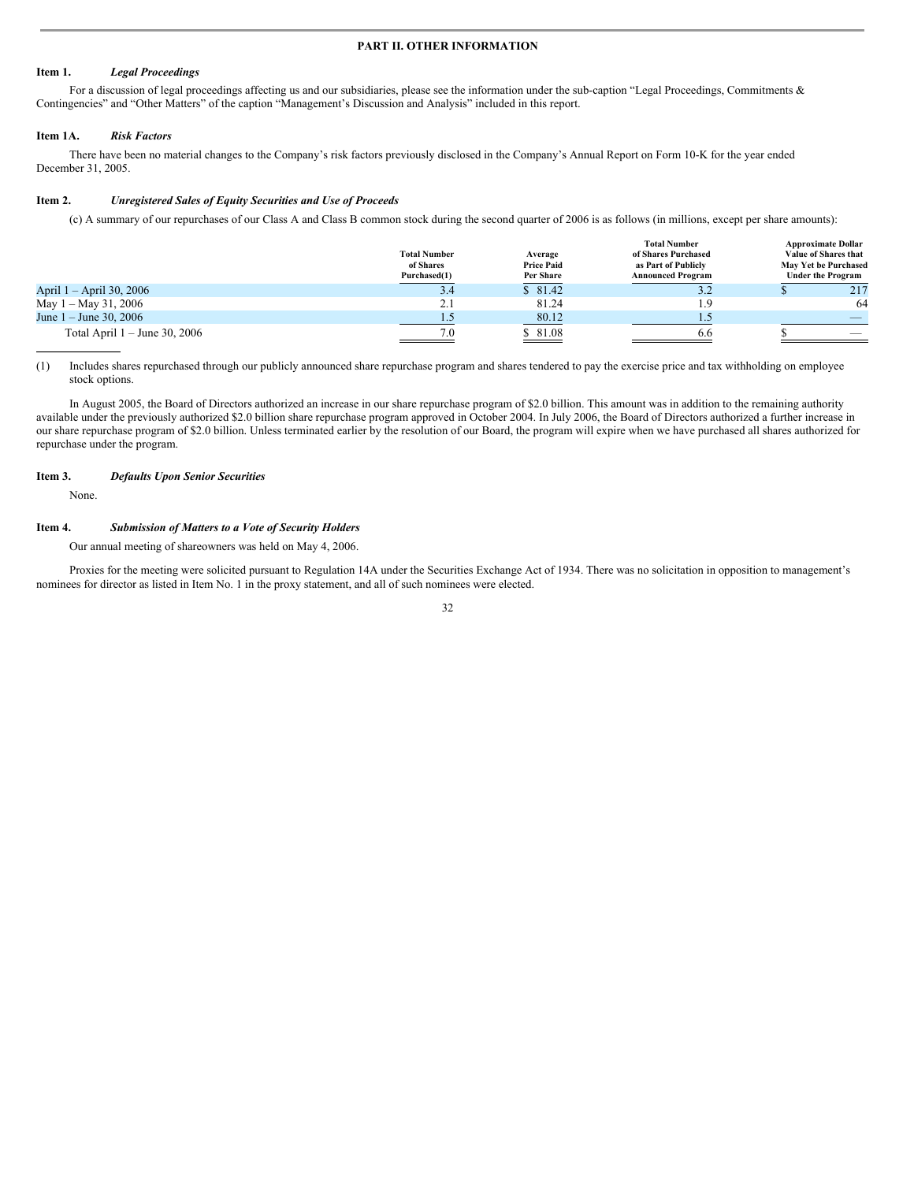#### **PART II. OTHER INFORMATION**

#### **Item 1.** *Legal Proceedings*

For a discussion of legal proceedings affecting us and our subsidiaries, please see the information under the sub-caption "Legal Proceedings, Commitments  $\&$ Contingencies" and "Other Matters" of the caption "Management's Discussion and Analysis" included in this report.

#### **Item 1A.** *Risk Factors*

There have been no material changes to the Company's risk factors previously disclosed in the Company's Annual Report on Form 10-K for the year ended December 31, 2005.

#### **Item 2.** *Unregistered Sales of Equity Securities and Use of Proceeds*

(c) A summary of our repurchases of our Class A and Class B common stock during the second quarter of 2006 is as follows (in millions, except per share amounts):

|                                 | <b>Total Number</b><br>of Shares<br>Purchased(1) | Average<br><b>Price Paid</b><br>Per Share | <b>Total Number</b><br>of Shares Purchased<br>as Part of Publicly<br><b>Announced Program</b> | <b>Approximate Dollar</b><br>Value of Shares that<br>May Yet be Purchased<br><b>Under the Program</b> |
|---------------------------------|--------------------------------------------------|-------------------------------------------|-----------------------------------------------------------------------------------------------|-------------------------------------------------------------------------------------------------------|
| April 1 – April 30, 2006        | 3.4                                              | \$81.42                                   | ے ۔ د                                                                                         | 217                                                                                                   |
| May $1 -$ May 31, 2006          | 2.1                                              | 81.24                                     | 1.9                                                                                           | 64                                                                                                    |
| June $1 -$ June 30, 2006        |                                                  | 80.12                                     |                                                                                               |                                                                                                       |
| Total April $1 -$ June 30, 2006 | 7.0                                              | \$81.08                                   | 6.6                                                                                           | $\overline{\phantom{a}}$                                                                              |

(1) Includes shares repurchased through our publicly announced share repurchase program and shares tendered to pay the exercise price and tax withholding on employee stock options.

In August 2005, the Board of Directors authorized an increase in our share repurchase program of \$2.0 billion. This amount was in addition to the remaining authority available under the previously authorized \$2.0 billion share repurchase program approved in October 2004. In July 2006, the Board of Directors authorized a further increase in our share repurchase program of \$2.0 billion. Unless terminated earlier by the resolution of our Board, the program will expire when we have purchased all shares authorized for repurchase under the program.

#### **Item 3.** *Defaults Upon Senior Securities*

None.

#### **Item 4.** *Submission of Matters to a Vote of Security Holders*

Our annual meeting of shareowners was held on May 4, 2006.

Proxies for the meeting were solicited pursuant to Regulation 14A under the Securities Exchange Act of 1934. There was no solicitation in opposition to management's nominees for director as listed in Item No. 1 in the proxy statement, and all of such nominees were elected.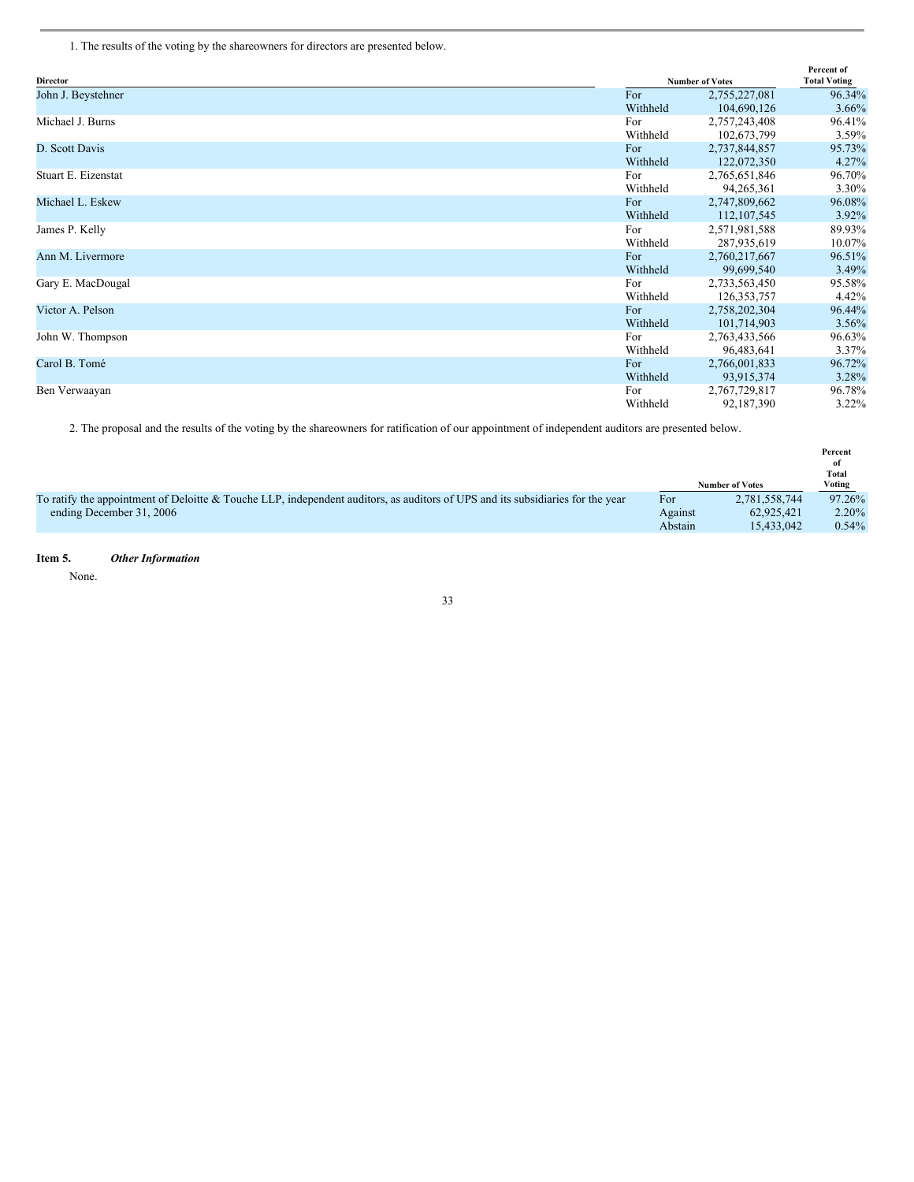1. The results of the voting by the shareowners for directors are presented below.

| <b>Director</b>     |          | <b>Number of Votes</b> | Percent of<br><b>Total Voting</b> |
|---------------------|----------|------------------------|-----------------------------------|
| John J. Beystehner  | For      | 2,755,227,081          | 96.34%                            |
|                     | Withheld | 104,690,126            | $3.66\%$                          |
| Michael J. Burns    | For      | 2,757,243,408          | 96.41%                            |
|                     | Withheld | 102,673,799            | 3.59%                             |
| D. Scott Davis      | For      | 2,737,844,857          | 95.73%                            |
|                     | Withheld | 122,072,350            | 4.27%                             |
| Stuart E. Eizenstat | For      | 2,765,651,846          | 96.70%                            |
|                     | Withheld | 94,265,361             | 3.30%                             |
| Michael L. Eskew    | For      | 2,747,809,662          | 96.08%                            |
|                     | Withheld | 112, 107, 545          | 3.92%                             |
| James P. Kelly      | For      | 2,571,981,588          | 89.93%                            |
|                     | Withheld | 287,935,619            | 10.07%                            |
| Ann M. Livermore    | For      | 2,760,217,667          | 96.51%                            |
|                     | Withheld | 99,699,540             | 3.49%                             |
| Gary E. MacDougal   | For      | 2,733,563,450          | 95.58%                            |
|                     | Withheld | 126, 353, 757          | 4.42%                             |
| Victor A. Pelson    | For      | 2,758,202,304          | 96.44%                            |
|                     | Withheld | 101,714,903            | $3.56\%$                          |
| John W. Thompson    | For      | 2,763,433,566          | 96.63%                            |
|                     | Withheld | 96,483,641             | 3.37%                             |
| Carol B. Tomé       | For      | 2,766,001,833          | 96.72%                            |
|                     | Withheld | 93,915,374             | 3.28%                             |
| Ben Verwaayan       | For      | 2,767,729,817          | 96.78%                            |
|                     | Withheld | 92,187,390             | $3.22\%$                          |

2. The proposal and the results of the voting by the shareowners for ratification of our appointment of independent auditors are presented below.

|                                                                                                                                       |                        | Percent<br>of<br>Total |
|---------------------------------------------------------------------------------------------------------------------------------------|------------------------|------------------------|
|                                                                                                                                       | <b>Number of Votes</b> | Voting                 |
| To ratify the appointment of Deloitte & Touche LLP, independent auditors, as auditors of UPS and its subsidiaries for the year<br>For | 2,781,558,744          | 97.26%                 |
| ending December 31, 2006<br>Against                                                                                                   | 62,925,421             | $2.20\%$               |
| Abstain                                                                                                                               | 15.433,042             | $0.54\%$               |

### **Item 5.** *Other Information*

None.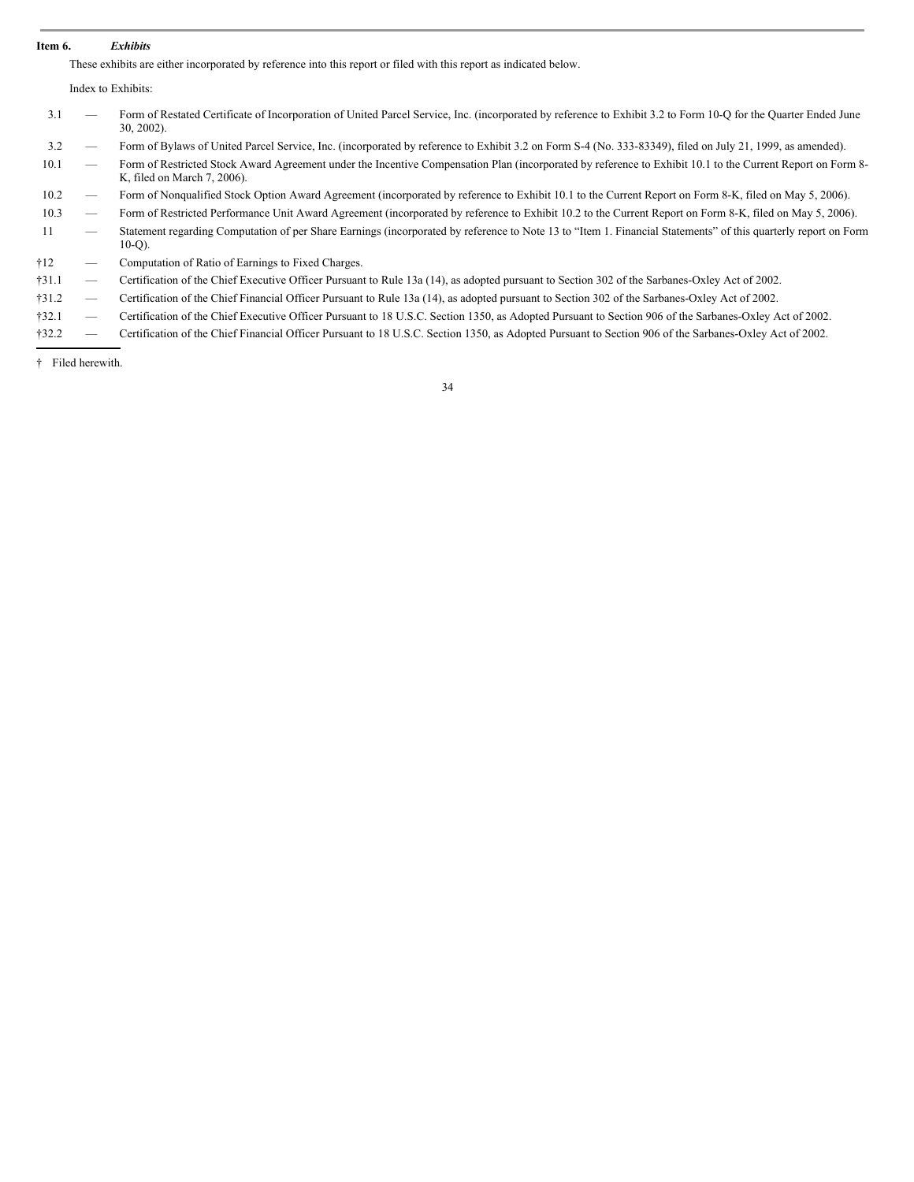#### **Item 6.** *Exhibits*

These exhibits are either incorporated by reference into this report or filed with this report as indicated below.

Index to Exhibits:

| 3.1                       | - | Form of Restated Certificate of Incorporation of United Parcel Service, Inc. (incorporated by reference to Exhibit 3.2 to Form 10-Q for the Quarter Ended June<br>$30, 2002$ ). |
|---------------------------|---|---------------------------------------------------------------------------------------------------------------------------------------------------------------------------------|
| 3.2                       |   | Form of Bylaws of United Parcel Service, Inc. (incorporated by reference to Exhibit 3.2 on Form S-4 (No. 333-83349), filed on July 21, 1999, as amended).                       |
| $1^{\prime}$ $\prime$ $1$ |   | Equip of Doctricted Cteals Assembly Agreement under the Incentive Componentian Dlay Greemented by reference to Exhibit 10.1 to the Current Depart on Equipment                  |

10.1 — Form of Restricted Stock Award Agreement under the Incentive Compensation Plan (incorporated by reference to Exhibit 10.1 to the Current Report on Form 8-K, filed on March 7, 2006).

10.2 — Form of Nonqualified Stock Option Award Agreement (incorporated by reference to Exhibit 10.1 to the Current Report on Form 8-K, filed on May 5, 2006).

- 10.3 Form of Restricted Performance Unit Award Agreement (incorporated by reference to Exhibit 10.2 to the Current Report on Form 8-K, filed on May 5, 2006).
- 11 Statement regarding Computation of per Share Earnings (incorporated by reference to Note 13 to "Item 1. Financial Statements" of this quarterly report on Form 10-Q).

†12 — Computation of Ratio of Earnings to Fixed Charges.

†31.1 — Certification of the Chief Executive Officer Pursuant to Rule 13a (14), as adopted pursuant to Section 302 of the Sarbanes-Oxley Act of 2002.

†31.2 — Certification of the Chief Financial Officer Pursuant to Rule 13a (14), as adopted pursuant to Section 302 of the Sarbanes-Oxley Act of 2002.

†32.1 — Certification of the Chief Executive Officer Pursuant to 18 U.S.C. Section 1350, as Adopted Pursuant to Section 906 of the Sarbanes-Oxley Act of 2002.

†32.2 — Certification of the Chief Financial Officer Pursuant to 18 U.S.C. Section 1350, as Adopted Pursuant to Section 906 of the Sarbanes-Oxley Act of 2002.

† Filed herewith.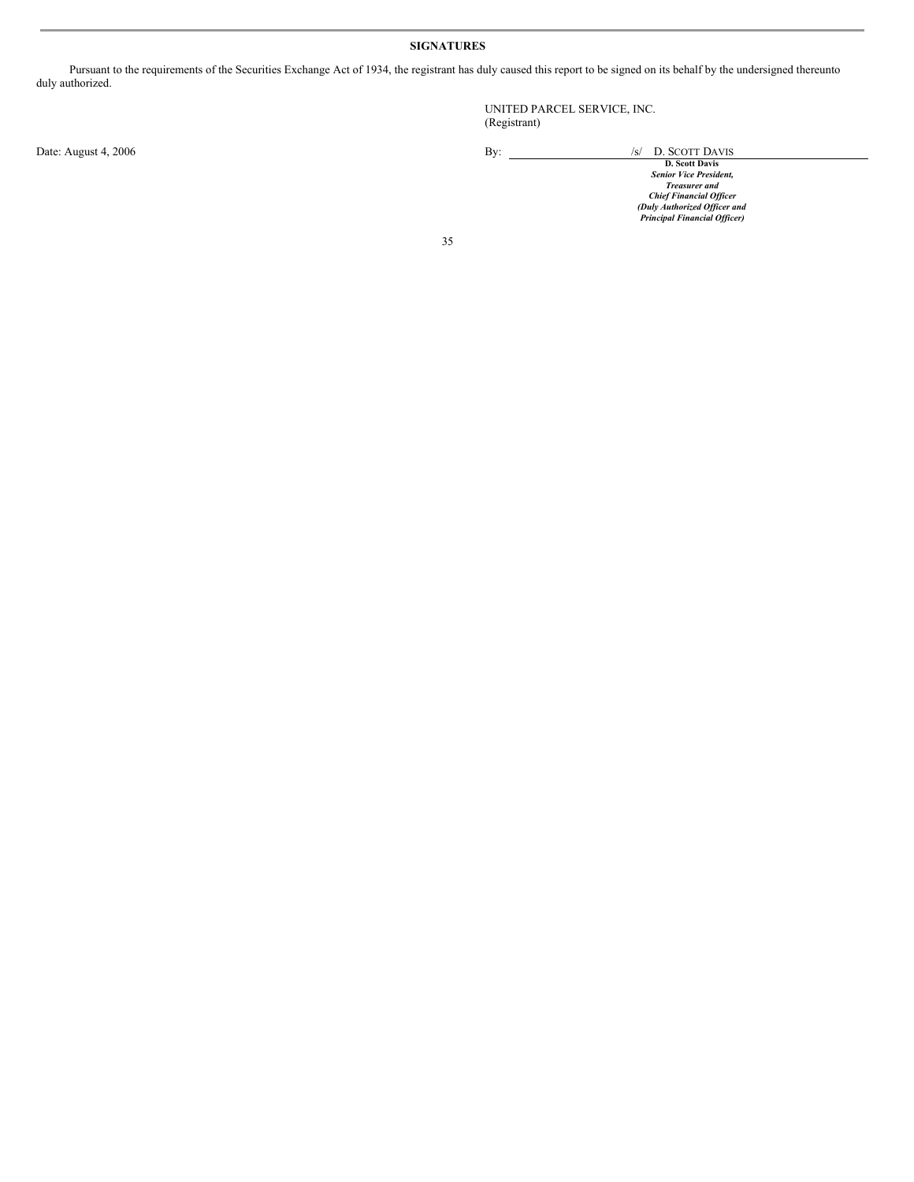### **SIGNATURES**

Pursuant to the requirements of the Securities Exchange Act of 1934, the registrant has duly caused this report to be signed on its behalf by the undersigned thereunto duly authorized.

UNITED PARCEL SERVICE, INC. (Registrant)

Date: August 4, 2006<br>D. SCOTT DAVIS<br>Seiot Davis<br>*Seiot Davis*<br>*Treasurer and*<br>*Chief Financial Officer*<br>*Chief Financial Officer*<br>*Principal Financial Officer*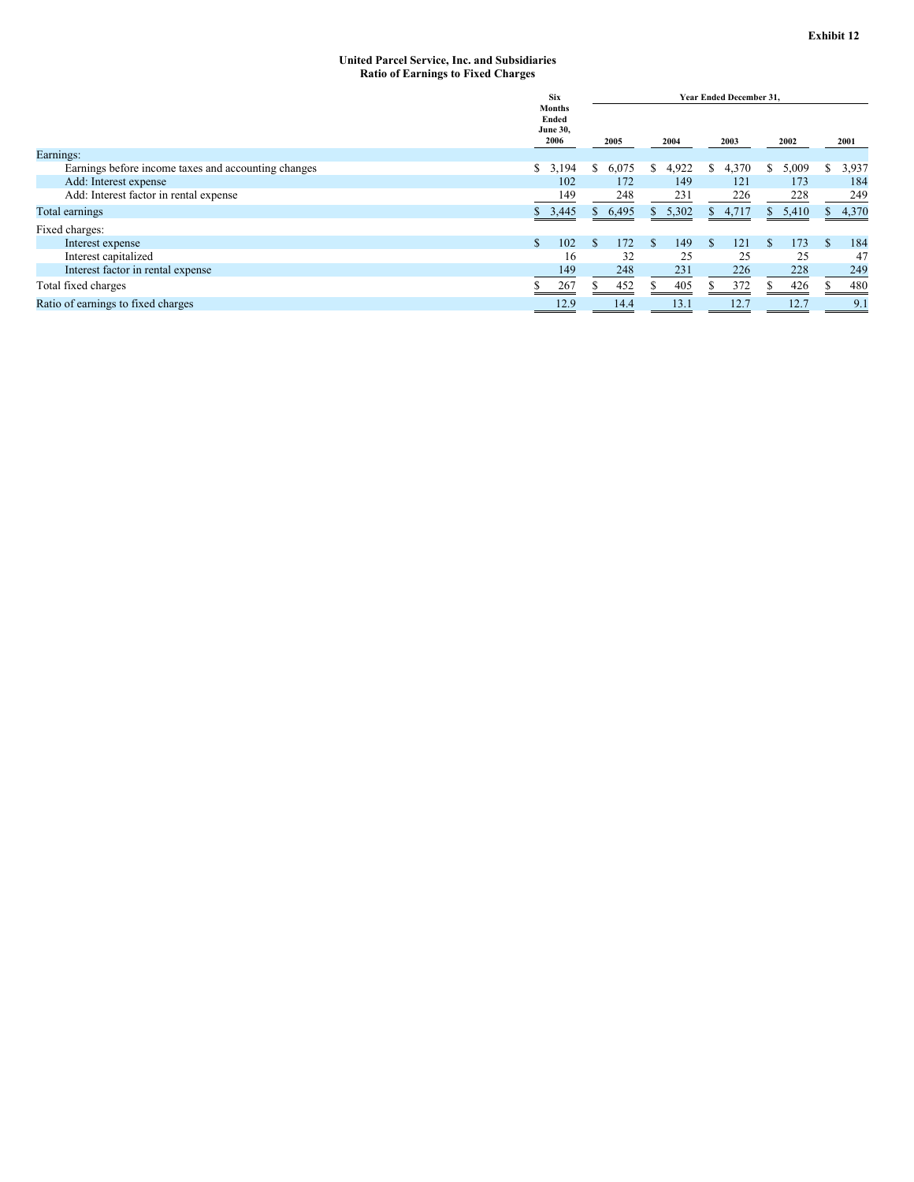#### **United Parcel Service, Inc. and Subsidiaries Ratio of Earnings to Fixed Charges**

|                                                     | <b>Six</b><br><b>Months</b><br>Ended<br><b>June 30,</b><br>2006 |             | <b>Year Ended December 31.</b> |           |            |             |  |  |
|-----------------------------------------------------|-----------------------------------------------------------------|-------------|--------------------------------|-----------|------------|-------------|--|--|
|                                                     |                                                                 |             | 2004                           | 2003      | 2002       | 2001        |  |  |
| Earnings:                                           |                                                                 |             |                                |           |            |             |  |  |
| Earnings before income taxes and accounting changes | 3,194<br>S.                                                     | 6,075<br>S. | 4,922<br>S                     | 4,370     | 5,009<br>S | 3,937<br>S  |  |  |
| Add: Interest expense                               | 102                                                             | 172         | 149                            | 121       | 173        | 184         |  |  |
| Add: Interest factor in rental expense              | 149                                                             | 248         | 231                            | 226       | 228        | 249         |  |  |
| Total earnings                                      | \$3,445                                                         | 6,495<br>ъ  | 5,302<br>Y.                    | \$4,717   | \$5,410    | 4,370<br>S. |  |  |
| Fixed charges:                                      |                                                                 |             |                                |           |            |             |  |  |
| Interest expense                                    | 102<br>\$.                                                      | 172         | 149<br>S.                      | 121<br>S. | 173        | 184         |  |  |
| Interest capitalized                                | 16                                                              | 32          | 25                             | 25        | 25         | 47          |  |  |
| Interest factor in rental expense                   | 149                                                             | 248         | 231                            | 226       | 228        | 249         |  |  |
| Total fixed charges                                 |                                                                 | 452         | 405<br>ъ                       | 372       | 426        | 480         |  |  |
| Ratio of earnings to fixed charges                  |                                                                 | 14.4        | 13.1                           | 12.7      | 12.7       | 9.1         |  |  |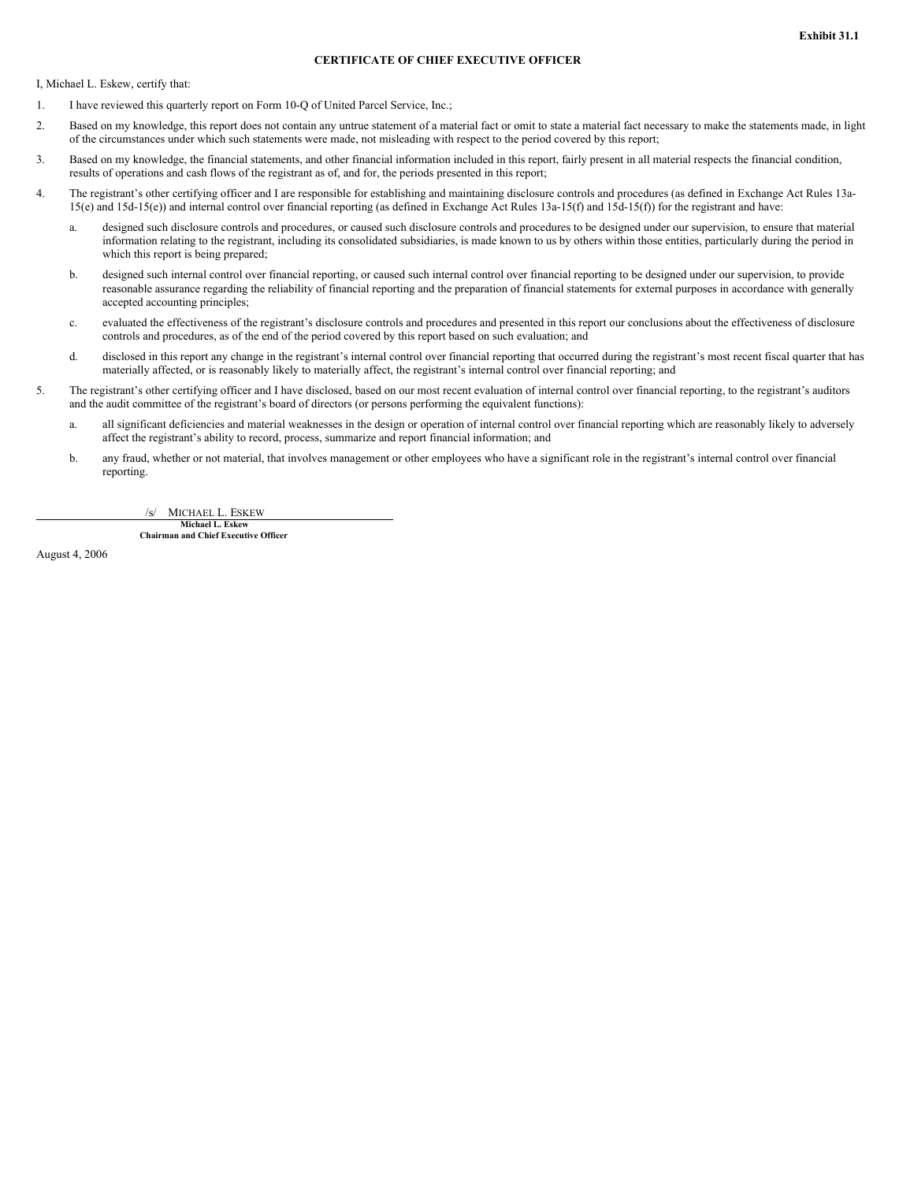### **CERTIFICATE OF CHIEF EXECUTIVE OFFICER**

I, Michael L. Eskew, certify that:

- 1. I have reviewed this quarterly report on Form 10-Q of United Parcel Service, Inc.;
- 2. Based on my knowledge, this report does not contain any untrue statement of a material fact or omit to state a material fact necessary to make the statements made, in light of the circumstances under which such statements were made, not misleading with respect to the period covered by this report;
- 3. Based on my knowledge, the financial statements, and other financial information included in this report, fairly present in all material respects the financial condition, results of operations and cash flows of the registrant as of, and for, the periods presented in this report;
- 4. The registrant's other certifying officer and I are responsible for establishing and maintaining disclosure controls and procedures (as defined in Exchange Act Rules 13a-15(e) and 15d-15(e)) and internal control over financial reporting (as defined in Exchange Act Rules 13a-15(f) and 15d-15(f)) for the registrant and have:
	- a. designed such disclosure controls and procedures, or caused such disclosure controls and procedures to be designed under our supervision, to ensure that material information relating to the registrant, including its consolidated subsidiaries, is made known to us by others within those entities, particularly during the period in which this report is being prepared;
	- b. designed such internal control over financial reporting, or caused such internal control over financial reporting to be designed under our supervision, to provide reasonable assurance regarding the reliability of financial reporting and the preparation of financial statements for external purposes in accordance with generally accepted accounting principles;
	- c. evaluated the effectiveness of the registrant's disclosure controls and procedures and presented in this report our conclusions about the effectiveness of disclosure controls and procedures, as of the end of the period covered by this report based on such evaluation; and
	- d. disclosed in this report any change in the registrant's internal control over financial reporting that occurred during the registrant's most recent fiscal quarter that has materially affected, or is reasonably likely to materially affect, the registrant's internal control over financial reporting; and
- 5. The registrant's other certifying officer and I have disclosed, based on our most recent evaluation of internal control over financial reporting, to the registrant's auditors and the audit committee of the registrant's board of directors (or persons performing the equivalent functions):
	- a. all significant deficiencies and material weaknesses in the design or operation of internal control over financial reporting which are reasonably likely to adversely affect the registrant's ability to record, process, summarize and report financial information; and
	- b. any fraud, whether or not material, that involves management or other employees who have a significant role in the registrant's internal control over financial reporting.

MICHAEL L. ESKEW

**Michael L. Eskew Chairman and Chief Executive Officer**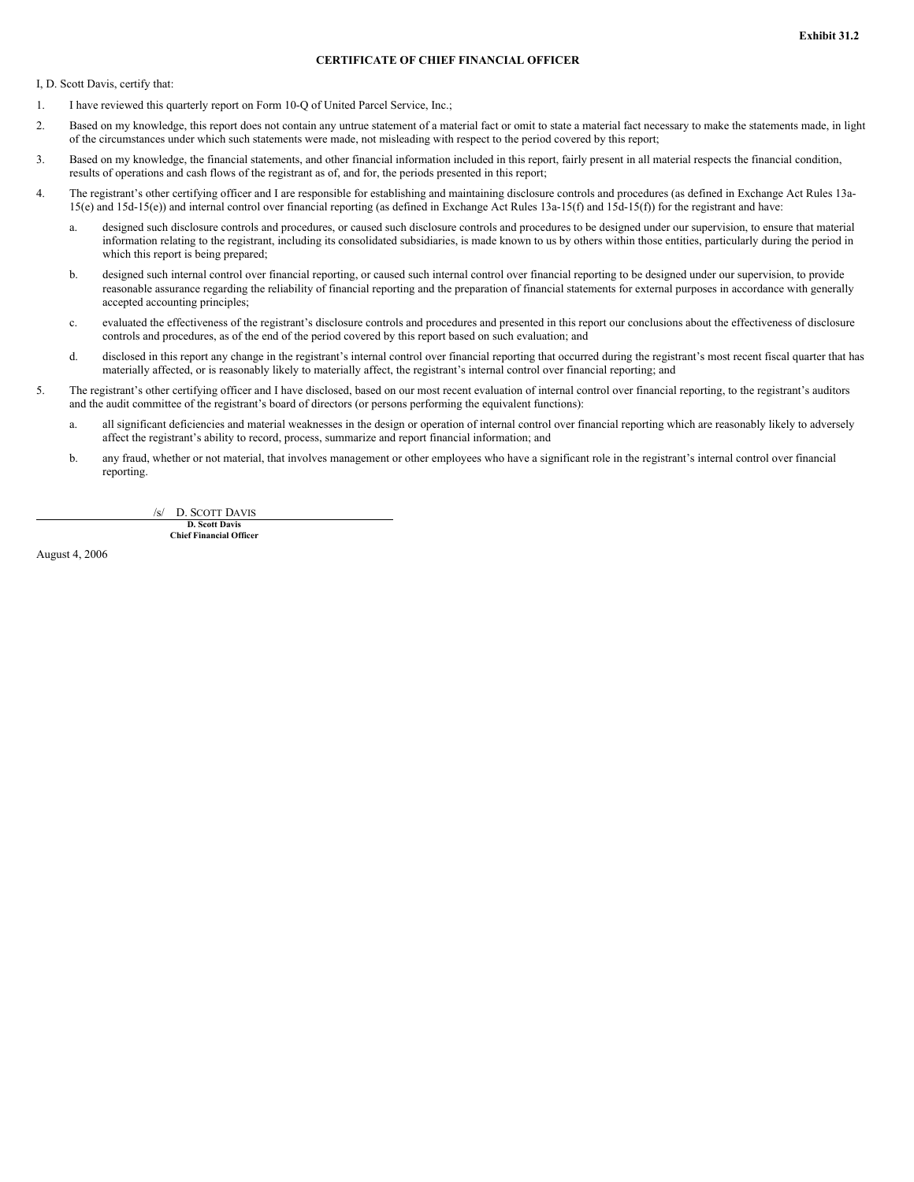#### **CERTIFICATE OF CHIEF FINANCIAL OFFICER**

I, D. Scott Davis, certify that:

- 1. I have reviewed this quarterly report on Form 10-Q of United Parcel Service, Inc.;
- 2. Based on my knowledge, this report does not contain any untrue statement of a material fact or omit to state a material fact necessary to make the statements made, in light of the circumstances under which such statements were made, not misleading with respect to the period covered by this report;
- 3. Based on my knowledge, the financial statements, and other financial information included in this report, fairly present in all material respects the financial condition, results of operations and cash flows of the registrant as of, and for, the periods presented in this report;
- 4. The registrant's other certifying officer and I are responsible for establishing and maintaining disclosure controls and procedures (as defined in Exchange Act Rules 13a-15(e) and 15d-15(e)) and internal control over financial reporting (as defined in Exchange Act Rules 13a-15(f) and 15d-15(f)) for the registrant and have:
	- a. designed such disclosure controls and procedures, or caused such disclosure controls and procedures to be designed under our supervision, to ensure that material information relating to the registrant, including its consolidated subsidiaries, is made known to us by others within those entities, particularly during the period in which this report is being prepared;
	- b. designed such internal control over financial reporting, or caused such internal control over financial reporting to be designed under our supervision, to provide reasonable assurance regarding the reliability of financial reporting and the preparation of financial statements for external purposes in accordance with generally accepted accounting principles;
	- c. evaluated the effectiveness of the registrant's disclosure controls and procedures and presented in this report our conclusions about the effectiveness of disclosure controls and procedures, as of the end of the period covered by this report based on such evaluation; and
	- d. disclosed in this report any change in the registrant's internal control over financial reporting that occurred during the registrant's most recent fiscal quarter that has materially affected, or is reasonably likely to materially affect, the registrant's internal control over financial reporting; and
- 5. The registrant's other certifying officer and I have disclosed, based on our most recent evaluation of internal control over financial reporting, to the registrant's auditors and the audit committee of the registrant's board of directors (or persons performing the equivalent functions):
	- a. all significant deficiencies and material weaknesses in the design or operation of internal control over financial reporting which are reasonably likely to adversely affect the registrant's ability to record, process, summarize and report financial information; and
	- b. any fraud, whether or not material, that involves management or other employees who have a significant role in the registrant's internal control over financial reporting.

/s/ D. SCOTT DAVIS

**D. Scott Davis Chief Financial Officer**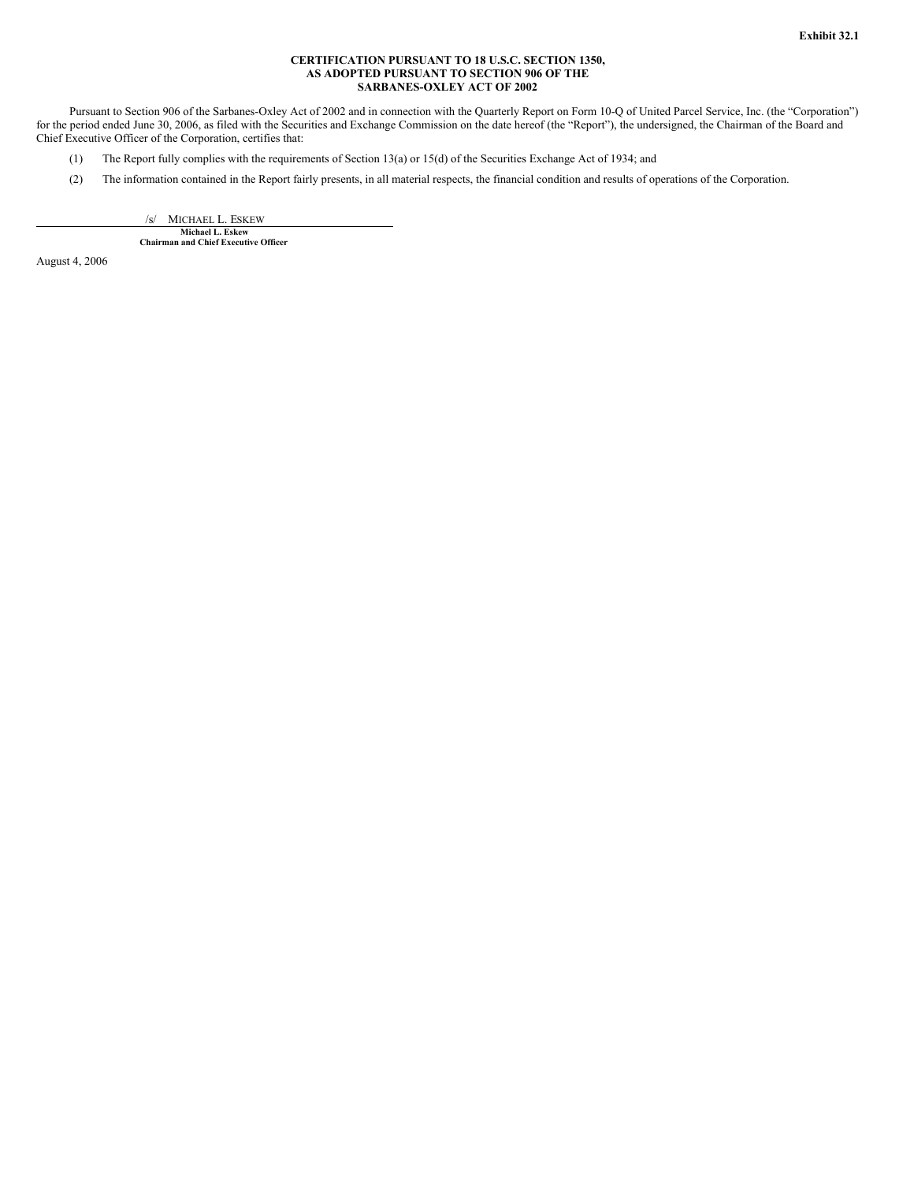#### **CERTIFICATION PURSUANT TO 18 U.S.C. SECTION 1350, AS ADOPTED PURSUANT TO SECTION 906 OF THE SARBANES-OXLEY ACT OF 2002**

Pursuant to Section 906 of the Sarbanes-Oxley Act of 2002 and in connection with the Quarterly Report on Form 10-Q of United Parcel Service, Inc. (the "Corporation") for the period ended June 30, 2006, as filed with the Securities and Exchange Commission on the date hereof (the "Report"), the undersigned, the Chairman of the Board and Chief Executive Officer of the Corporation, certifies that:

- (1) The Report fully complies with the requirements of Section 13(a) or 15(d) of the Securities Exchange Act of 1934; and
- (2) The information contained in the Report fairly presents, in all material respects, the financial condition and results of operations of the Corporation.

/s/ MICHAEL L. ESKEW **Michael L. Eskew**

**Chairman and Chief Executive Officer**